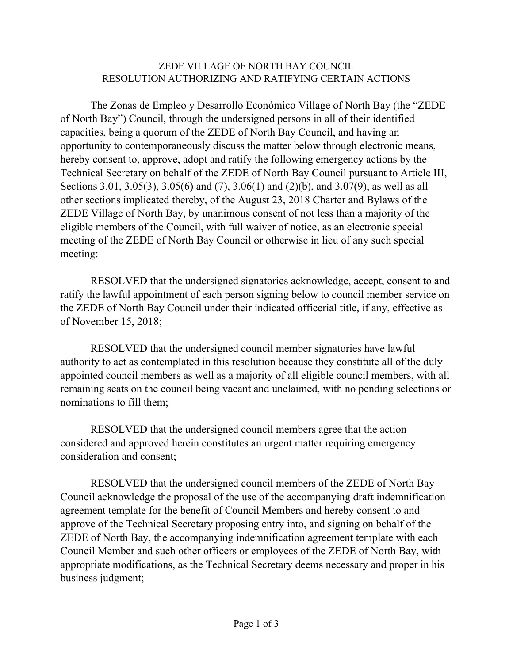# ZEDE VILLAGE OF NORTH BAY COUNCIL RESOLUTION AUTHORIZING AND RATIFYING CERTAIN ACTIONS

The Zonas de Empleo y Desarrollo Económico Village of North Bay (the "ZEDE of North Bay") Council, through the undersigned persons in all of their identified capacities, being a quorum of the ZEDE of North Bay Council, and having an opportunity to contemporaneously discuss the matter below through electronic means, hereby consent to, approve, adopt and ratify the following emergency actions by the Technical Secretary on behalf of the ZEDE of North Bay Council pursuant to Article III, Sections 3.01, 3.05(3), 3.05(6) and (7), 3.06(1) and (2)(b), and 3.07(9), as well as all other sections implicated thereby, of the August 23, 2018 Charter and Bylaws of the ZEDE Village of North Bay, by unanimous consent of not less than a majority of the eligible members of the Council, with full waiver of notice, as an electronic special meeting of the ZEDE of North Bay Council or otherwise in lieu of any such special meeting:

RESOLVED that the undersigned signatories acknowledge, accept, consent to and ratify the lawful appointment of each person signing below to council member service on the ZEDE of North Bay Council under their indicated officerial title, if any, effective as of November 15, 2018;

RESOLVED that the undersigned council member signatories have lawful authority to act as contemplated in this resolution because they constitute all of the duly appointed council members as well as a majority of all eligible council members, with all remaining seats on the council being vacant and unclaimed, with no pending selections or nominations to fill them;

RESOLVED that the undersigned council members agree that the action considered and approved herein constitutes an urgent matter requiring emergency consideration and consent;

RESOLVED that the undersigned council members of the ZEDE of North Bay Council acknowledge the proposal of the use of the accompanying draft indemnification agreement template for the benefit of Council Members and hereby consent to and approve of the Technical Secretary proposing entry into, and signing on behalf of the ZEDE of North Bay, the accompanying indemnification agreement template with each Council Member and such other officers or employees of the ZEDE of North Bay, with appropriate modifications, as the Technical Secretary deems necessary and proper in his business judgment;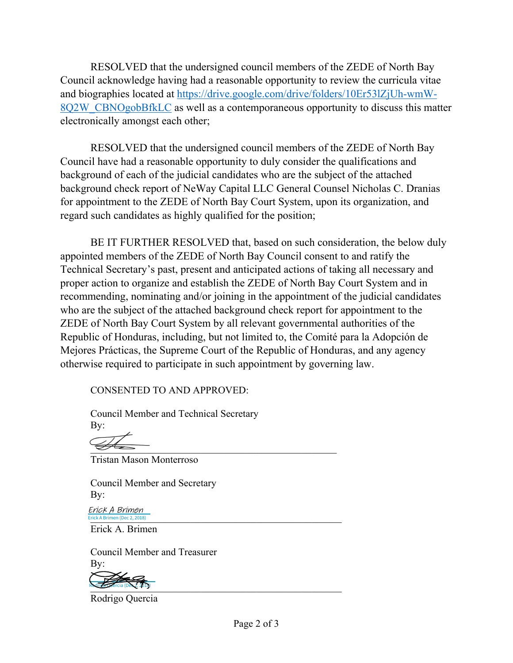RESOLVED that the undersigned council members of the ZEDE of North Bay Council acknowledge having had a reasonable opportunity to review the curricula vitae and biographies located at https://drive.google.com/drive/folders/10Er53lZjUh-wmW-8Q2W CBNOgobBfkLC as well as a contemporaneous opportunity to discuss this matter electronically amongst each other;

RESOLVED that the undersigned council members of the ZEDE of North Bay Council have had a reasonable opportunity to duly consider the qualifications and background of each of the judicial candidates who are the subject of the attached background check report of NeWay Capital LLC General Counsel Nicholas C. Dranias for appointment to the ZEDE of North Bay Court System, upon its organization, and regard such candidates as highly qualified for the position;

BE IT FURTHER RESOLVED that, based on such consideration, the below duly appointed members of the ZEDE of North Bay Council consent to and ratify the Technical Secretary's past, present and anticipated actions of taking all necessary and proper action to organize and establish the ZEDE of North Bay Court System and in recommending, nominating and/or joining in the appointment of the judicial candidates who are the subject of the attached background check report for appointment to the ZEDE of North Bay Court System by all relevant governmental authorities of the Republic of Honduras, including, but not limited to, the Comité para la Adopción de Mejores Prácticas, the Supreme Court of the Republic of Honduras, and any agency otherwise required to participate in such appointment by governing law.

CONSENTED TO AND APPROVED:

 Council Member and Technical Secretary By:

 $\overline{\mathscr{L}}$ 

Tristan Mason Monterroso

 Council Member and Secretary By:

 $_{\text{Erick A Brimen (Dec 2, 2018)}}$ Erick A Brimen (Dec 2, 2018) Erick A Brimen

Erick A. Brimen

 Council Member and Treasurer By:



Rodrigo Quercia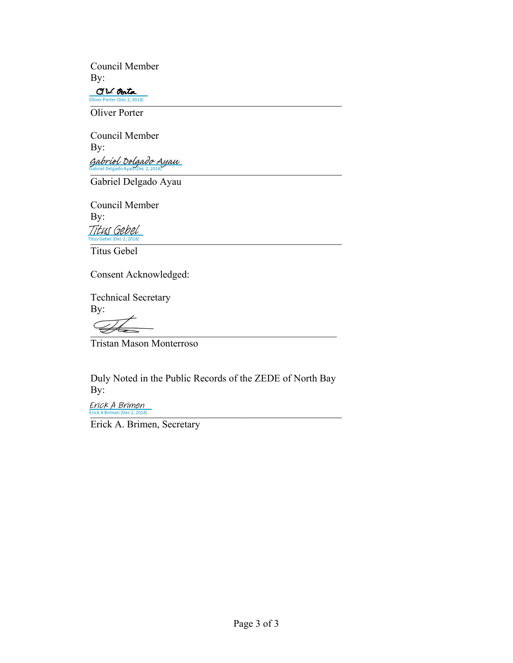Council Member By:

C.W. Oosta Oliver Porter (Dec 2, 2018) Oliver Porter (Dec 2, 2018)

Oliver Porter

Council Member By:  $_{{\small \bf{B}}}$ abriel Delgado Ayau (Dec 2, 2018) Gabriel Delgado Ayau (Dec 2, 2018) [Gabriel Delgado Ayau](https://eu1.documents.adobe.com/verifier?tx=CBJCHBCAABAAGaA1YV5alNCTzxzVFssIdTDyQ5ZgOJ8w)

Gabriel Delgado Ayau

Council Member By: Titus Gebel (Dec 2, 2018) Titus Gebel (Dec 2, 2018) Titus Gebel

Titus Gebel

Consent Acknowledged:

 Technical Secretary By:

 $\overline{\mathcal{D}}$ 

Tristan Mason Monterroso

 Duly Noted in the Public Records of the ZEDE of North Bay By:

Erick A Brimen (Dec 2, 2018) Erick A Brimen

Erick A. Brimen, Secretary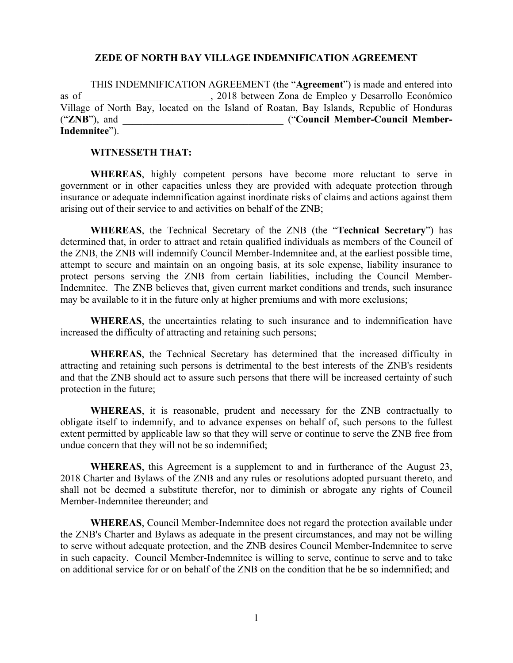### **ZEDE OF NORTH BAY VILLAGE INDEMNIFICATION AGREEMENT**

THIS INDEMNIFICATION AGREEMENT (the "**Agreement**") is made and entered into as of \_\_\_\_\_\_\_\_\_\_\_\_\_\_\_\_\_\_\_\_\_\_\_\_\_, 2018 between Zona de Empleo y Desarrollo Económico Village of North Bay, located on the Island of Roatan, Bay Islands, Republic of Honduras ("ZNB"), and <br> **Council Member-Council Member-Indemnitee**").

### **WITNESSETH THAT:**

**WHEREAS**, highly competent persons have become more reluctant to serve in government or in other capacities unless they are provided with adequate protection through insurance or adequate indemnification against inordinate risks of claims and actions against them arising out of their service to and activities on behalf of the ZNB;

**WHEREAS**, the Technical Secretary of the ZNB (the "**Technical Secretary**") has determined that, in order to attract and retain qualified individuals as members of the Council of the ZNB, the ZNB will indemnify Council Member-Indemnitee and, at the earliest possible time, attempt to secure and maintain on an ongoing basis, at its sole expense, liability insurance to protect persons serving the ZNB from certain liabilities, including the Council Member-Indemnitee. The ZNB believes that, given current market conditions and trends, such insurance may be available to it in the future only at higher premiums and with more exclusions;

**WHEREAS**, the uncertainties relating to such insurance and to indemnification have increased the difficulty of attracting and retaining such persons;

**WHEREAS**, the Technical Secretary has determined that the increased difficulty in attracting and retaining such persons is detrimental to the best interests of the ZNB's residents and that the ZNB should act to assure such persons that there will be increased certainty of such protection in the future;

**WHEREAS**, it is reasonable, prudent and necessary for the ZNB contractually to obligate itself to indemnify, and to advance expenses on behalf of, such persons to the fullest extent permitted by applicable law so that they will serve or continue to serve the ZNB free from undue concern that they will not be so indemnified;

**WHEREAS**, this Agreement is a supplement to and in furtherance of the August 23, 2018 Charter and Bylaws of the ZNB and any rules or resolutions adopted pursuant thereto, and shall not be deemed a substitute therefor, nor to diminish or abrogate any rights of Council Member-Indemnitee thereunder; and

**WHEREAS**, Council Member-Indemnitee does not regard the protection available under the ZNB's Charter and Bylaws as adequate in the present circumstances, and may not be willing to serve without adequate protection, and the ZNB desires Council Member-Indemnitee to serve in such capacity. Council Member-Indemnitee is willing to serve, continue to serve and to take on additional service for or on behalf of the ZNB on the condition that he be so indemnified; and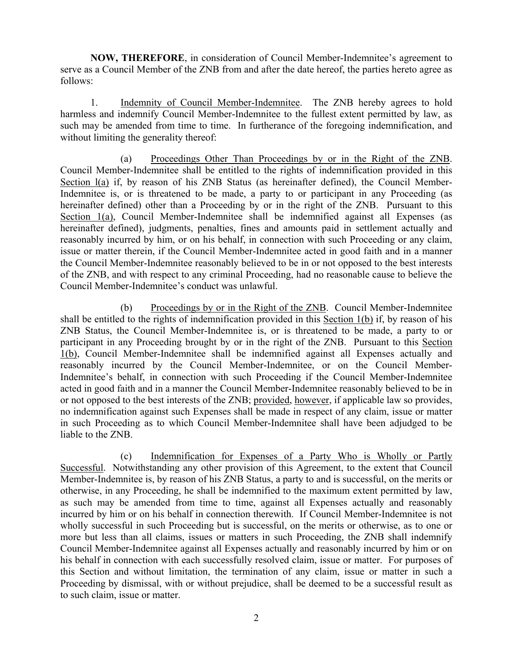**NOW, THEREFORE**, in consideration of Council Member-Indemnitee's agreement to serve as a Council Member of the ZNB from and after the date hereof, the parties hereto agree as follows:

1. Indemnity of Council Member-Indemnitee. The ZNB hereby agrees to hold harmless and indemnify Council Member-Indemnitee to the fullest extent permitted by law, as such may be amended from time to time. In furtherance of the foregoing indemnification, and without limiting the generality thereof:

(a) Proceedings Other Than Proceedings by or in the Right of the ZNB. Council Member-Indemnitee shall be entitled to the rights of indemnification provided in this Section  $I(a)$  if, by reason of his ZNB Status (as hereinafter defined), the Council Member-Indemnitee is, or is threatened to be made, a party to or participant in any Proceeding (as hereinafter defined) other than a Proceeding by or in the right of the ZNB. Pursuant to this Section 1(a), Council Member-Indemnitee shall be indemnified against all Expenses (as hereinafter defined), judgments, penalties, fines and amounts paid in settlement actually and reasonably incurred by him, or on his behalf, in connection with such Proceeding or any claim, issue or matter therein, if the Council Member-Indemnitee acted in good faith and in a manner the Council Member-Indemnitee reasonably believed to be in or not opposed to the best interests of the ZNB, and with respect to any criminal Proceeding, had no reasonable cause to believe the Council Member-Indemnitee's conduct was unlawful.

(b) Proceedings by or in the Right of the ZNB. Council Member-Indemnitee shall be entitled to the rights of indemnification provided in this Section 1(b) if, by reason of his ZNB Status, the Council Member-Indemnitee is, or is threatened to be made, a party to or participant in any Proceeding brought by or in the right of the ZNB. Pursuant to this Section 1(b), Council Member-Indemnitee shall be indemnified against all Expenses actually and reasonably incurred by the Council Member-Indemnitee, or on the Council Member-Indemnitee's behalf, in connection with such Proceeding if the Council Member-Indemnitee acted in good faith and in a manner the Council Member-Indemnitee reasonably believed to be in or not opposed to the best interests of the ZNB; provided, however, if applicable law so provides, no indemnification against such Expenses shall be made in respect of any claim, issue or matter in such Proceeding as to which Council Member-Indemnitee shall have been adjudged to be liable to the ZNB.

(c) Indemnification for Expenses of a Party Who is Wholly or Partly Successful. Notwithstanding any other provision of this Agreement, to the extent that Council Member-Indemnitee is, by reason of his ZNB Status, a party to and is successful, on the merits or otherwise, in any Proceeding, he shall be indemnified to the maximum extent permitted by law, as such may be amended from time to time, against all Expenses actually and reasonably incurred by him or on his behalf in connection therewith. If Council Member-Indemnitee is not wholly successful in such Proceeding but is successful, on the merits or otherwise, as to one or more but less than all claims, issues or matters in such Proceeding, the ZNB shall indemnify Council Member-Indemnitee against all Expenses actually and reasonably incurred by him or on his behalf in connection with each successfully resolved claim, issue or matter. For purposes of this Section and without limitation, the termination of any claim, issue or matter in such a Proceeding by dismissal, with or without prejudice, shall be deemed to be a successful result as to such claim, issue or matter.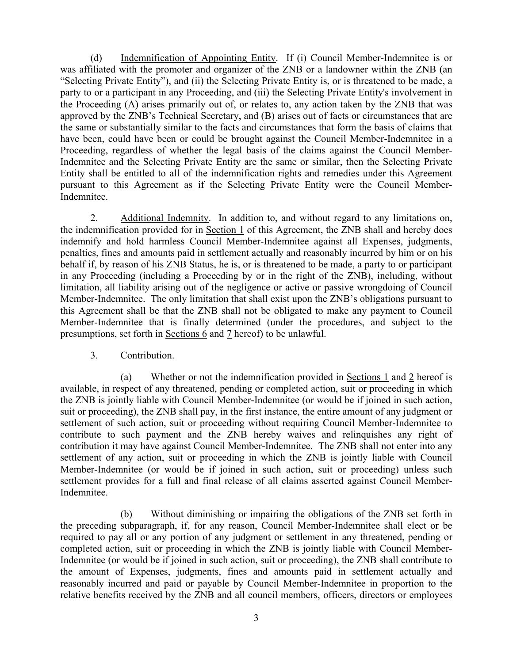(d) Indemnification of Appointing Entity. If (i) Council Member-Indemnitee is or was affiliated with the promoter and organizer of the ZNB or a landowner within the ZNB (an "Selecting Private Entity"), and (ii) the Selecting Private Entity is, or is threatened to be made, a party to or a participant in any Proceeding, and (iii) the Selecting Private Entity's involvement in the Proceeding (A) arises primarily out of, or relates to, any action taken by the ZNB that was approved by the ZNB's Technical Secretary, and (B) arises out of facts or circumstances that are the same or substantially similar to the facts and circumstances that form the basis of claims that have been, could have been or could be brought against the Council Member-Indemnitee in a Proceeding, regardless of whether the legal basis of the claims against the Council Member-Indemnitee and the Selecting Private Entity are the same or similar, then the Selecting Private Entity shall be entitled to all of the indemnification rights and remedies under this Agreement pursuant to this Agreement as if the Selecting Private Entity were the Council Member-Indemnitee.

2. Additional Indemnity. In addition to, and without regard to any limitations on, the indemnification provided for in Section 1 of this Agreement, the ZNB shall and hereby does indemnify and hold harmless Council Member-Indemnitee against all Expenses, judgments, penalties, fines and amounts paid in settlement actually and reasonably incurred by him or on his behalf if, by reason of his ZNB Status, he is, or is threatened to be made, a party to or participant in any Proceeding (including a Proceeding by or in the right of the ZNB), including, without limitation, all liability arising out of the negligence or active or passive wrongdoing of Council Member-Indemnitee. The only limitation that shall exist upon the ZNB's obligations pursuant to this Agreement shall be that the ZNB shall not be obligated to make any payment to Council Member-Indemnitee that is finally determined (under the procedures, and subject to the presumptions, set forth in Sections 6 and 7 hereof) to be unlawful.

### 3. Contribution.

(a) Whether or not the indemnification provided in Sections 1 and 2 hereof is available, in respect of any threatened, pending or completed action, suit or proceeding in which the ZNB is jointly liable with Council Member-Indemnitee (or would be if joined in such action, suit or proceeding), the ZNB shall pay, in the first instance, the entire amount of any judgment or settlement of such action, suit or proceeding without requiring Council Member-Indemnitee to contribute to such payment and the ZNB hereby waives and relinquishes any right of contribution it may have against Council Member-Indemnitee. The ZNB shall not enter into any settlement of any action, suit or proceeding in which the ZNB is jointly liable with Council Member-Indemnitee (or would be if joined in such action, suit or proceeding) unless such settlement provides for a full and final release of all claims asserted against Council Member-Indemnitee.

(b) Without diminishing or impairing the obligations of the ZNB set forth in the preceding subparagraph, if, for any reason, Council Member-Indemnitee shall elect or be required to pay all or any portion of any judgment or settlement in any threatened, pending or completed action, suit or proceeding in which the ZNB is jointly liable with Council Member-Indemnitee (or would be if joined in such action, suit or proceeding), the ZNB shall contribute to the amount of Expenses, judgments, fines and amounts paid in settlement actually and reasonably incurred and paid or payable by Council Member-Indemnitee in proportion to the relative benefits received by the ZNB and all council members, officers, directors or employees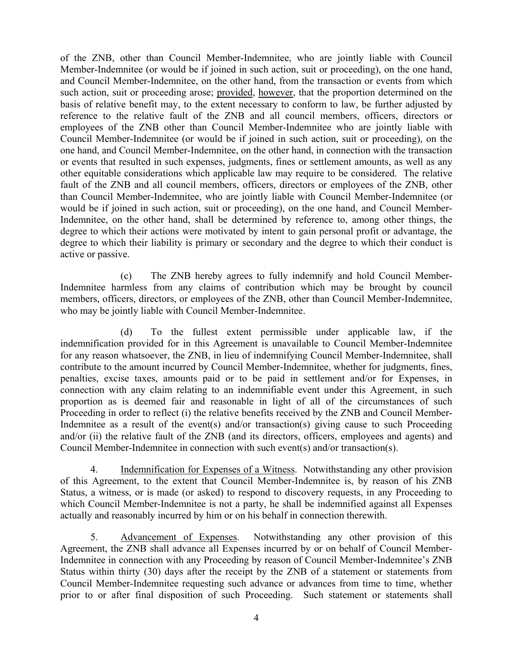of the ZNB, other than Council Member-Indemnitee, who are jointly liable with Council Member-Indemnitee (or would be if joined in such action, suit or proceeding), on the one hand, and Council Member-Indemnitee, on the other hand, from the transaction or events from which such action, suit or proceeding arose; provided, however, that the proportion determined on the basis of relative benefit may, to the extent necessary to conform to law, be further adjusted by reference to the relative fault of the ZNB and all council members, officers, directors or employees of the ZNB other than Council Member-Indemnitee who are jointly liable with Council Member-Indemnitee (or would be if joined in such action, suit or proceeding), on the one hand, and Council Member-Indemnitee, on the other hand, in connection with the transaction or events that resulted in such expenses, judgments, fines or settlement amounts, as well as any other equitable considerations which applicable law may require to be considered. The relative fault of the ZNB and all council members, officers, directors or employees of the ZNB, other than Council Member-Indemnitee, who are jointly liable with Council Member-Indemnitee (or would be if joined in such action, suit or proceeding), on the one hand, and Council Member-Indemnitee, on the other hand, shall be determined by reference to, among other things, the degree to which their actions were motivated by intent to gain personal profit or advantage, the degree to which their liability is primary or secondary and the degree to which their conduct is active or passive.

(c) The ZNB hereby agrees to fully indemnify and hold Council Member-Indemnitee harmless from any claims of contribution which may be brought by council members, officers, directors, or employees of the ZNB, other than Council Member-Indemnitee, who may be jointly liable with Council Member-Indemnitee.

(d) To the fullest extent permissible under applicable law, if the indemnification provided for in this Agreement is unavailable to Council Member-Indemnitee for any reason whatsoever, the ZNB, in lieu of indemnifying Council Member-Indemnitee, shall contribute to the amount incurred by Council Member-Indemnitee, whether for judgments, fines, penalties, excise taxes, amounts paid or to be paid in settlement and/or for Expenses, in connection with any claim relating to an indemnifiable event under this Agreement, in such proportion as is deemed fair and reasonable in light of all of the circumstances of such Proceeding in order to reflect (i) the relative benefits received by the ZNB and Council Member-Indemnitee as a result of the event(s) and/or transaction(s) giving cause to such Proceeding and/or (ii) the relative fault of the ZNB (and its directors, officers, employees and agents) and Council Member-Indemnitee in connection with such event(s) and/or transaction(s).

4. Indemnification for Expenses of a Witness. Notwithstanding any other provision of this Agreement, to the extent that Council Member-Indemnitee is, by reason of his ZNB Status, a witness, or is made (or asked) to respond to discovery requests, in any Proceeding to which Council Member-Indemnitee is not a party, he shall be indemnified against all Expenses actually and reasonably incurred by him or on his behalf in connection therewith.

5. Advancement of Expenses. Notwithstanding any other provision of this Agreement, the ZNB shall advance all Expenses incurred by or on behalf of Council Member-Indemnitee in connection with any Proceeding by reason of Council Member-Indemnitee's ZNB Status within thirty (30) days after the receipt by the ZNB of a statement or statements from Council Member-Indemnitee requesting such advance or advances from time to time, whether prior to or after final disposition of such Proceeding. Such statement or statements shall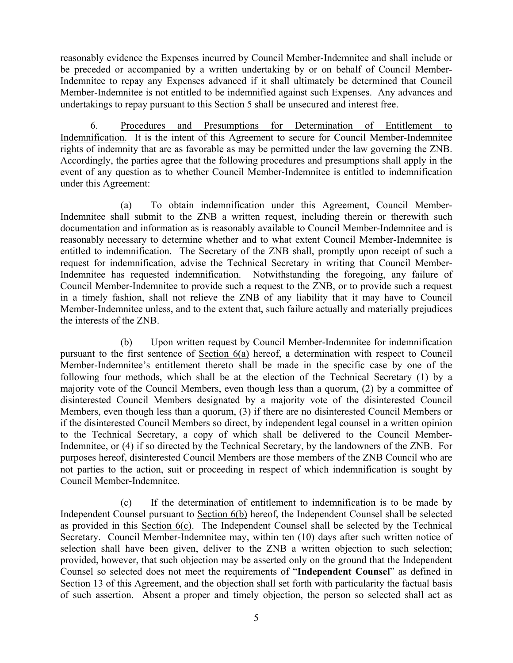reasonably evidence the Expenses incurred by Council Member-Indemnitee and shall include or be preceded or accompanied by a written undertaking by or on behalf of Council Member-Indemnitee to repay any Expenses advanced if it shall ultimately be determined that Council Member-Indemnitee is not entitled to be indemnified against such Expenses. Any advances and undertakings to repay pursuant to this Section 5 shall be unsecured and interest free.

6. Procedures and Presumptions for Determination of Entitlement to Indemnification. It is the intent of this Agreement to secure for Council Member-Indemnitee rights of indemnity that are as favorable as may be permitted under the law governing the ZNB. Accordingly, the parties agree that the following procedures and presumptions shall apply in the event of any question as to whether Council Member-Indemnitee is entitled to indemnification under this Agreement:

(a) To obtain indemnification under this Agreement, Council Member-Indemnitee shall submit to the ZNB a written request, including therein or therewith such documentation and information as is reasonably available to Council Member-Indemnitee and is reasonably necessary to determine whether and to what extent Council Member-Indemnitee is entitled to indemnification. The Secretary of the ZNB shall, promptly upon receipt of such a request for indemnification, advise the Technical Secretary in writing that Council Member-Indemnitee has requested indemnification. Notwithstanding the foregoing, any failure of Council Member-Indemnitee to provide such a request to the ZNB, or to provide such a request in a timely fashion, shall not relieve the ZNB of any liability that it may have to Council Member-Indemnitee unless, and to the extent that, such failure actually and materially prejudices the interests of the ZNB.

(b) Upon written request by Council Member-Indemnitee for indemnification pursuant to the first sentence of Section 6(a) hereof, a determination with respect to Council Member-Indemnitee's entitlement thereto shall be made in the specific case by one of the following four methods, which shall be at the election of the Technical Secretary (1) by a majority vote of the Council Members, even though less than a quorum, (2) by a committee of disinterested Council Members designated by a majority vote of the disinterested Council Members, even though less than a quorum, (3) if there are no disinterested Council Members or if the disinterested Council Members so direct, by independent legal counsel in a written opinion to the Technical Secretary, a copy of which shall be delivered to the Council Member-Indemnitee, or (4) if so directed by the Technical Secretary, by the landowners of the ZNB. For purposes hereof, disinterested Council Members are those members of the ZNB Council who are not parties to the action, suit or proceeding in respect of which indemnification is sought by Council Member-Indemnitee.

(c) If the determination of entitlement to indemnification is to be made by Independent Counsel pursuant to Section 6(b) hereof, the Independent Counsel shall be selected as provided in this Section  $6(c)$ . The Independent Counsel shall be selected by the Technical Secretary. Council Member-Indemnitee may, within ten (10) days after such written notice of selection shall have been given, deliver to the ZNB a written objection to such selection; provided, however, that such objection may be asserted only on the ground that the Independent Counsel so selected does not meet the requirements of "**Independent Counsel**" as defined in Section 13 of this Agreement, and the objection shall set forth with particularity the factual basis of such assertion. Absent a proper and timely objection, the person so selected shall act as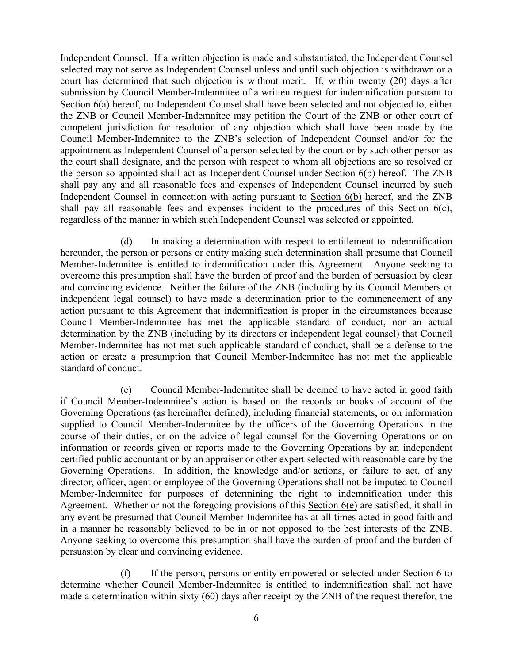Independent Counsel. If a written objection is made and substantiated, the Independent Counsel selected may not serve as Independent Counsel unless and until such objection is withdrawn or a court has determined that such objection is without merit. If, within twenty (20) days after submission by Council Member-Indemnitee of a written request for indemnification pursuant to Section 6(a) hereof, no Independent Counsel shall have been selected and not objected to, either the ZNB or Council Member-Indemnitee may petition the Court of the ZNB or other court of competent jurisdiction for resolution of any objection which shall have been made by the Council Member-Indemnitee to the ZNB's selection of Independent Counsel and/or for the appointment as Independent Counsel of a person selected by the court or by such other person as the court shall designate, and the person with respect to whom all objections are so resolved or the person so appointed shall act as Independent Counsel under Section 6(b) hereof. The ZNB shall pay any and all reasonable fees and expenses of Independent Counsel incurred by such Independent Counsel in connection with acting pursuant to Section 6(b) hereof, and the ZNB shall pay all reasonable fees and expenses incident to the procedures of this Section 6(c), regardless of the manner in which such Independent Counsel was selected or appointed.

(d) In making a determination with respect to entitlement to indemnification hereunder, the person or persons or entity making such determination shall presume that Council Member-Indemnitee is entitled to indemnification under this Agreement. Anyone seeking to overcome this presumption shall have the burden of proof and the burden of persuasion by clear and convincing evidence. Neither the failure of the ZNB (including by its Council Members or independent legal counsel) to have made a determination prior to the commencement of any action pursuant to this Agreement that indemnification is proper in the circumstances because Council Member-Indemnitee has met the applicable standard of conduct, nor an actual determination by the ZNB (including by its directors or independent legal counsel) that Council Member-Indemnitee has not met such applicable standard of conduct, shall be a defense to the action or create a presumption that Council Member-Indemnitee has not met the applicable standard of conduct.

(e) Council Member-Indemnitee shall be deemed to have acted in good faith if Council Member-Indemnitee's action is based on the records or books of account of the Governing Operations (as hereinafter defined), including financial statements, or on information supplied to Council Member-Indemnitee by the officers of the Governing Operations in the course of their duties, or on the advice of legal counsel for the Governing Operations or on information or records given or reports made to the Governing Operations by an independent certified public accountant or by an appraiser or other expert selected with reasonable care by the Governing Operations. In addition, the knowledge and/or actions, or failure to act, of any director, officer, agent or employee of the Governing Operations shall not be imputed to Council Member-Indemnitee for purposes of determining the right to indemnification under this Agreement. Whether or not the foregoing provisions of this Section 6(e) are satisfied, it shall in any event be presumed that Council Member-Indemnitee has at all times acted in good faith and in a manner he reasonably believed to be in or not opposed to the best interests of the ZNB. Anyone seeking to overcome this presumption shall have the burden of proof and the burden of persuasion by clear and convincing evidence.

(f) If the person, persons or entity empowered or selected under Section 6 to determine whether Council Member-Indemnitee is entitled to indemnification shall not have made a determination within sixty (60) days after receipt by the ZNB of the request therefor, the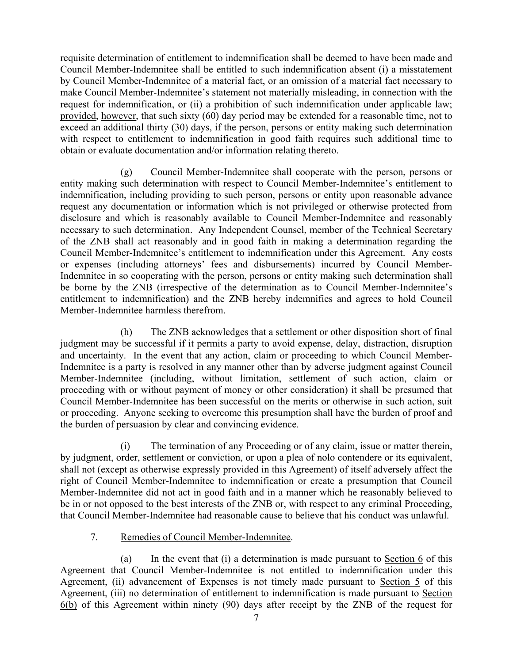requisite determination of entitlement to indemnification shall be deemed to have been made and Council Member-Indemnitee shall be entitled to such indemnification absent (i) a misstatement by Council Member-Indemnitee of a material fact, or an omission of a material fact necessary to make Council Member-Indemnitee's statement not materially misleading, in connection with the request for indemnification, or (ii) a prohibition of such indemnification under applicable law; provided, however, that such sixty (60) day period may be extended for a reasonable time, not to exceed an additional thirty (30) days, if the person, persons or entity making such determination with respect to entitlement to indemnification in good faith requires such additional time to obtain or evaluate documentation and/or information relating thereto.

(g) Council Member-Indemnitee shall cooperate with the person, persons or entity making such determination with respect to Council Member-Indemnitee's entitlement to indemnification, including providing to such person, persons or entity upon reasonable advance request any documentation or information which is not privileged or otherwise protected from disclosure and which is reasonably available to Council Member-Indemnitee and reasonably necessary to such determination. Any Independent Counsel, member of the Technical Secretary of the ZNB shall act reasonably and in good faith in making a determination regarding the Council Member-Indemnitee's entitlement to indemnification under this Agreement. Any costs or expenses (including attorneys' fees and disbursements) incurred by Council Member-Indemnitee in so cooperating with the person, persons or entity making such determination shall be borne by the ZNB (irrespective of the determination as to Council Member-Indemnitee's entitlement to indemnification) and the ZNB hereby indemnifies and agrees to hold Council Member-Indemnitee harmless therefrom.

(h) The ZNB acknowledges that a settlement or other disposition short of final judgment may be successful if it permits a party to avoid expense, delay, distraction, disruption and uncertainty. In the event that any action, claim or proceeding to which Council Member-Indemnitee is a party is resolved in any manner other than by adverse judgment against Council Member-Indemnitee (including, without limitation, settlement of such action, claim or proceeding with or without payment of money or other consideration) it shall be presumed that Council Member-Indemnitee has been successful on the merits or otherwise in such action, suit or proceeding. Anyone seeking to overcome this presumption shall have the burden of proof and the burden of persuasion by clear and convincing evidence.

(i) The termination of any Proceeding or of any claim, issue or matter therein, by judgment, order, settlement or conviction, or upon a plea of nolo contendere or its equivalent, shall not (except as otherwise expressly provided in this Agreement) of itself adversely affect the right of Council Member-Indemnitee to indemnification or create a presumption that Council Member-Indemnitee did not act in good faith and in a manner which he reasonably believed to be in or not opposed to the best interests of the ZNB or, with respect to any criminal Proceeding, that Council Member-Indemnitee had reasonable cause to believe that his conduct was unlawful.

# 7. Remedies of Council Member-Indemnitee.

(a) In the event that (i) a determination is made pursuant to Section 6 of this Agreement that Council Member-Indemnitee is not entitled to indemnification under this Agreement, (ii) advancement of Expenses is not timely made pursuant to Section 5 of this Agreement, (iii) no determination of entitlement to indemnification is made pursuant to Section 6(b) of this Agreement within ninety (90) days after receipt by the ZNB of the request for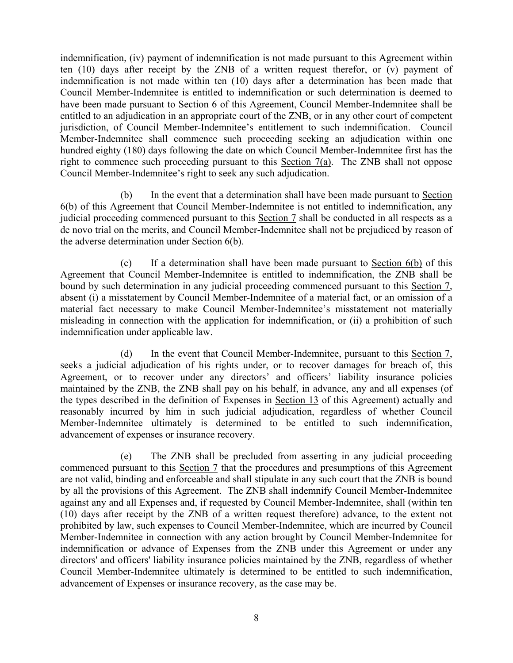indemnification, (iv) payment of indemnification is not made pursuant to this Agreement within ten (10) days after receipt by the ZNB of a written request therefor, or (v) payment of indemnification is not made within ten (10) days after a determination has been made that Council Member-Indemnitee is entitled to indemnification or such determination is deemed to have been made pursuant to Section 6 of this Agreement, Council Member-Indemnitee shall be entitled to an adjudication in an appropriate court of the ZNB, or in any other court of competent jurisdiction, of Council Member-Indemnitee's entitlement to such indemnification. Council Member-Indemnitee shall commence such proceeding seeking an adjudication within one hundred eighty (180) days following the date on which Council Member-Indemnitee first has the right to commence such proceeding pursuant to this Section 7(a). The ZNB shall not oppose Council Member-Indemnitee's right to seek any such adjudication.

(b) In the event that a determination shall have been made pursuant to Section 6(b) of this Agreement that Council Member-Indemnitee is not entitled to indemnification, any judicial proceeding commenced pursuant to this Section 7 shall be conducted in all respects as a de novo trial on the merits, and Council Member-Indemnitee shall not be prejudiced by reason of the adverse determination under Section 6(b).

(c) If a determination shall have been made pursuant to Section 6(b) of this Agreement that Council Member-Indemnitee is entitled to indemnification, the ZNB shall be bound by such determination in any judicial proceeding commenced pursuant to this Section 7, absent (i) a misstatement by Council Member-Indemnitee of a material fact, or an omission of a material fact necessary to make Council Member-Indemnitee's misstatement not materially misleading in connection with the application for indemnification, or (ii) a prohibition of such indemnification under applicable law.

(d) In the event that Council Member-Indemnitee, pursuant to this Section 7, seeks a judicial adjudication of his rights under, or to recover damages for breach of, this Agreement, or to recover under any directors' and officers' liability insurance policies maintained by the ZNB, the ZNB shall pay on his behalf, in advance, any and all expenses (of the types described in the definition of Expenses in Section 13 of this Agreement) actually and reasonably incurred by him in such judicial adjudication, regardless of whether Council Member-Indemnitee ultimately is determined to be entitled to such indemnification, advancement of expenses or insurance recovery.

(e) The ZNB shall be precluded from asserting in any judicial proceeding commenced pursuant to this Section 7 that the procedures and presumptions of this Agreement are not valid, binding and enforceable and shall stipulate in any such court that the ZNB is bound by all the provisions of this Agreement. The ZNB shall indemnify Council Member-Indemnitee against any and all Expenses and, if requested by Council Member-Indemnitee, shall (within ten (10) days after receipt by the ZNB of a written request therefore) advance, to the extent not prohibited by law, such expenses to Council Member-Indemnitee, which are incurred by Council Member-Indemnitee in connection with any action brought by Council Member-Indemnitee for indemnification or advance of Expenses from the ZNB under this Agreement or under any directors' and officers' liability insurance policies maintained by the ZNB, regardless of whether Council Member-Indemnitee ultimately is determined to be entitled to such indemnification, advancement of Expenses or insurance recovery, as the case may be.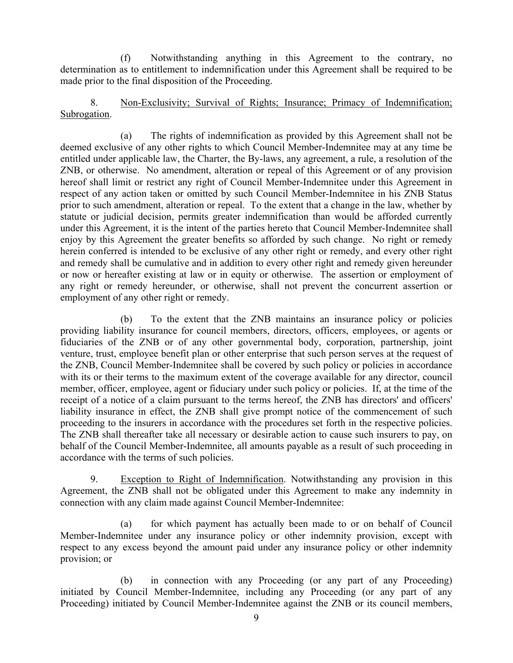(f) Notwithstanding anything in this Agreement to the contrary, no determination as to entitlement to indemnification under this Agreement shall be required to be made prior to the final disposition of the Proceeding.

8. Non-Exclusivity; Survival of Rights; Insurance; Primacy of Indemnification; Subrogation.

(a) The rights of indemnification as provided by this Agreement shall not be deemed exclusive of any other rights to which Council Member-Indemnitee may at any time be entitled under applicable law, the Charter, the By-laws, any agreement, a rule, a resolution of the ZNB, or otherwise. No amendment, alteration or repeal of this Agreement or of any provision hereof shall limit or restrict any right of Council Member-Indemnitee under this Agreement in respect of any action taken or omitted by such Council Member-Indemnitee in his ZNB Status prior to such amendment, alteration or repeal. To the extent that a change in the law, whether by statute or judicial decision, permits greater indemnification than would be afforded currently under this Agreement, it is the intent of the parties hereto that Council Member-Indemnitee shall enjoy by this Agreement the greater benefits so afforded by such change. No right or remedy herein conferred is intended to be exclusive of any other right or remedy, and every other right and remedy shall be cumulative and in addition to every other right and remedy given hereunder or now or hereafter existing at law or in equity or otherwise. The assertion or employment of any right or remedy hereunder, or otherwise, shall not prevent the concurrent assertion or employment of any other right or remedy.

(b) To the extent that the ZNB maintains an insurance policy or policies providing liability insurance for council members, directors, officers, employees, or agents or fiduciaries of the ZNB or of any other governmental body, corporation, partnership, joint venture, trust, employee benefit plan or other enterprise that such person serves at the request of the ZNB, Council Member-Indemnitee shall be covered by such policy or policies in accordance with its or their terms to the maximum extent of the coverage available for any director, council member, officer, employee, agent or fiduciary under such policy or policies. If, at the time of the receipt of a notice of a claim pursuant to the terms hereof, the ZNB has directors' and officers' liability insurance in effect, the ZNB shall give prompt notice of the commencement of such proceeding to the insurers in accordance with the procedures set forth in the respective policies. The ZNB shall thereafter take all necessary or desirable action to cause such insurers to pay, on behalf of the Council Member-Indemnitee, all amounts payable as a result of such proceeding in accordance with the terms of such policies.

9. Exception to Right of Indemnification. Notwithstanding any provision in this Agreement, the ZNB shall not be obligated under this Agreement to make any indemnity in connection with any claim made against Council Member-Indemnitee:

(a) for which payment has actually been made to or on behalf of Council Member-Indemnitee under any insurance policy or other indemnity provision, except with respect to any excess beyond the amount paid under any insurance policy or other indemnity provision; or

(b) in connection with any Proceeding (or any part of any Proceeding) initiated by Council Member-Indemnitee, including any Proceeding (or any part of any Proceeding) initiated by Council Member-Indemnitee against the ZNB or its council members,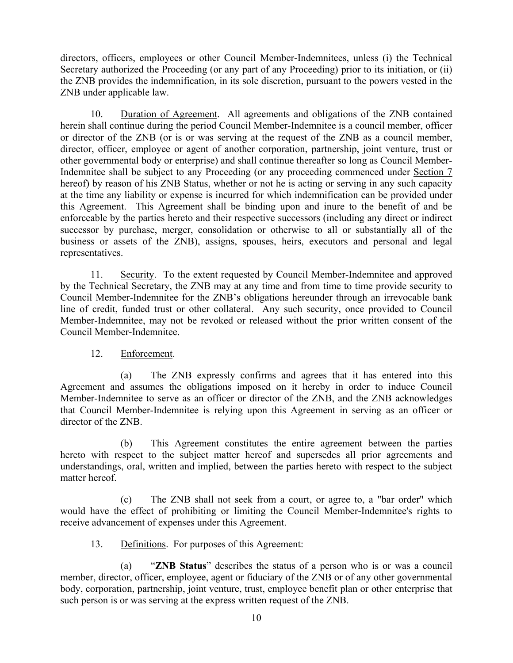directors, officers, employees or other Council Member-Indemnitees, unless (i) the Technical Secretary authorized the Proceeding (or any part of any Proceeding) prior to its initiation, or (ii) the ZNB provides the indemnification, in its sole discretion, pursuant to the powers vested in the ZNB under applicable law.

10. Duration of Agreement. All agreements and obligations of the ZNB contained herein shall continue during the period Council Member-Indemnitee is a council member, officer or director of the ZNB (or is or was serving at the request of the ZNB as a council member, director, officer, employee or agent of another corporation, partnership, joint venture, trust or other governmental body or enterprise) and shall continue thereafter so long as Council Member-Indemnitee shall be subject to any Proceeding (or any proceeding commenced under Section 7 hereof) by reason of his ZNB Status, whether or not he is acting or serving in any such capacity at the time any liability or expense is incurred for which indemnification can be provided under this Agreement. This Agreement shall be binding upon and inure to the benefit of and be enforceable by the parties hereto and their respective successors (including any direct or indirect successor by purchase, merger, consolidation or otherwise to all or substantially all of the business or assets of the ZNB), assigns, spouses, heirs, executors and personal and legal representatives.

11. Security. To the extent requested by Council Member-Indemnitee and approved by the Technical Secretary, the ZNB may at any time and from time to time provide security to Council Member-Indemnitee for the ZNB's obligations hereunder through an irrevocable bank line of credit, funded trust or other collateral. Any such security, once provided to Council Member-Indemnitee, may not be revoked or released without the prior written consent of the Council Member-Indemnitee.

12. Enforcement.

(a) The ZNB expressly confirms and agrees that it has entered into this Agreement and assumes the obligations imposed on it hereby in order to induce Council Member-Indemnitee to serve as an officer or director of the ZNB, and the ZNB acknowledges that Council Member-Indemnitee is relying upon this Agreement in serving as an officer or director of the ZNB.

(b) This Agreement constitutes the entire agreement between the parties hereto with respect to the subject matter hereof and supersedes all prior agreements and understandings, oral, written and implied, between the parties hereto with respect to the subject matter hereof.

(c) The ZNB shall not seek from a court, or agree to, a "bar order" which would have the effect of prohibiting or limiting the Council Member-Indemnitee's rights to receive advancement of expenses under this Agreement.

13. Definitions. For purposes of this Agreement:

(a) "**ZNB Status**" describes the status of a person who is or was a council member, director, officer, employee, agent or fiduciary of the ZNB or of any other governmental body, corporation, partnership, joint venture, trust, employee benefit plan or other enterprise that such person is or was serving at the express written request of the ZNB.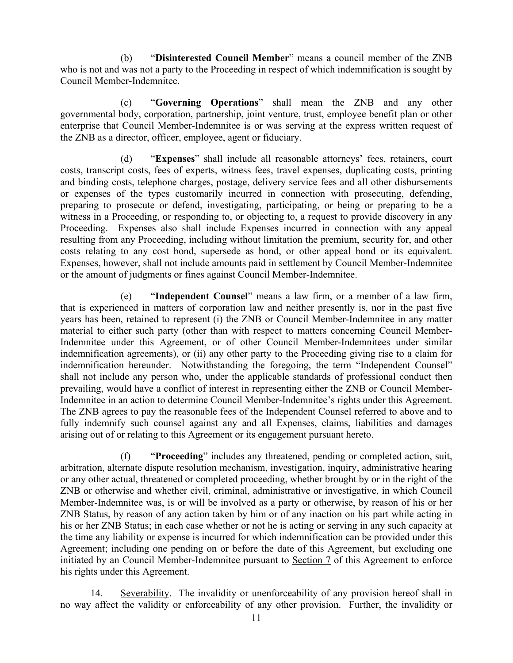(b) "**Disinterested Council Member**" means a council member of the ZNB who is not and was not a party to the Proceeding in respect of which indemnification is sought by Council Member-Indemnitee.

(c) "**Governing Operations**" shall mean the ZNB and any other governmental body, corporation, partnership, joint venture, trust, employee benefit plan or other enterprise that Council Member-Indemnitee is or was serving at the express written request of the ZNB as a director, officer, employee, agent or fiduciary.

(d) "**Expenses**" shall include all reasonable attorneys' fees, retainers, court costs, transcript costs, fees of experts, witness fees, travel expenses, duplicating costs, printing and binding costs, telephone charges, postage, delivery service fees and all other disbursements or expenses of the types customarily incurred in connection with prosecuting, defending, preparing to prosecute or defend, investigating, participating, or being or preparing to be a witness in a Proceeding, or responding to, or objecting to, a request to provide discovery in any Proceeding. Expenses also shall include Expenses incurred in connection with any appeal resulting from any Proceeding, including without limitation the premium, security for, and other costs relating to any cost bond, supersede as bond, or other appeal bond or its equivalent. Expenses, however, shall not include amounts paid in settlement by Council Member-Indemnitee or the amount of judgments or fines against Council Member-Indemnitee.

(e) "**Independent Counsel**" means a law firm, or a member of a law firm, that is experienced in matters of corporation law and neither presently is, nor in the past five years has been, retained to represent (i) the ZNB or Council Member-Indemnitee in any matter material to either such party (other than with respect to matters concerning Council Member-Indemnitee under this Agreement, or of other Council Member-Indemnitees under similar indemnification agreements), or (ii) any other party to the Proceeding giving rise to a claim for indemnification hereunder. Notwithstanding the foregoing, the term "Independent Counsel" shall not include any person who, under the applicable standards of professional conduct then prevailing, would have a conflict of interest in representing either the ZNB or Council Member-Indemnitee in an action to determine Council Member-Indemnitee's rights under this Agreement. The ZNB agrees to pay the reasonable fees of the Independent Counsel referred to above and to fully indemnify such counsel against any and all Expenses, claims, liabilities and damages arising out of or relating to this Agreement or its engagement pursuant hereto.

(f) "**Proceeding**" includes any threatened, pending or completed action, suit, arbitration, alternate dispute resolution mechanism, investigation, inquiry, administrative hearing or any other actual, threatened or completed proceeding, whether brought by or in the right of the ZNB or otherwise and whether civil, criminal, administrative or investigative, in which Council Member-Indemnitee was, is or will be involved as a party or otherwise, by reason of his or her ZNB Status, by reason of any action taken by him or of any inaction on his part while acting in his or her ZNB Status; in each case whether or not he is acting or serving in any such capacity at the time any liability or expense is incurred for which indemnification can be provided under this Agreement; including one pending on or before the date of this Agreement, but excluding one initiated by an Council Member-Indemnitee pursuant to Section 7 of this Agreement to enforce his rights under this Agreement.

14. Severability. The invalidity or unenforceability of any provision hereof shall in no way affect the validity or enforceability of any other provision. Further, the invalidity or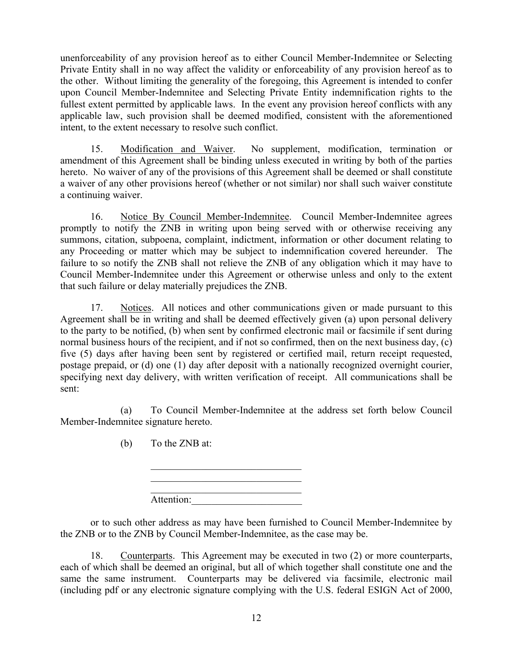unenforceability of any provision hereof as to either Council Member-Indemnitee or Selecting Private Entity shall in no way affect the validity or enforceability of any provision hereof as to the other. Without limiting the generality of the foregoing, this Agreement is intended to confer upon Council Member-Indemnitee and Selecting Private Entity indemnification rights to the fullest extent permitted by applicable laws. In the event any provision hereof conflicts with any applicable law, such provision shall be deemed modified, consistent with the aforementioned intent, to the extent necessary to resolve such conflict.

15. Modification and Waiver. No supplement, modification, termination or amendment of this Agreement shall be binding unless executed in writing by both of the parties hereto. No waiver of any of the provisions of this Agreement shall be deemed or shall constitute a waiver of any other provisions hereof (whether or not similar) nor shall such waiver constitute a continuing waiver.

16. Notice By Council Member-Indemnitee. Council Member-Indemnitee agrees promptly to notify the ZNB in writing upon being served with or otherwise receiving any summons, citation, subpoena, complaint, indictment, information or other document relating to any Proceeding or matter which may be subject to indemnification covered hereunder. The failure to so notify the ZNB shall not relieve the ZNB of any obligation which it may have to Council Member-Indemnitee under this Agreement or otherwise unless and only to the extent that such failure or delay materially prejudices the ZNB.

17. Notices. All notices and other communications given or made pursuant to this Agreement shall be in writing and shall be deemed effectively given (a) upon personal delivery to the party to be notified, (b) when sent by confirmed electronic mail or facsimile if sent during normal business hours of the recipient, and if not so confirmed, then on the next business day, (c) five (5) days after having been sent by registered or certified mail, return receipt requested, postage prepaid, or (d) one (1) day after deposit with a nationally recognized overnight courier, specifying next day delivery, with written verification of receipt. All communications shall be sent:

(a) To Council Member-Indemnitee at the address set forth below Council Member-Indemnitee signature hereto.

(b) To the ZNB at:

Attention:

 $\mathcal{L}_\text{max}$  , where  $\mathcal{L}_\text{max}$  and  $\mathcal{L}_\text{max}$ 

or to such other address as may have been furnished to Council Member-Indemnitee by the ZNB or to the ZNB by Council Member-Indemnitee, as the case may be.

18. Counterparts. This Agreement may be executed in two (2) or more counterparts, each of which shall be deemed an original, but all of which together shall constitute one and the same the same instrument. Counterparts may be delivered via facsimile, electronic mail (including pdf or any electronic signature complying with the U.S. federal ESIGN Act of 2000,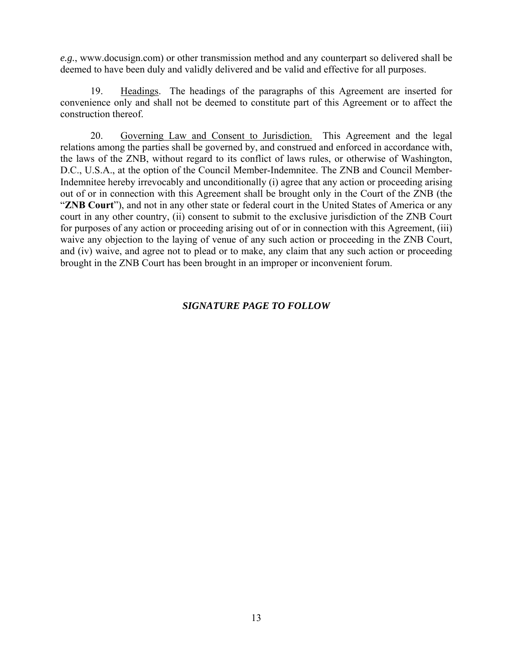*e.g.*, www.docusign.com) or other transmission method and any counterpart so delivered shall be deemed to have been duly and validly delivered and be valid and effective for all purposes.

19. Headings. The headings of the paragraphs of this Agreement are inserted for convenience only and shall not be deemed to constitute part of this Agreement or to affect the construction thereof.

20. Governing Law and Consent to Jurisdiction. This Agreement and the legal relations among the parties shall be governed by, and construed and enforced in accordance with, the laws of the ZNB, without regard to its conflict of laws rules, or otherwise of Washington, D.C., U.S.A., at the option of the Council Member-Indemnitee. The ZNB and Council Member-Indemnitee hereby irrevocably and unconditionally (i) agree that any action or proceeding arising out of or in connection with this Agreement shall be brought only in the Court of the ZNB (the "**ZNB Court**"), and not in any other state or federal court in the United States of America or any court in any other country, (ii) consent to submit to the exclusive jurisdiction of the ZNB Court for purposes of any action or proceeding arising out of or in connection with this Agreement, (iii) waive any objection to the laying of venue of any such action or proceeding in the ZNB Court, and (iv) waive, and agree not to plead or to make, any claim that any such action or proceeding brought in the ZNB Court has been brought in an improper or inconvenient forum.

# *SIGNATURE PAGE TO FOLLOW*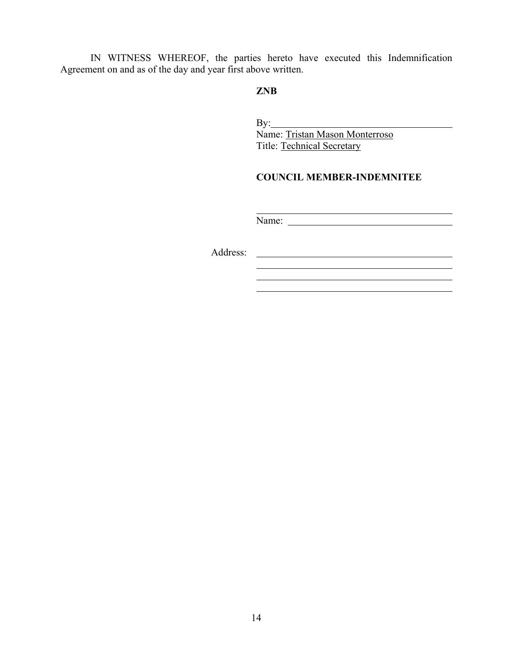IN WITNESS WHEREOF, the parties hereto have executed this Indemnification Agreement on and as of the day and year first above written.

### **ZNB**

By: **Example 2018** Name: Tristan Mason Monterroso Title: Technical Secretary

# **COUNCIL MEMBER-INDEMNITEE**

Name:

 $\overline{a}$ 

Address: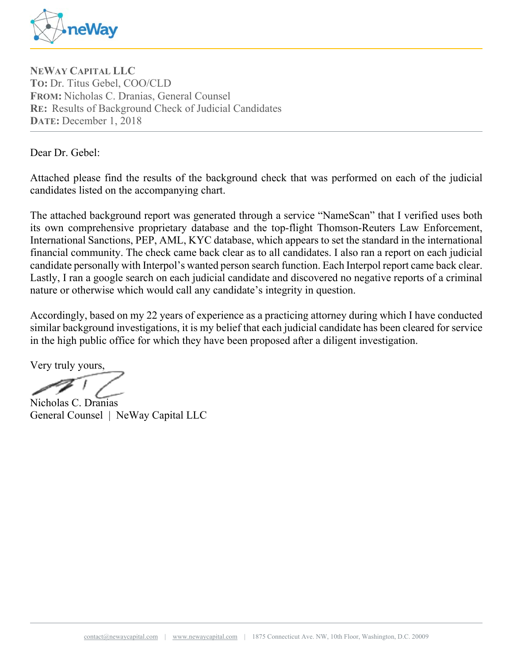

**NEWAY CAPITAL LLC TO:** Dr. Titus Gebel, COO/CLD **FROM:** Nicholas C. Dranias, General Counsel **RE:** Results of Background Check of Judicial Candidates **DATE:** December 1, 2018

Dear Dr. Gebel:

Attached please find the results of the background check that was performed on each of the judicial candidates listed on the accompanying chart.

The attached background report was generated through a service "NameScan" that I verified uses both its own comprehensive proprietary database and the top-flight Thomson-Reuters Law Enforcement, International Sanctions, PEP, AML, KYC database, which appears to set the standard in the international financial community. The check came back clear as to all candidates. I also ran a report on each judicial candidate personally with Interpol's wanted person search function. Each Interpol report came back clear. Lastly, I ran a google search on each judicial candidate and discovered no negative reports of a criminal nature or otherwise which would call any candidate's integrity in question.

Accordingly, based on my 22 years of experience as a practicing attorney during which I have conducted similar background investigations, it is my belief that each judicial candidate has been cleared for service in the high public office for which they have been proposed after a diligent investigation.

Very truly yours,

Nicholas C. Dranias General Counsel | NeWay Capital LLC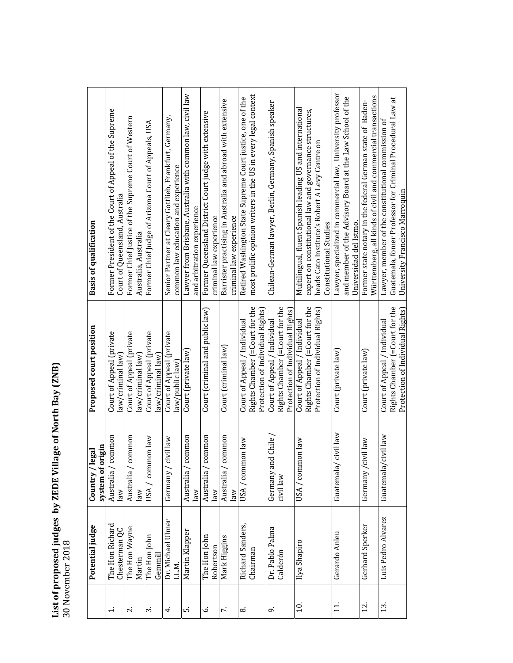# List of proposed judges by ZEDE Village of North Bay (ZNB)<br>30 November 2018 **List of proposed judges by ZEDE Village of North Bay (ZNB)** 30 November 2018

|                          | Potential judge           | system of origin<br>legal<br>Country / | Proposed court position                                            | <b>Basis of qualification</b>                                                          |
|--------------------------|---------------------------|----------------------------------------|--------------------------------------------------------------------|----------------------------------------------------------------------------------------|
| $\div$                   | The Hon Richard           | common<br>Australia /                  | Court of Appeal (private                                           | Former President of the Court of Appeal of the Supreme                                 |
|                          | Chesterman QC             | law                                    | law/criminal law)                                                  | Court of Queensland, Australia                                                         |
| $\overline{\mathcal{N}}$ | The Hon Wayne<br>Martin   | common<br>Australia /<br>law           | Court of Appeal (private<br>law/criminal law                       | Former Chief Justice of the Supreme Court of Western<br>Australia, Australia           |
| $\dot{\phantom{1}}$      | The Hon John<br>Gemmil    | mon law<br>USA / com                   | Court of Appeal (private<br>law/criminal law]                      | Former Chief Judge of Arizona Court of Appeals, USA                                    |
| 4.                       | Dr. Michael Ulmer         | civil law<br>Germany /                 | Court of Appeal (private                                           | Senior Partner at Cleary Gottlieb, Frankfurt, Germany,                                 |
|                          | LL.M.                     |                                        | law/public law]                                                    | common law education and experience                                                    |
| ທ່                       | Martin Klapper            | common<br>Australia /                  | Court (private law)                                                | Lawyer from Brisbane, Australia with common law, civil law                             |
|                          |                           | law                                    |                                                                    | and arbitration experience                                                             |
| Ġ                        | The Hon John<br>Robertson | common<br>Australia /<br>law           | Court (criminal and public law)                                    | Former Queensland District Court judge with extensive<br>criminal law experience       |
| $\mathbf{r}$             | Mark Higgins              | common<br>Australia<br>law             | Court (criminal law)                                               | Barrister practising in Australia and abroad with extensive<br>criminal law experience |
| ∞                        | Richard Sanders,          | USA / common law                       | Court of Appeal / Individual                                       | Retired Washington State Supreme Court justice, one of the                             |
|                          | Chairman                  |                                        | Rights Chamber (=Court for the                                     | most prolific opinion writers in the US in every legal context                         |
|                          |                           |                                        | Protection of Individual Rights                                    |                                                                                        |
| c,                       | Dr. Pablo Palma           | nd Chile<br>Germany an                 | Court of Appeal / Individual                                       | Chilean-German lawyer, Berlin, Germany, Spanish speaker                                |
|                          | Calderón                  | civil law                              | Rights Chamber (=Court for the<br>Protection of Individual Rights) |                                                                                        |
| $\overline{10}$ .        | Ilya Shapiro              | USA / common law                       | Court of Appeal / Individual                                       | Multilingual, fluent Spanish leading US and international                              |
|                          |                           |                                        | Rights Chamber (=Court for the                                     | expert on constitutional law and governance structures,                                |
|                          |                           |                                        | Protection of Individual Rights)                                   | heads Cato Institute's Robert A Levy Centre on<br>Constitutional Studies               |
| $\Xi$                    | Gerardo Anleu             | civil law<br>Guatemala,                | Court (private law)                                                | Lawyer, specialized in commercial law, University professor                            |
|                          |                           |                                        |                                                                    | and member of the Advisory Board at the Law School of the<br>Universidad del Istmo.    |
| 12.                      | Gerhard Sperker           | Germany /civil law                     | Court (private law)                                                | Former state notary in the federal German state of Baden-                              |
|                          |                           |                                        |                                                                    | Württemberg, all kinds of civil and commercial transactions                            |
| 13.                      | Luis Pedro Alvarez        | civil law<br>Guatemala/                | Court of Appeal / Individual                                       | Lawyer, member of the constitutional commission of                                     |
|                          |                           |                                        | Rights Chamber (=Court for the                                     | Guatemala, fomer Professor for Criminal Procedural Law at                              |
|                          |                           |                                        | Protection of Individual Rights                                    | University Francisco Marroquin                                                         |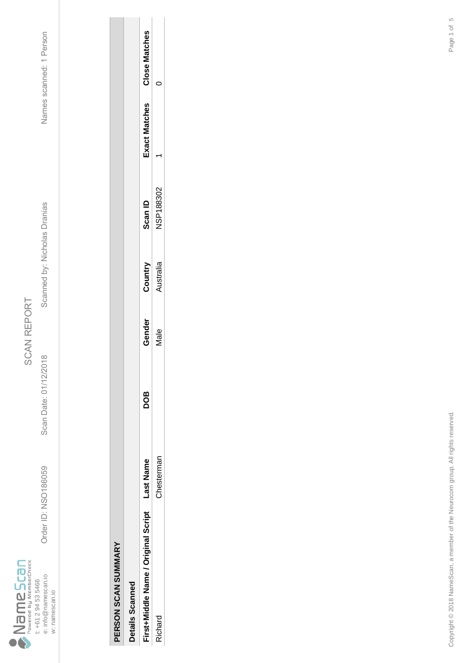

Order ID: NSO186059 Scan Date: 01/12/2018 Scanned by: Nicholas Dranias Names scanned: 1 Person Scanned by: Nicholas Dranias

Scan Date: 01/12/2018

Order ID: NSO186059

Names scanned: 1 Person

| $\frac{1}{2}$ |
|---------------|
| í             |
| í             |
|               |

| ì |                  |
|---|------------------|
|   |                  |
|   |                  |
|   |                  |
|   |                  |
|   |                  |
|   |                  |
|   |                  |
|   | í<br>ì<br>ž<br>ì |

| Details Scannec                     |            |     |        |           |                |              |                      |
|-------------------------------------|------------|-----|--------|-----------|----------------|--------------|----------------------|
| First+Middle Name / Original Script | ast Name   | BOD | Gender | Country   | <b>Scan ID</b> | xact Matches | <b>Close Matches</b> |
| ichard                              | hestermal. |     | vlale  | Nustralia | SP188302       |              |                      |
|                                     |            |     |        |           |                |              |                      |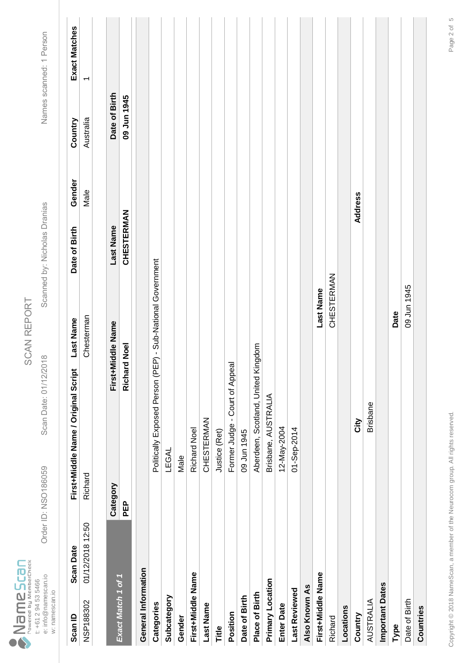|                                   |                     | Order ID: NSO186059 |                |  |
|-----------------------------------|---------------------|---------------------|----------------|--|
| Powered by MemberCheck<br>ameScan | t: +61 2 94 53 5466 | e: info@namescan.io | w: namescan.io |  |

Scan Date: 01/12/2018

Order ID: NSO186059 Scan Date: 01/12/2018 Scanned by: Nicholas Dranias Names scanned: 1 Person Scanned by: Nicholas Dranias

Names scanned: 1 Person

Exact Matches

Country

Gender

Date of Birth

**Last Name** 

First+Middle Name / Original Script

**Scan Date** 

Scan ID

| Scan ID             | <b>Scan Date</b> |          | First+Middle Name / Original Script | Last Name                     | Date of Birth     | Gender         | Country       | Exact Matches            |
|---------------------|------------------|----------|-------------------------------------|-------------------------------|-------------------|----------------|---------------|--------------------------|
| NSP188302           | 01/12/2018 12:50 | Richard  |                                     | Chesterman                    |                   | Male           | Australia     | $\overline{\phantom{0}}$ |
|                     |                  |          |                                     |                               |                   |                |               |                          |
|                     |                  | Category | First+Middle Name                   |                               | Last Name         |                | Date of Birth |                          |
| Exact Match 1 of 1  |                  | PEP      | <b>Jook</b><br>Richar               |                               | <b>CHESTERMAN</b> |                | 09 Jun 1945   |                          |
| General Information |                  |          |                                     |                               |                   |                |               |                          |
| Categories          |                  |          | Politically Exposed Person (PI      | EP) - Sub-National Government |                   |                |               |                          |
| Subcategory         |                  |          | <b>TEGAL</b>                        |                               |                   |                |               |                          |
| Gender              |                  |          | Male                                |                               |                   |                |               |                          |
| First+Middle Name   |                  |          | <b>Richard Noel</b>                 |                               |                   |                |               |                          |
| <b>Last Name</b>    |                  |          | <b>CHESTERMAN</b>                   |                               |                   |                |               |                          |
| Title               |                  |          | Justice (Ret)                       |                               |                   |                |               |                          |
| Position            |                  |          | Former Judge - Court of Appeal      |                               |                   |                |               |                          |
| Date of Birth       |                  |          | 09 Jun 1945                         |                               |                   |                |               |                          |
| Place of Birth      |                  |          | Aberdeen, Scotland, United Kingdom  |                               |                   |                |               |                          |
| Primary Location    |                  |          | Brisbane, AUSTRALIA                 |                               |                   |                |               |                          |
| <b>Enter Date</b>   |                  |          | 12-May-2004                         |                               |                   |                |               |                          |
| Last Reviewed       |                  |          | 01-Sep-2014                         |                               |                   |                |               |                          |
| Also Known As       |                  |          |                                     |                               |                   |                |               |                          |
| First+Middle Name   |                  |          |                                     | Last Name                     |                   |                |               |                          |
| Richard             |                  |          |                                     | CHESTERMAN                    |                   |                |               |                          |
| Locations           |                  |          |                                     |                               |                   |                |               |                          |
| Country             |                  |          | <b>NiΩ</b>                          |                               |                   | <b>Address</b> |               |                          |
| <b>AUSTRALIA</b>    |                  |          | <b>Brisbane</b>                     |                               |                   |                |               |                          |
| Important Dates     |                  |          |                                     |                               |                   |                |               |                          |
| Type                |                  |          |                                     | Date                          |                   |                |               |                          |
| Date of Birth       |                  |          |                                     | 09 Jun 1945                   |                   |                |               |                          |
| Countries           |                  |          |                                     |                               |                   |                |               |                          |
|                     |                  |          |                                     |                               |                   |                |               |                          |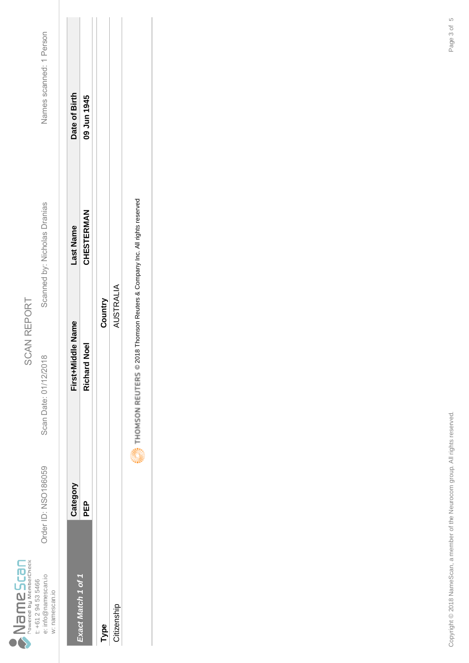|                                |                     | Order ID: NSO186059 |                |
|--------------------------------|---------------------|---------------------|----------------|
| Powered by MemberCheck<br>Scan | t: +61 2 94 53 5466 | e: info@namescan.io | w: namescan.io |

Scan Date: 01/12/2018

Scanned by: Nicholas Dranias

Names scanned: 1 Person Order ID: NSO186059 Scan Date: 01/12/2018 Scanned by: Nicholas Dranias Names scanned: 1 Person

|                          | Category | First+Middle Name   | Last Name  | Date of Birth |
|--------------------------|----------|---------------------|------------|---------------|
| <b>xact Match 1 of 1</b> | 인<br>모   | <b>Richard Noel</b> | CHESTERMAN | 09 Jun 1945   |
|                          |          |                     |            |               |
| Type                     |          | Country             |            |               |
| Citizenship              |          | AUSTRALIA           |            |               |
|                          | ĺ        |                     |            |               |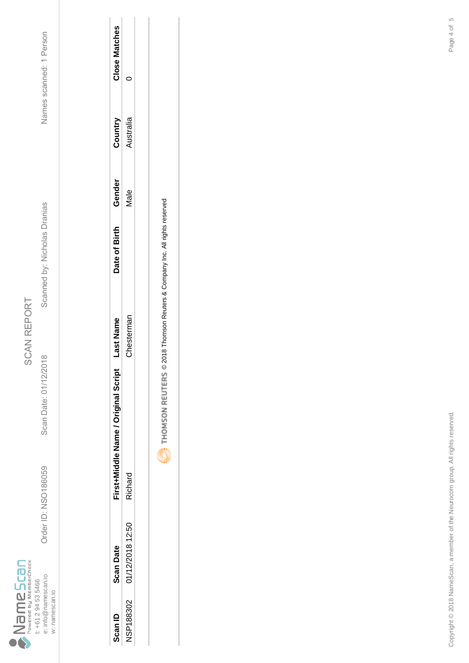

Scan Date: 01/12/2018

Order ID: NSO186059

Order ID: NSO186059 Scan Date: 01/12/2018 Scanned by: Nicholas Dranias Names scanned: 1 Person Scanned by: Nicholas Dranias

Names scanned: 1 Person

| Scan ID          | <b>Scan Date</b> | First+Middle Name / Original Script | ast Name  | Date of Birth | Gender      | Country  | <b>Close Matches</b> |
|------------------|------------------|-------------------------------------|-----------|---------------|-------------|----------|----------------------|
| <b>NSP188302</b> | 01/12/2018 12:50 | Richard                             | hestermal |               | <b>Jale</b> | ustralia |                      |
|                  |                  |                                     |           |               |             |          |                      |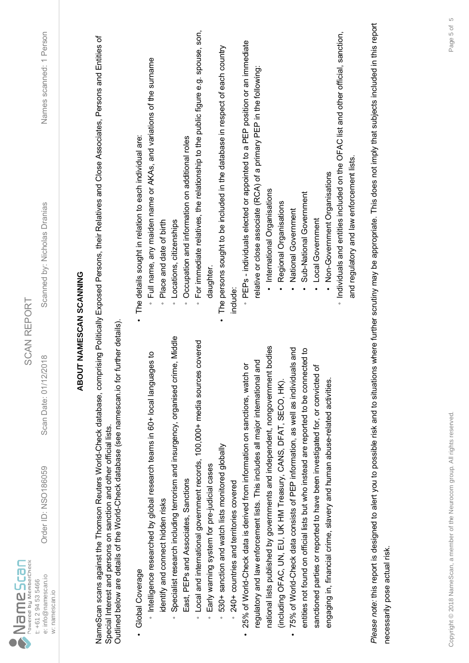| $\sum_{\text{Powered by MemberCheck}}$<br>e: info@namescan.io<br>t: +61 2 94 53 5466<br>w: namescan.io | Order ID: NSO186059                                                                                                                               | 2018<br>Scan Date: 01/12/                                                            | Names scanned: 1 Person<br>Scanned by: Nicholas Dranias<br><b>SCAN REPORT</b>                                                                                                             |
|--------------------------------------------------------------------------------------------------------|---------------------------------------------------------------------------------------------------------------------------------------------------|--------------------------------------------------------------------------------------|-------------------------------------------------------------------------------------------------------------------------------------------------------------------------------------------|
|                                                                                                        |                                                                                                                                                   |                                                                                      | ABOUT NAMESCAN SCANNING                                                                                                                                                                   |
|                                                                                                        | Outlined below are details of the World-Check database (see namescan.io for<br>Special Interest and persons on sanction and other official lists. | further details)                                                                     | NameScan scans against the Thomson Reuters World-Check database, comprising Politically Exposed Persons, their Relatives and Close Associates, Persons and Entities of                    |
| Global Coverage                                                                                        |                                                                                                                                                   |                                                                                      | The details sought in relation to each individual are:                                                                                                                                    |
| identify and connect hidden risks                                                                      | htelligence researched by global research teams in 60+ local langua                                                                               | ges to                                                                               | Full name, any maiden name or AKAs, and variations of the surname<br>Place and date of birth<br>$\circ$<br>$\circ$                                                                        |
|                                                                                                        |                                                                                                                                                   | Specialist research including terrorism and insurgency, organised crime, Middle      | Locations, citizenships<br>$\circ$                                                                                                                                                        |
|                                                                                                        | East, PEPs and Associates, Sanctions                                                                                                              |                                                                                      | Occupation and information on additional roles<br>$\circ$                                                                                                                                 |
|                                                                                                        |                                                                                                                                                   | Local and international government records, 100,000+ media sources covered           | For immediate relatives, the relationship to the public figure e.g. spouse, son,<br>$\circ$                                                                                               |
| $\circ$                                                                                                | Early warning system for pre-judicial cases                                                                                                       |                                                                                      | daughter                                                                                                                                                                                  |
| $\circ$                                                                                                | 530+ sanction and watch lists monitored globally                                                                                                  |                                                                                      | The persons sought to be included in the database in respect of each country                                                                                                              |
|                                                                                                        | 240+ countries and territories covered                                                                                                            |                                                                                      | include:                                                                                                                                                                                  |
|                                                                                                        | 25% of World-Check data is derived from information on sanctions, watch                                                                           | ŏ                                                                                    | PEPs - individuals elected or appointed to a PEP position or an immediate                                                                                                                 |
|                                                                                                        | regulatory and law enforcement lists. This includes all major international                                                                       | and                                                                                  | relative or close associate (RCA) of a primary PEP in the following:                                                                                                                      |
|                                                                                                        |                                                                                                                                                   | national lists published by governments and independent, nongovernment bodies        | International Organisations                                                                                                                                                               |
|                                                                                                        | (induding OFAC, UN, EU, UK HM Treasury, CANS, DFAT, SECO, HK).                                                                                    |                                                                                      | Regional Organisations                                                                                                                                                                    |
|                                                                                                        | 75% of World-Check data consists of PEP information, as well as individu                                                                          | lals and                                                                             | National Government                                                                                                                                                                       |
|                                                                                                        |                                                                                                                                                   | entities not found on official lists but who instead are reported to be connected to | Sub-National Government                                                                                                                                                                   |
|                                                                                                        | sanctioned parties or reported to have been investigated for, or convicted                                                                        | 'ত                                                                                   | Local Government                                                                                                                                                                          |
|                                                                                                        | engaging in, financial crime, slavery and human abuse-related activities.                                                                         |                                                                                      | Non-Government Organisations                                                                                                                                                              |
|                                                                                                        |                                                                                                                                                   |                                                                                      | · Individuals and entities included on the OFAC list and other official, sanction,                                                                                                        |
|                                                                                                        |                                                                                                                                                   |                                                                                      | and regulatory and law enforcement lists.                                                                                                                                                 |
|                                                                                                        |                                                                                                                                                   |                                                                                      | Please note: this report is designed to alert you to possible risk and to situations where further scrutiny may be appropriate. This does not imply that subjects included in this report |
| necessarily pose actual risk.                                                                          |                                                                                                                                                   |                                                                                      |                                                                                                                                                                                           |
|                                                                                                        |                                                                                                                                                   |                                                                                      |                                                                                                                                                                                           |
|                                                                                                        |                                                                                                                                                   |                                                                                      |                                                                                                                                                                                           |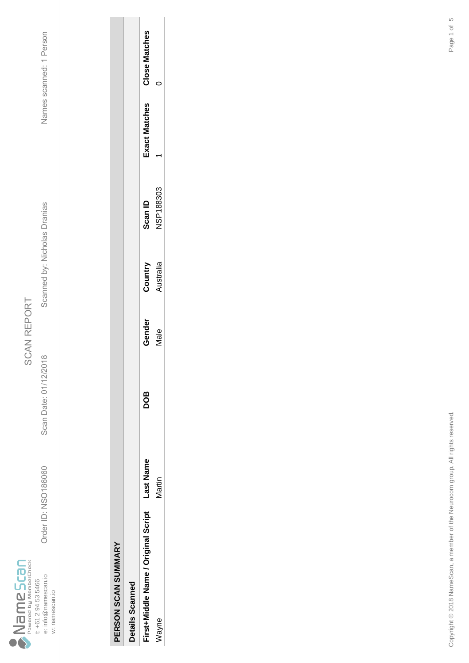

Order ID: NSO186060 Scan Date: 01/12/2018 Scanned by: Nicholas Dranias Names scanned: 1 Person Scanned by: Nicholas Dranias

Scan Date: 01/12/2018

Order ID: NSO186060

Names scanned: 1 Person

| ı |
|---|
|   |
|   |
|   |
|   |
|   |
|   |
|   |
|   |
|   |

| ì |
|---|
|   |
|   |
|   |
|   |
|   |
|   |
|   |
|   |

| Details Scanned                     |          |     |        |          |                  |              |                      |
|-------------------------------------|----------|-----|--------|----------|------------------|--------------|----------------------|
| First+Middle Name / Original Script | ast Name | DOG | Gender | Country  | <b>Can ID</b>    | xact Matches | <b>Close Matches</b> |
| javne                               | /lartin  |     | lale   | ustralia | <b>JSP188303</b> |              |                      |
|                                     |          |     |        |          |                  |              |                      |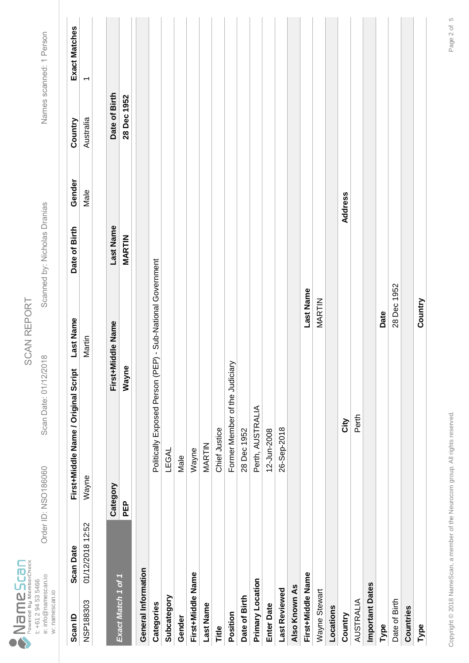|                                    |                     | Order ID: NSO186060 |                |
|------------------------------------|---------------------|---------------------|----------------|
| Powered by MemberCheck<br>anesseme | t: +61 2 94 53 5466 | e: info@namescan.io | w: namescan.io |

Scan Date: 01/12/2018

Order ID: NSO186060 Scan Date: 01/12/2018 Scanned by: Nicholas Dranias Names scanned: 1 Person Scanned by: Nicholas Dranias

Names scanned: 1 Person

Exact Matches

Country

Gender

Date of Birth

**Last Name** 

First+Middle Name / Original Script

**Scan Date** 

Scan ID

| Scan ID                | <b>Scan Date</b> |          | Last Name<br>First+Middle Name / orpplierts-in-            | Date of Birth | Gender  | Country       | Exact Matches |
|------------------------|------------------|----------|------------------------------------------------------------|---------------|---------|---------------|---------------|
| NSP188303              | 01/12/2018 12:52 | Wayne    | Martin                                                     |               | Male    | Australia     |               |
|                        |                  |          |                                                            |               |         |               |               |
| Exact Match 1 of 1     |                  | Category | First+Middle Name                                          | Last Name     |         | Date of Birth |               |
|                        |                  | PEP      | Wayne                                                      | <b>MARTIN</b> |         | 28 Dec 1952   |               |
| General Information    |                  |          |                                                            |               |         |               |               |
| Categories             |                  |          | Politically Exposed Person (PEP) - Sub-National Government |               |         |               |               |
| Subcategory            |                  |          | <b>LEGAL</b>                                               |               |         |               |               |
| Gender                 |                  |          | Male                                                       |               |         |               |               |
| First+Middle Name      |                  |          | Wayne                                                      |               |         |               |               |
| <b>Last Name</b>       |                  |          | MARTIN                                                     |               |         |               |               |
| Title                  |                  |          | Chief Justice                                              |               |         |               |               |
| Position               |                  |          | Former Member of the Judiciary                             |               |         |               |               |
| Date of Birth          |                  |          | 28 Dec 1952                                                |               |         |               |               |
| Primary Location       |                  |          | Perth, AUSTRALIA                                           |               |         |               |               |
| <b>Enter Date</b>      |                  |          | 12-Jun-2008                                                |               |         |               |               |
| <b>Last Reviewed</b>   |                  |          | 26-Sep-2018                                                |               |         |               |               |
| Also Known As          |                  |          |                                                            |               |         |               |               |
| First+Middle Name      |                  |          |                                                            | Last Name     |         |               |               |
| Wayne Stewart          |                  |          |                                                            | MARTIN        |         |               |               |
| Locations              |                  |          |                                                            |               |         |               |               |
| Country                |                  |          | City                                                       |               | Address |               |               |
| AUSTRALIA              |                  |          | Perth                                                      |               |         |               |               |
| <b>Important Dates</b> |                  |          |                                                            |               |         |               |               |
| Type                   |                  |          | Date                                                       |               |         |               |               |
| Date of Birth          |                  |          |                                                            | 28 Dec 1952   |         |               |               |
| Countries              |                  |          |                                                            |               |         |               |               |
| Type                   |                  |          |                                                            | Country       |         |               |               |
|                        |                  |          |                                                            |               |         |               |               |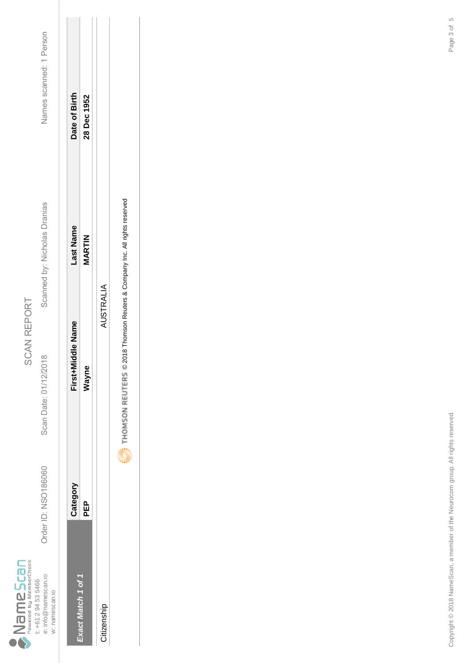|      |                        |                     | Order ID: NSO186060 |                |
|------|------------------------|---------------------|---------------------|----------------|
| Scan | Powered by MemberCheck | t: +61 2 94 53 5466 | e: info@namescan.ic | w: namescan.io |

w: namescan.io

SCAN REPORT SCAN REPORT

Scan Date: 01/12/2018

Scanned by: Nicholas Dranias

Names scanned: 1 Person Order ID: NSO186060 Scan Date: 01/12/2018 Scanned by: Nicholas Dranias Names scanned: 1 Person

|                   | Category | Middle Name<br><b>IFSt+I</b> | ast Name      | Date of Birth |
|-------------------|----------|------------------------------|---------------|---------------|
| vact Match 1 of 1 | 요<br>모   | vayn                         | <b>MARTIN</b> | 28 Dec 1952   |
| Citizenship       |          | AUSTRALIA                    |               |               |

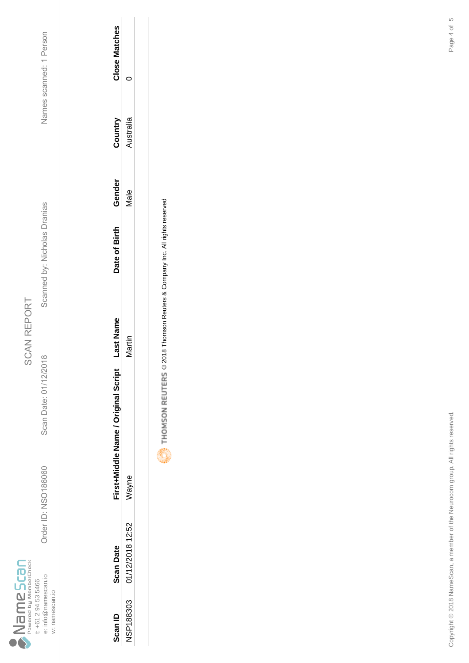

Scan Date: 01/12/2018

Order ID: NSO186060

Scanned by: Nicholas Dranias

Names scanned: 1 Person Order ID: NSO186060 Scan Date: 01/12/2018 Scanned by: Nicholas Dranias Names scanned: 1 Person

| Scan ID   | <b>Scan Date</b> | First+Middle Name / Original Script | ast Nam | Date of Birth | Gender | Cuntry   | <b>lose Matches</b> |
|-----------|------------------|-------------------------------------|---------|---------------|--------|----------|---------------------|
| NSP188303 | 01/12/2018 12:52 | Vayne                               | ۲<br>E  |               | vlale  | ustralia |                     |
|           |                  |                                     |         |               |        |          |                     |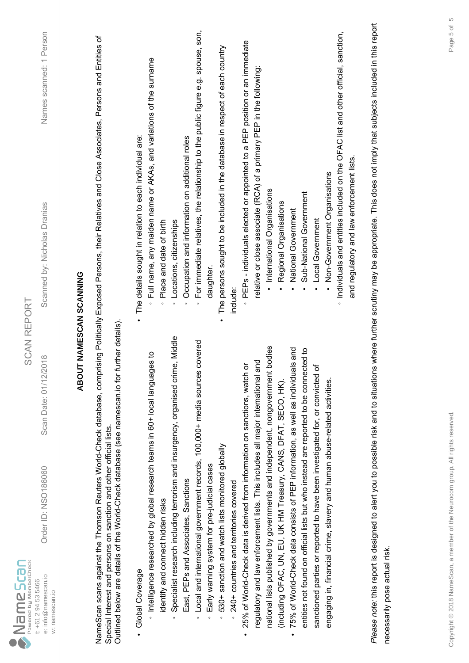| $\sum_{\text{Powered by MemberCheck}}$<br>e: info@namescan.io<br>t: +61 2 94 53 5466<br>w: namescan.io | Order ID: NSO186060                                                                                                                               | 2018<br>Scan Date: 01/12/                                                            | Names scanned: 1 Person<br>Scanned by: Nicholas Dranias<br><b>SCAN REPORT</b>                                                                                                             |  |
|--------------------------------------------------------------------------------------------------------|---------------------------------------------------------------------------------------------------------------------------------------------------|--------------------------------------------------------------------------------------|-------------------------------------------------------------------------------------------------------------------------------------------------------------------------------------------|--|
|                                                                                                        |                                                                                                                                                   |                                                                                      | ABOUT NAMESCAN SCANNING                                                                                                                                                                   |  |
|                                                                                                        | Outlined below are details of the World-Check database (see namescan.io for<br>Special Interest and persons on sanction and other official lists. | further details)                                                                     | NameScan scans against the Thomson Reuters World-Check database, comprising Politically Exposed Persons, their Relatives and Close Associates, Persons and Entities of                    |  |
| Global Coverage                                                                                        |                                                                                                                                                   |                                                                                      | The details sought in relation to each individual are:                                                                                                                                    |  |
| identify and connect hidden risks                                                                      | htelligence researched by global research teams in 60+ local langua                                                                               | ges to                                                                               | Full name, any maiden name or AKAs, and variations of the surname<br>Place and date of birth<br>$\circ$<br>$\circ$                                                                        |  |
|                                                                                                        |                                                                                                                                                   | Specialist research including terrorism and insurgency, organised crime, Middle      | Locations, citizenships<br>$\circ$                                                                                                                                                        |  |
|                                                                                                        | East, PEPs and Associates, Sanctions                                                                                                              |                                                                                      | Occupation and information on additional roles<br>$\circ$                                                                                                                                 |  |
|                                                                                                        |                                                                                                                                                   | Local and international government records, 100,000+ media sources covered           | For immediate relatives, the relationship to the public figure e.g. spouse, son,<br>$\circ$                                                                                               |  |
| $\circ$                                                                                                | Early warning system for pre-judicial cases                                                                                                       |                                                                                      | daughter                                                                                                                                                                                  |  |
| $\circ$                                                                                                | 530+ sanction and watch lists monitored globally                                                                                                  |                                                                                      | The persons sought to be included in the database in respect of each country                                                                                                              |  |
|                                                                                                        | 240+ countries and territories covered                                                                                                            |                                                                                      | include:                                                                                                                                                                                  |  |
|                                                                                                        | 25% of World-Check data is derived from information on sanctions, watch                                                                           | ŏ                                                                                    | PEPs - individuals elected or appointed to a PEP position or an immediate                                                                                                                 |  |
|                                                                                                        | regulatory and law enforcement lists. This includes all major international                                                                       | and                                                                                  | relative or close associate (RCA) of a primary PEP in the following:                                                                                                                      |  |
|                                                                                                        |                                                                                                                                                   | national lists published by governments and independent, nongovernment bodies        | International Organisations                                                                                                                                                               |  |
|                                                                                                        | (induding OFAC, UN, EU, UK HM Treasury, CANS, DFAT, SECO, HK).                                                                                    |                                                                                      | Regional Organisations                                                                                                                                                                    |  |
|                                                                                                        | 75% of World-Check data consists of PEP information, as well as individu                                                                          | lals and                                                                             | National Government                                                                                                                                                                       |  |
|                                                                                                        |                                                                                                                                                   | entities not found on official lists but who instead are reported to be connected to | Sub-National Government                                                                                                                                                                   |  |
|                                                                                                        | sanctioned parties or reported to have been investigated for, or convicted                                                                        | 'ত                                                                                   | Local Government                                                                                                                                                                          |  |
|                                                                                                        | engaging in, financial crime, slavery and human abuse-related activities.                                                                         |                                                                                      | Non-Government Organisations                                                                                                                                                              |  |
|                                                                                                        |                                                                                                                                                   |                                                                                      | · Individuals and entities included on the OFAC list and other official, sanction,                                                                                                        |  |
|                                                                                                        |                                                                                                                                                   |                                                                                      | and regulatory and law enforcement lists.                                                                                                                                                 |  |
|                                                                                                        |                                                                                                                                                   |                                                                                      | Please note: this report is designed to alert you to possible risk and to situations where further scrutiny may be appropriate. This does not imply that subjects included in this report |  |
| necessarily pose actual risk.                                                                          |                                                                                                                                                   |                                                                                      |                                                                                                                                                                                           |  |
|                                                                                                        |                                                                                                                                                   |                                                                                      |                                                                                                                                                                                           |  |
|                                                                                                        |                                                                                                                                                   |                                                                                      |                                                                                                                                                                                           |  |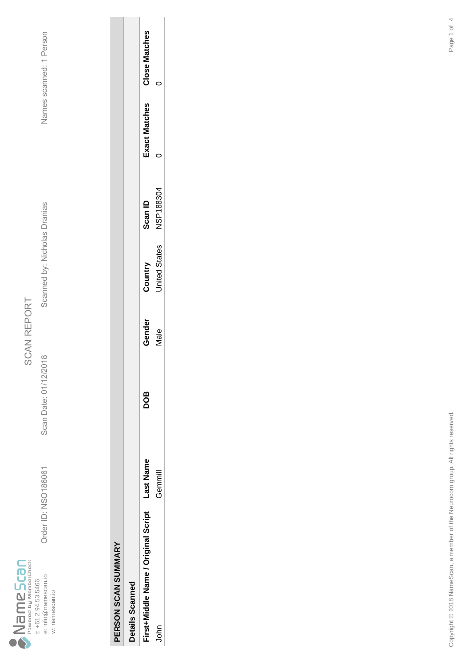

Order ID: NSO186061 Scan Date: 01/12/2018 Scanned by: Nicholas Dranias Names scanned: 1 Person Scanned by: Nicholas Dranias

Scan Date: 01/12/2018

Order ID: NSO186061

Names scanned: 1 Person

| i |  |
|---|--|
|   |  |
|   |  |

|   | J |  |
|---|---|--|
| ļ |   |  |
| I |   |  |
| ì |   |  |
| ì |   |  |
|   |   |  |
|   |   |  |
|   |   |  |
|   |   |  |
|   |   |  |
|   |   |  |
|   |   |  |
|   |   |  |

| Details Scannec                     |          |            |               |                      |           |                      |                      |
|-------------------------------------|----------|------------|---------------|----------------------|-----------|----------------------|----------------------|
| First+Middle Name / Original Script | ast Name | <b>aOC</b> | <b>Gender</b> | Country              | Can ID    | <b>Exact Matches</b> | <b>Close Matches</b> |
| 통                                   | lmml     |            | vlale         | <b>Inited States</b> | NSP188304 |                      |                      |
|                                     |          |            |               |                      |           |                      |                      |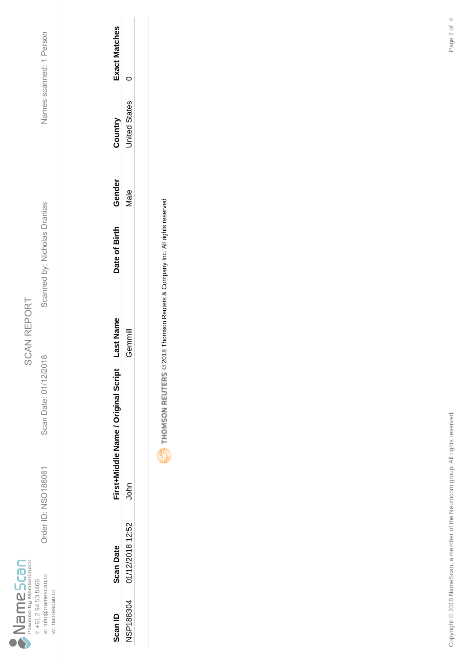

Scan Date: 01/12/2018

Order ID: NSO186061

Order ID: NSO186061 Scan Date: 01/12/2018 Scanned by: Nicholas Dranias Names scanned: 1 Person Scanned by: Nicholas Dranias

Names scanned: 1 Person

| <b>Can ID</b>    | <b>Scan Date</b> | First+Middle Name / Original Script | ast Name | Date of Birth | Gender | Country              | <b>Exact Matches</b> |
|------------------|------------------|-------------------------------------|----------|---------------|--------|----------------------|----------------------|
| <b>NSP188304</b> | 01/12/2018 12:52 | John                                | imure    |               | vlale  | <b>Jnited States</b> |                      |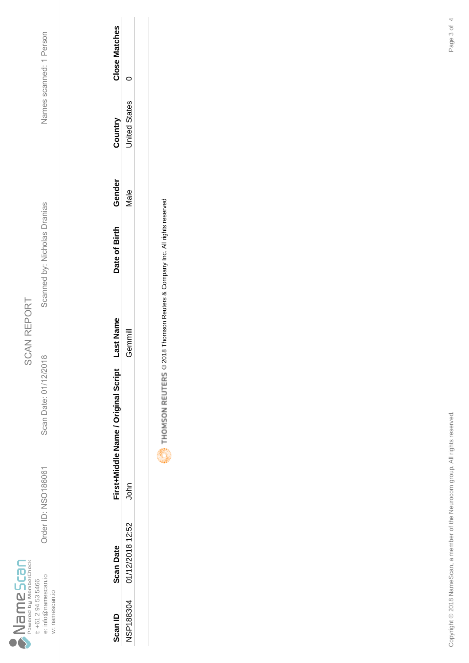

Scan Date: 01/12/2018

Order ID: NSO186061

Order ID: NSO186061 Scan Date: 01/12/2018 Scanned by: Nicholas Dranias Names scanned: 1 Person Scanned by: Nicholas Dranias

Names scanned: 1 Person

| Scan ID   | <b>Scan Date</b> | First+Middle Name / Original Script | ast Name           | Date of Birth | Gendei | Country       | Close Matches |
|-----------|------------------|-------------------------------------|--------------------|---------------|--------|---------------|---------------|
| ISP188304 | 01/12/2018 12:52 | John                                | Jemmi <sup>l</sup> |               | vlale  | Inited States |               |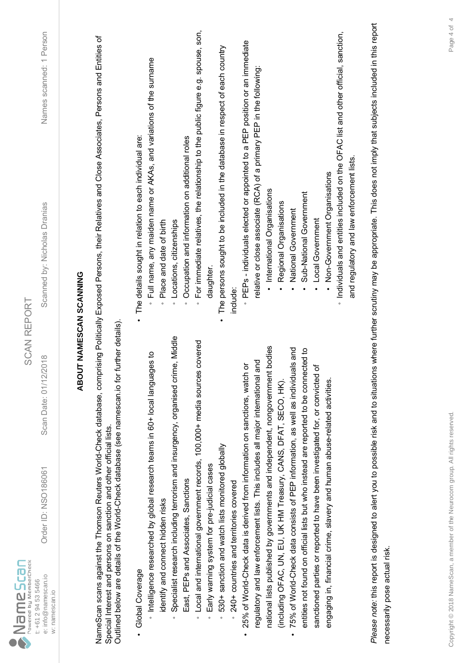| Outlined below are details of the World-Check database (see namescan.io for further details)<br>Specialist research including terrorism and insurgency, organised crime, Middle<br>Local and international government records, 100,000+ media sources covered<br>national lists published by governments and independent, nongovernment bodies<br>htelligence researched by global research teams in 60+ local langua<br>25% of World-Check data is derived from information on sanctions, watch<br>regulatory and law enforcement lists. This includes all major international<br>Special Interest and persons on sanction and other official lists.<br>530+ sanction and watch lists monitored globally<br>Early warning system for pre-judicial cases<br>East, PEPs and Associates, Sanctions<br>240+ countries and territories covered<br>identify and connect hidden risks<br>Global Coverage<br>w: namescan.io<br>$\circ$<br>$\circ$<br>$\circ$ | <b>ABOUT NAMESCAN SCANNING</b><br>ges to | For immediate relatives, the relationship to the public figure e.g. spouse, son,<br>NameScan scans against the Thomson Reuters World-Check database, comprising Politically Exposed Persons, their Relatives and Close Associates, Persons and Entities of<br>The persons sought to be included in the database in respect of each country<br>Full name, any maiden name or AKAs, and variations of the surname<br>The details sought in relation to each individual are:<br>Occupation and information on additional roles<br>Place and date of birth<br>Locations, citizenships<br>daughter<br>include:<br>$\circ$<br>$\circ$<br>$\circ$<br>$\circ$ |
|-------------------------------------------------------------------------------------------------------------------------------------------------------------------------------------------------------------------------------------------------------------------------------------------------------------------------------------------------------------------------------------------------------------------------------------------------------------------------------------------------------------------------------------------------------------------------------------------------------------------------------------------------------------------------------------------------------------------------------------------------------------------------------------------------------------------------------------------------------------------------------------------------------------------------------------------------------|------------------------------------------|-------------------------------------------------------------------------------------------------------------------------------------------------------------------------------------------------------------------------------------------------------------------------------------------------------------------------------------------------------------------------------------------------------------------------------------------------------------------------------------------------------------------------------------------------------------------------------------------------------------------------------------------------------|
|                                                                                                                                                                                                                                                                                                                                                                                                                                                                                                                                                                                                                                                                                                                                                                                                                                                                                                                                                       |                                          |                                                                                                                                                                                                                                                                                                                                                                                                                                                                                                                                                                                                                                                       |
|                                                                                                                                                                                                                                                                                                                                                                                                                                                                                                                                                                                                                                                                                                                                                                                                                                                                                                                                                       |                                          |                                                                                                                                                                                                                                                                                                                                                                                                                                                                                                                                                                                                                                                       |
|                                                                                                                                                                                                                                                                                                                                                                                                                                                                                                                                                                                                                                                                                                                                                                                                                                                                                                                                                       |                                          |                                                                                                                                                                                                                                                                                                                                                                                                                                                                                                                                                                                                                                                       |
|                                                                                                                                                                                                                                                                                                                                                                                                                                                                                                                                                                                                                                                                                                                                                                                                                                                                                                                                                       |                                          |                                                                                                                                                                                                                                                                                                                                                                                                                                                                                                                                                                                                                                                       |
|                                                                                                                                                                                                                                                                                                                                                                                                                                                                                                                                                                                                                                                                                                                                                                                                                                                                                                                                                       |                                          |                                                                                                                                                                                                                                                                                                                                                                                                                                                                                                                                                                                                                                                       |
|                                                                                                                                                                                                                                                                                                                                                                                                                                                                                                                                                                                                                                                                                                                                                                                                                                                                                                                                                       |                                          |                                                                                                                                                                                                                                                                                                                                                                                                                                                                                                                                                                                                                                                       |
|                                                                                                                                                                                                                                                                                                                                                                                                                                                                                                                                                                                                                                                                                                                                                                                                                                                                                                                                                       |                                          |                                                                                                                                                                                                                                                                                                                                                                                                                                                                                                                                                                                                                                                       |
|                                                                                                                                                                                                                                                                                                                                                                                                                                                                                                                                                                                                                                                                                                                                                                                                                                                                                                                                                       |                                          |                                                                                                                                                                                                                                                                                                                                                                                                                                                                                                                                                                                                                                                       |
|                                                                                                                                                                                                                                                                                                                                                                                                                                                                                                                                                                                                                                                                                                                                                                                                                                                                                                                                                       | ŏ                                        | PEPs - individuals elected or appointed to a PEP position or an immediate                                                                                                                                                                                                                                                                                                                                                                                                                                                                                                                                                                             |
|                                                                                                                                                                                                                                                                                                                                                                                                                                                                                                                                                                                                                                                                                                                                                                                                                                                                                                                                                       | and                                      | relative or close associate (RCA) of a primary PEP in the following:                                                                                                                                                                                                                                                                                                                                                                                                                                                                                                                                                                                  |
|                                                                                                                                                                                                                                                                                                                                                                                                                                                                                                                                                                                                                                                                                                                                                                                                                                                                                                                                                       |                                          | · International Organisations                                                                                                                                                                                                                                                                                                                                                                                                                                                                                                                                                                                                                         |
| (including OFAC, UN, EU, UK HM Treasury, CANS, DFAT, SECO, HK).                                                                                                                                                                                                                                                                                                                                                                                                                                                                                                                                                                                                                                                                                                                                                                                                                                                                                       |                                          | Regional Organisations                                                                                                                                                                                                                                                                                                                                                                                                                                                                                                                                                                                                                                |
| 75% of World-Check data consists of PEP information, as well as individu<br>$\bullet$                                                                                                                                                                                                                                                                                                                                                                                                                                                                                                                                                                                                                                                                                                                                                                                                                                                                 | als and                                  | National Government                                                                                                                                                                                                                                                                                                                                                                                                                                                                                                                                                                                                                                   |
| entities not found on official lists but who instead are reported to be connected to                                                                                                                                                                                                                                                                                                                                                                                                                                                                                                                                                                                                                                                                                                                                                                                                                                                                  |                                          | Sub-National Government                                                                                                                                                                                                                                                                                                                                                                                                                                                                                                                                                                                                                               |
| sanctioned parties or reported to have been investigated for, or convicted                                                                                                                                                                                                                                                                                                                                                                                                                                                                                                                                                                                                                                                                                                                                                                                                                                                                            | ৳                                        | Local Government                                                                                                                                                                                                                                                                                                                                                                                                                                                                                                                                                                                                                                      |
| engaging in, financial crime, slavery and human abuse-related activities.                                                                                                                                                                                                                                                                                                                                                                                                                                                                                                                                                                                                                                                                                                                                                                                                                                                                             |                                          | · Individuals and entities included on the OFAC list and other official, sanction,<br>Non-Government Organisations                                                                                                                                                                                                                                                                                                                                                                                                                                                                                                                                    |
|                                                                                                                                                                                                                                                                                                                                                                                                                                                                                                                                                                                                                                                                                                                                                                                                                                                                                                                                                       |                                          | and regulatory and law enforcement lists.                                                                                                                                                                                                                                                                                                                                                                                                                                                                                                                                                                                                             |
|                                                                                                                                                                                                                                                                                                                                                                                                                                                                                                                                                                                                                                                                                                                                                                                                                                                                                                                                                       |                                          | Please note: this report is designed to alert you to possible risk and to situations where further scrutiny may be appropriate. This does not imply that subjects included in this report                                                                                                                                                                                                                                                                                                                                                                                                                                                             |
| necessarily pose actual risk.                                                                                                                                                                                                                                                                                                                                                                                                                                                                                                                                                                                                                                                                                                                                                                                                                                                                                                                         |                                          |                                                                                                                                                                                                                                                                                                                                                                                                                                                                                                                                                                                                                                                       |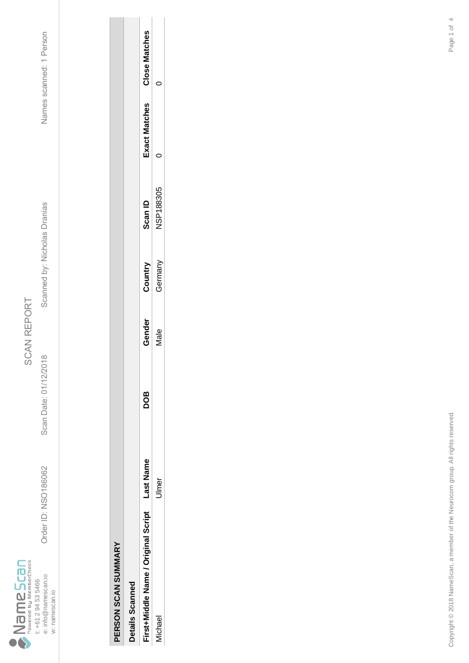

Scan Date: 01/12/2018

Order ID: NSO186062

Order ID: NSO186062 Scan Date: 01/12/2018 Scanned by: Nicholas Dranias Names scanned: 1 Person Scanned by: Nicholas Dranias

Names scanned: 1 Person

| C<br>è |  |
|--------|--|
|        |  |
|        |  |
|        |  |

| i |  |
|---|--|
| ï |  |

| <b>Details Scanned</b>             |          |     |               |         |           |                      |                      |
|------------------------------------|----------|-----|---------------|---------|-----------|----------------------|----------------------|
| irst+Middle Name / Original Script | ast Name | 8OQ | jender        | Country | Gan ID    | <b>Exact Matches</b> | <b>Close Matches</b> |
| <b>Ichae</b>                       | lmer     |     | $\frac{e}{4}$ | German  | ISP188305 |                      |                      |
|                                    |          |     |               |         |           |                      |                      |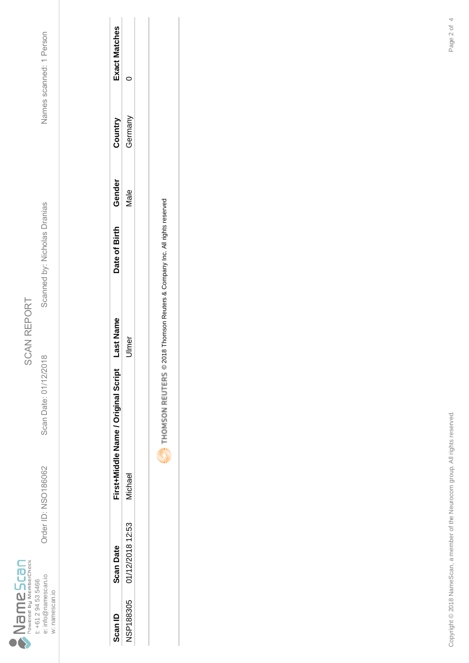

Scan Date: 01/12/2018

Order ID: NSO186062

Order ID: NSO186062 Scan Date: 01/12/2018 Scanned by: Nicholas Dranias Names scanned: 1 Person Scanned by: Nicholas Dranias

Names scanned: 1 Person

| Scan ID   | <b>Scan Date</b> | First+Middle Name / Original Script | ast Name | Date of Birth | Gender      | Country | <b>Exact Matches</b> |
|-----------|------------------|-------------------------------------|----------|---------------|-------------|---------|----------------------|
| NSP188305 | 01/12/2018 12:53 | <b>lichae</b>                       | lmer     |               | <i>Aale</i> | German  |                      |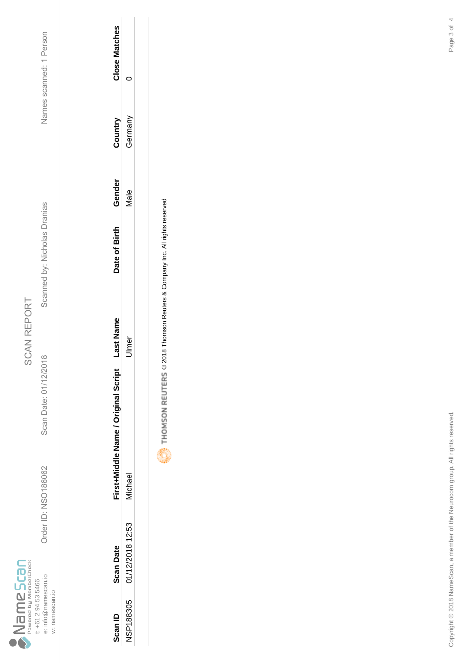

Scan Date: 01/12/2018

Order ID: NSO186062

Order ID: NSO186062 Scan Date: 01/12/2018 Scanned by: Nicholas Dranias Names scanned: 1 Person Scanned by: Nicholas Dranias

Names scanned: 1 Person

| Scan ID          | Scan Date        | First+Middle Name / Original Script | ast Name | Jate of Birth | Gender | Country | Close Matches |
|------------------|------------------|-------------------------------------|----------|---------------|--------|---------|---------------|
| <b>NSP188305</b> | 01/12/2018 12:53 | <b>lichae</b>                       |          |               | Vale   | German  |               |
|                  |                  |                                     |          |               |        |         |               |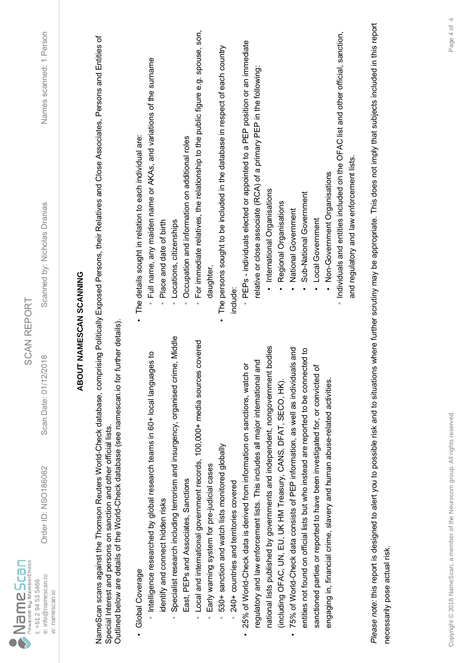| $\sum_{\text{Powered by MemberCheck}}$<br>e: info@namescan.io<br>t: +61 2 94 53 5466<br>w: namescan.io | Order ID: NSO186062                                                         | <b>SCAN REPORT</b><br>2018<br>Scan Date: 01/12/                                              | Names scanned: 1 Person<br>Scanned by: Nicholas Dranias                                                                                                                                   |
|--------------------------------------------------------------------------------------------------------|-----------------------------------------------------------------------------|----------------------------------------------------------------------------------------------|-------------------------------------------------------------------------------------------------------------------------------------------------------------------------------------------|
|                                                                                                        |                                                                             |                                                                                              | <b>ABOUT NAMESCAN SCANNING</b>                                                                                                                                                            |
|                                                                                                        | Special Interest and persons on sanction and other official lists.          | Outlined below are details of the World-Check database (see namescan.io for further details) | NameScan scans against the Thomson Reuters World-Check database, comprising Politically Exposed Persons, their Relatives and Close Associates, Persons and Entities of                    |
| Global Coverage                                                                                        |                                                                             |                                                                                              | The details sought in relation to each individual are:                                                                                                                                    |
|                                                                                                        | htelligence researched by global research teams in 60+ local langua         | ges to                                                                                       | Full name, any maiden name or AKAs, and variations of the surname                                                                                                                         |
| identify and connect hidden risks                                                                      |                                                                             | Specialist research including terrorism and insurgency, organised crime, Middle              | Place and date of birth<br>Locations, citizenships<br>$\circ$<br>$\circ$                                                                                                                  |
|                                                                                                        | East, PEPs and Associates, Sanctions                                        |                                                                                              | Occupation and information on additional roles<br>$\circ$                                                                                                                                 |
| $\circ$                                                                                                |                                                                             | Local and international government records, 100,000+ media sources covered                   | For immediate relatives, the relationship to the public figure e.g. spouse, son,<br>$\circ$                                                                                               |
| $\circ$                                                                                                | Early warning system for pre-judicial cases                                 |                                                                                              | daughter                                                                                                                                                                                  |
| $\circ$                                                                                                | 530+ sanction and watch lists monitored globally                            |                                                                                              | The persons sought to be included in the database in respect of each country                                                                                                              |
|                                                                                                        | 240+ countries and territories covered                                      |                                                                                              | include:                                                                                                                                                                                  |
|                                                                                                        | 25% of World-Check data is derived from information on sanctions, watch     | ŏ                                                                                            | PEPs - individuals elected or appointed to a PEP position or an immediate                                                                                                                 |
|                                                                                                        | regulatory and law enforcement lists. This includes all major international | and                                                                                          | relative or close associate (RCA) of a primary PEP in the following:                                                                                                                      |
|                                                                                                        |                                                                             | national lists published by governments and independent, nongovernment bodies                | · International Organisations                                                                                                                                                             |
|                                                                                                        | (including OFAC, UN, EU, UK HM Treasury, CANS, DFAT, SECO, HK).             |                                                                                              | Regional Organisations                                                                                                                                                                    |
| $\bullet$                                                                                              | 75% of World-Check data consists of PEP information, as well as individu    | als and                                                                                      | National Government                                                                                                                                                                       |
|                                                                                                        |                                                                             | entities not found on official lists but who instead are reported to be connected to         | Sub-National Government                                                                                                                                                                   |
|                                                                                                        | sanctioned parties or reported to have been investigated for, or convicted  | ৳                                                                                            | Local Government                                                                                                                                                                          |
|                                                                                                        | engaging in, financial crime, slavery and human abuse-related activities.   |                                                                                              | Non-Government Organisations                                                                                                                                                              |
|                                                                                                        |                                                                             |                                                                                              | · Individuals and entities included on the OFAC list and other official, sanction,                                                                                                        |
|                                                                                                        |                                                                             |                                                                                              | and regulatory and law enforcement lists.                                                                                                                                                 |
|                                                                                                        |                                                                             |                                                                                              | Please note: this report is designed to alert you to possible risk and to situations where further scrutiny may be appropriate. This does not imply that subjects included in this report |
| necessarily pose actual risk.                                                                          |                                                                             |                                                                                              |                                                                                                                                                                                           |
|                                                                                                        |                                                                             |                                                                                              |                                                                                                                                                                                           |
|                                                                                                        |                                                                             |                                                                                              |                                                                                                                                                                                           |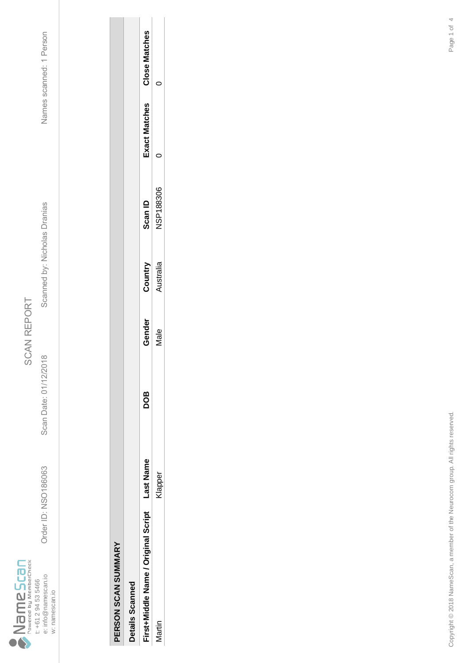

Scan Date: 01/12/2018

Order ID: NSO186063

Order ID: NSO186063 Scan Date: 01/12/2018 Scanned by: Nicholas Dranias Names scanned: 1 Person Scanned by: Nicholas Dranias

| í |
|---|
| ſ |
|   |
|   |
|   |

| J<br>J |  |
|--------|--|
|        |  |
| .<br>ا |  |

| Details Scanned                     |                    |     |        |          |                  |                      |                      |
|-------------------------------------|--------------------|-----|--------|----------|------------------|----------------------|----------------------|
| First+Middle Name / Original Script | ast Name           | 8OQ | Gender | Country  | Scan ID          | <b>Exact Matches</b> | <b>Close Matches</b> |
| artin                               | lappe <sub>l</sub> |     | Jale   | ustralia | <b>JSP188306</b> |                      |                      |
|                                     |                    |     |        |          |                  |                      |                      |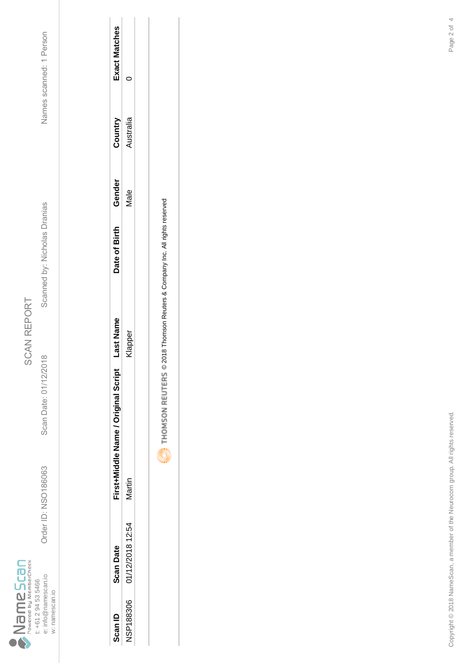

Scan Date: 01/12/2018

Order ID: NSO186063

Order ID: NSO186063 Scan Date: 01/12/2018 Scanned by: Nicholas Dranias Names scanned: 1 Person Scanned by: Nicholas Dranias

Names scanned: 1 Person

| Scan ID          | Scan Date        | First+Middle Name / Original Script | ast Name | Date of Birth | Gender | Country  | Exact Matches |
|------------------|------------------|-------------------------------------|----------|---------------|--------|----------|---------------|
| <b>NSP188306</b> | 01/12/2018 12:54 | /lartin                             | rapber.  |               | Vale   | ustralia |               |
|                  |                  |                                     |          |               |        |          |               |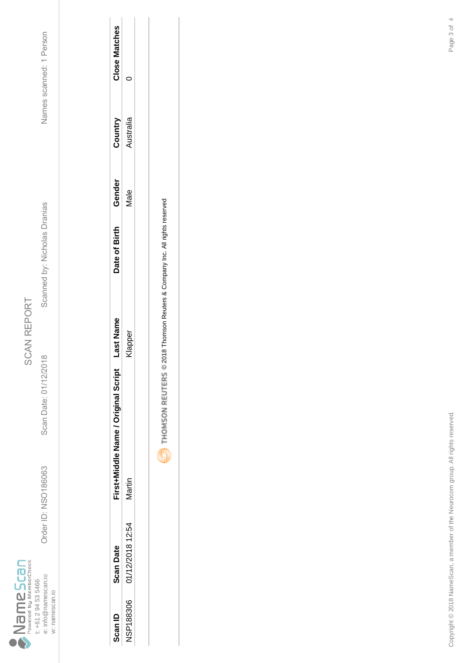

Scan Date: 01/12/2018

Order ID: NSO186063

Order ID: NSO186063 Scan Date: 01/12/2018 Scanned by: Nicholas Dranias Names scanned: 1 Person Scanned by: Nicholas Dranias

Names scanned: 1 Person

| Scan ID   | <b>Scan Date</b> | First+Middle Name / Original Script | ast Nam | Date of Birth | Gender      | Country  | Close Matches |
|-----------|------------------|-------------------------------------|---------|---------------|-------------|----------|---------------|
| NSP188306 | 01/12/2018 12:54 | lartin                              | lappe   |               | <b>Vale</b> | ustralia |               |
|           |                  |                                     |         |               |             |          |               |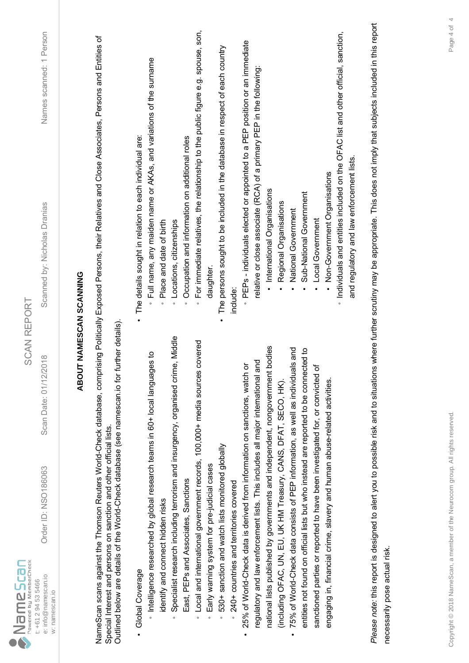| $\sum_{p_{\text{overed by MenberCheck}}}$<br>e: info@namescan.io<br>t: +61 2 94 53 5466<br>w: namescan.io | Order ID: NSO186063                                                         | 2018<br>Scan Date: 01/12/                                                                    | Names scanned: 1 Person<br>Scanned by: Nicholas Dranias<br><b>SCAN REPORT</b>                                                                                                             |  |
|-----------------------------------------------------------------------------------------------------------|-----------------------------------------------------------------------------|----------------------------------------------------------------------------------------------|-------------------------------------------------------------------------------------------------------------------------------------------------------------------------------------------|--|
|                                                                                                           |                                                                             |                                                                                              | <b>ABOUT NAMESCAN SCANNING</b>                                                                                                                                                            |  |
|                                                                                                           | Special Interest and persons on sanction and other official lists.          | Outlined below are details of the World-Check database (see namescan.io for further details) | NameScan scans against the Thomson Reuters World-Check database, comprising Politically Exposed Persons, their Relatives and Close Associates, Persons and Entities of                    |  |
| Global Coverage                                                                                           |                                                                             |                                                                                              | The details sought in relation to each individual are:                                                                                                                                    |  |
|                                                                                                           | htelligence researched by global research teams in 60+ local langua         | ges to                                                                                       | Full name, any maiden name or AKAs, and variations of the surname                                                                                                                         |  |
| identify and connect hidden risks                                                                         |                                                                             | Specialist research including terrorism and insurgency, organised crime, Middle              | Place and date of birth<br>Locations, citizenships<br>$\circ$<br>$\circ$                                                                                                                  |  |
|                                                                                                           | East, PEPs and Associates, Sanctions                                        |                                                                                              | Occupation and information on additional roles<br>$\circ$                                                                                                                                 |  |
| $\circ$                                                                                                   |                                                                             | Local and international government records, 100,000+ media sources covered                   | For immediate relatives, the relationship to the public figure e.g. spouse, son,<br>$\circ$                                                                                               |  |
| $\circ$                                                                                                   | Early warning system for pre-judicial cases                                 |                                                                                              | daughter                                                                                                                                                                                  |  |
| $\circ$                                                                                                   | 530+ sanction and watch lists monitored globally                            |                                                                                              | The persons sought to be included in the database in respect of each country                                                                                                              |  |
|                                                                                                           | 240+ countries and territories covered                                      |                                                                                              | include:                                                                                                                                                                                  |  |
|                                                                                                           | 25% of World-Check data is derived from information on sanctions, watch     | ŏ                                                                                            | PEPs - individuals elected or appointed to a PEP position or an immediate                                                                                                                 |  |
|                                                                                                           | regulatory and law enforcement lists. This includes all major international | and                                                                                          | relative or close associate (RCA) of a primary PEP in the following:                                                                                                                      |  |
|                                                                                                           |                                                                             | national lists published by governments and independent, nongovernment bodies                | · International Organisations                                                                                                                                                             |  |
|                                                                                                           | (including OFAC, UN, EU, UK HM Treasury, CANS, DFAT, SECO, HK).             |                                                                                              | Regional Organisations                                                                                                                                                                    |  |
| $\bullet$                                                                                                 | 75% of World-Check data consists of PEP information, as well as individu    | als and                                                                                      | National Government                                                                                                                                                                       |  |
|                                                                                                           |                                                                             | entities not found on official lists but who instead are reported to be connected to         | Sub-National Government                                                                                                                                                                   |  |
|                                                                                                           | sanctioned parties or reported to have been investigated for, or convicted  | ৳                                                                                            | Local Government                                                                                                                                                                          |  |
|                                                                                                           | engaging in, financial crime, slavery and human abuse-related activities.   |                                                                                              | Non-Government Organisations                                                                                                                                                              |  |
|                                                                                                           |                                                                             |                                                                                              | · Individuals and entities included on the OFAC list and other official, sanction,                                                                                                        |  |
|                                                                                                           |                                                                             |                                                                                              | and regulatory and law enforcement lists.                                                                                                                                                 |  |
|                                                                                                           |                                                                             |                                                                                              | Please note: this report is designed to alert you to possible risk and to situations where further scrutiny may be appropriate. This does not imply that subjects included in this report |  |
| necessarily pose actual risk.                                                                             |                                                                             |                                                                                              |                                                                                                                                                                                           |  |
|                                                                                                           |                                                                             |                                                                                              |                                                                                                                                                                                           |  |
|                                                                                                           |                                                                             |                                                                                              |                                                                                                                                                                                           |  |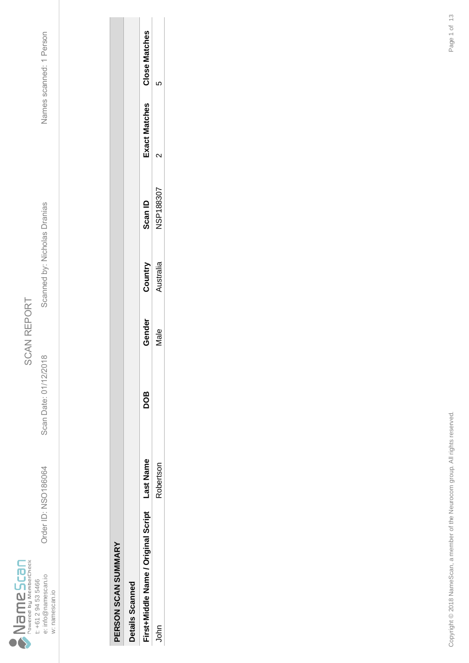

Scan Date: 01/12/2018

Order ID: NSO186064

Order ID: NSO186064 Scan Date: 01/12/2018 Scanned by: Nicholas Dranias Names scanned: 1 Person Scanned by: Nicholas Dranias

Names scanned: 1 Person

| ť |
|---|
|   |
| Ξ |
|   |
| r |
|   |
| í |
|   |
|   |
|   |
|   |
|   |
|   |
|   |
|   |
|   |
|   |

| ì      |
|--------|
|        |
|        |
|        |
|        |
|        |
|        |
| i<br>K |
|        |
|        |
|        |

| Details Scanned                     |           |     |             |           |                  |              |                      |
|-------------------------------------|-----------|-----|-------------|-----------|------------------|--------------|----------------------|
| First+Middle Name / Original Script | ast Name  | 8OQ | Fender      | Country   | <b>Scan ID</b>   | vact Matches | <b>Close Matches</b> |
| å                                   | Robertsor |     | <b>Aale</b> | Nustralia | <b>JSP188307</b> | ↘            | Ω                    |
|                                     |           |     |             |           |                  |              |                      |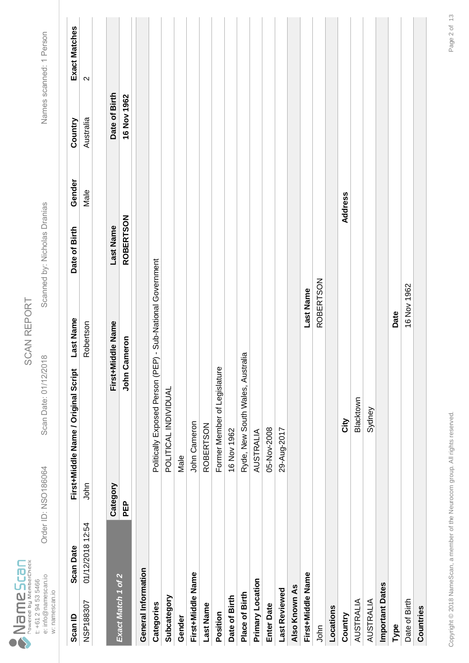|                                  |                     | Drder ID: NSO186064 |                |
|----------------------------------|---------------------|---------------------|----------------|
| owered by MemberCheck<br>ameScan | t: +61 2 94 53 5466 | e: info@namescan.io | w: namescan.io |

Scan Date: 01/12/2018

Order ID: NSO186064 Scan Date: 01/12/2018 Scanned by: Nicholas Dranias Names scanned: 1 Person Scanned by: Nicholas Dranias

| Scan ID             | <b>Scan Date</b> |            | Last Name<br>First+Middle Name / Original Script               | Date of Birth    | Gender  | Country       | Exact Matches     |
|---------------------|------------------|------------|----------------------------------------------------------------|------------------|---------|---------------|-------------------|
| NSP188307           | 01/12/2018 12:54 | John       | Robertson                                                      |                  | Male    | Australia     | $\mathbf{\Omega}$ |
|                     |                  |            |                                                                |                  |         |               |                   |
| Exact Match 1 of 2  |                  | Category   | First+Middle Name                                              | Last Name        |         | Date of Birth |                   |
|                     |                  | <b>PEP</b> | <b>John Cameron</b>                                            | <b>ROBERTSON</b> |         | 16 Nov 1962   |                   |
| General Information |                  |            |                                                                |                  |         |               |                   |
| Categories          |                  |            | P) - Sub-National Government<br>Politically Exposed Person (PE |                  |         |               |                   |
| Subcategory         |                  |            | POLITICAL INDIVIDUAL                                           |                  |         |               |                   |
| Gender              |                  |            | Male                                                           |                  |         |               |                   |
| First+Middle Name   |                  |            | <b>John Cameron</b>                                            |                  |         |               |                   |
| Last Name           |                  |            | <b>ROBERTSON</b>                                               |                  |         |               |                   |
| Position            |                  |            | Former Member of Legislature                                   |                  |         |               |                   |
| Date of Birth       |                  |            | 16 Nov 1962                                                    |                  |         |               |                   |
| Place of Birth      |                  |            | raila<br>Ryde, New South Wales, Austr                          |                  |         |               |                   |
| Primary Location    |                  |            | <b>AUSTRALIA</b>                                               |                  |         |               |                   |
| <b>Enter Date</b>   |                  |            | 05-Nov-2008                                                    |                  |         |               |                   |
| Last Reviewed       |                  |            | 29-Aug-2017                                                    |                  |         |               |                   |
| Also Known As       |                  |            |                                                                |                  |         |               |                   |
| First+Middle Name   |                  |            |                                                                | Last Name        |         |               |                   |
| John                |                  |            |                                                                | <b>ROBERTSON</b> |         |               |                   |
| Locations           |                  |            |                                                                |                  |         |               |                   |
| Country             |                  |            | City                                                           |                  | Address |               |                   |
| <b>AUSTRALIA</b>    |                  |            | Blacktown                                                      |                  |         |               |                   |
| <b>AUSTRALIA</b>    |                  |            | Sydney                                                         |                  |         |               |                   |
| Important Dates     |                  |            |                                                                |                  |         |               |                   |
| Type                |                  |            | Date                                                           |                  |         |               |                   |
| Date of Birth       |                  |            |                                                                | 16 Nov 1962      |         |               |                   |
| Countries           |                  |            |                                                                |                  |         |               |                   |
|                     |                  |            |                                                                |                  |         |               |                   |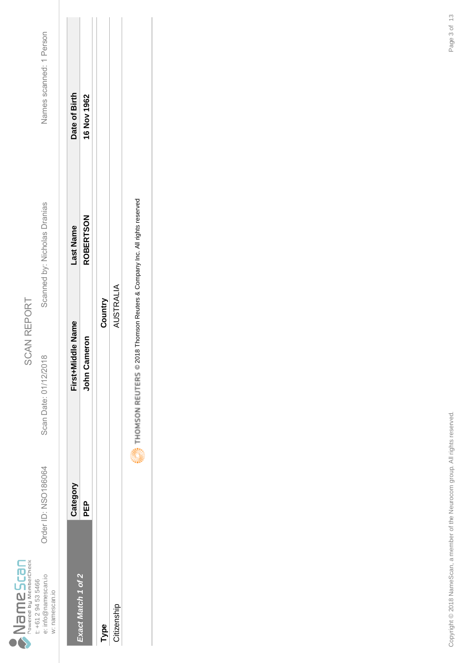|                                        |                     | Drder ID: NSO186064 |                |
|----------------------------------------|---------------------|---------------------|----------------|
| Powered by MemberCheck<br><b>PSCBN</b> | t: +61 2 94 53 5466 | e: info@namescan.io | w: namescan.io |

Scan Date: 01/12/2018

Scanned by: Nicholas Dranias

Names scanned: 1 Person Order ID: NSO186064 Scan Date: 01/12/2018 Scanned by: Nicholas Dranias Names scanned: 1 Person

| First+Middle Name<br>Category | Cameron<br>John<br><b>PEP</b><br>Exact Match 1 of 2 | Country | AUSTRALIA | į |
|-------------------------------|-----------------------------------------------------|---------|-----------|---|
| Date of Birth<br>-ast Name    | 16 Nov 1962<br><b>ROBERTSON</b>                     |         |           |   |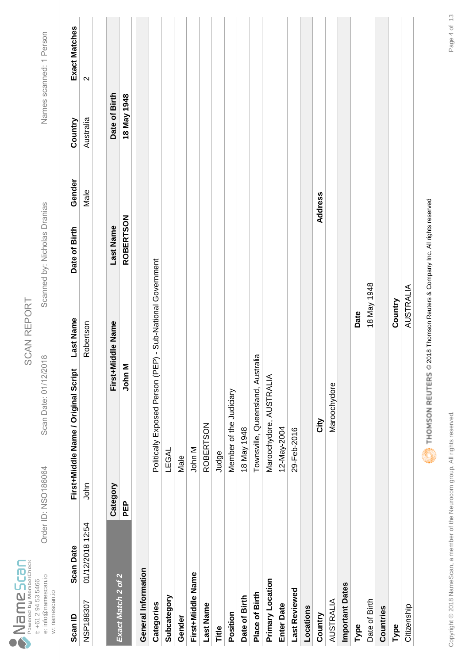|                                   | Drder ID: NSO186064                                          |
|-----------------------------------|--------------------------------------------------------------|
| Powered by MemberCheck<br>ameScan | e: info@namescan.io<br>t: +61 2 94 53 5466<br>w: namescan.io |

Scan Date: 01/12/2018

Order ID: NSO186064 Scan Date: 01/12/2018 Scanned by: Nicholas Dranias Names scanned: 1 Person Scanned by: Nicholas Dranias

Names scanned: 1 Person

Exact Matches

Country

Gender

Date of Birth

**Last Name** 

First+Middle Name / Original Script

**Scan Date** 

Scan ID

| Scan ID                | <b>Scan Date</b> |          | First+Middle Name / Original Script                                            | Last Name         | Date of Birth    | Gender  | Country       | Exact Matches     |
|------------------------|------------------|----------|--------------------------------------------------------------------------------|-------------------|------------------|---------|---------------|-------------------|
| NSP188307              | 01/12/2018 12:54 | John     |                                                                                | Robertson         |                  | Male    | Australia     | $\mathbf{\Omega}$ |
|                        |                  |          |                                                                                |                   |                  |         |               |                   |
| Exact Match 2 of 2     |                  | Category |                                                                                | First+Middle Name | <b>Last Name</b> |         | Date of Birth |                   |
|                        |                  | 읍        | 5<br>John I                                                                    |                   | <b>ROBERTSON</b> |         | 18 May 1948   |                   |
| General Information    |                  |          |                                                                                |                   |                  |         |               |                   |
| Categories             |                  |          | Politically Exposed Person (PEP) - Sub-National Government                     |                   |                  |         |               |                   |
| Subcategory            |                  |          | LEGAL                                                                          |                   |                  |         |               |                   |
| Gender                 |                  |          | Male                                                                           |                   |                  |         |               |                   |
| First+Middle Name      |                  |          | John M                                                                         |                   |                  |         |               |                   |
| <b>Last Name</b>       |                  |          | <b>ROBERTSON</b>                                                               |                   |                  |         |               |                   |
| Title                  |                  |          | Judge                                                                          |                   |                  |         |               |                   |
| Position               |                  |          | Member of the Judiciary                                                        |                   |                  |         |               |                   |
| Date of Birth          |                  |          | 18 May 1948                                                                    |                   |                  |         |               |                   |
| Place of Birth         |                  |          | Townsville, Queensland, Austr                                                  | raila             |                  |         |               |                   |
| Primary Location       |                  |          | Maroochydore, AUSTRALIA                                                        |                   |                  |         |               |                   |
| <b>Enter Date</b>      |                  |          | 12-May-2004                                                                    |                   |                  |         |               |                   |
| Last Reviewed          |                  |          | 29-Feb-2016                                                                    |                   |                  |         |               |                   |
| Locations              |                  |          |                                                                                |                   |                  |         |               |                   |
| Country                |                  |          | City                                                                           |                   |                  | Address |               |                   |
| AUSTRALIA              |                  |          | Maroochydore                                                                   |                   |                  |         |               |                   |
| <b>Important Dates</b> |                  |          |                                                                                |                   |                  |         |               |                   |
| Type                   |                  |          |                                                                                | Date              |                  |         |               |                   |
| Date of Birth          |                  |          |                                                                                | 18 May 1948       |                  |         |               |                   |
| Countries              |                  |          |                                                                                |                   |                  |         |               |                   |
| Type                   |                  |          |                                                                                | Country           |                  |         |               |                   |
| Citizenship            |                  |          |                                                                                | AUSTRALIA         |                  |         |               |                   |
|                        |                  |          | THOMSON REUTERS © 2018 Thomson Reuters & Company Inc. All rights reserved<br>Ġ |                   |                  |         |               |                   |

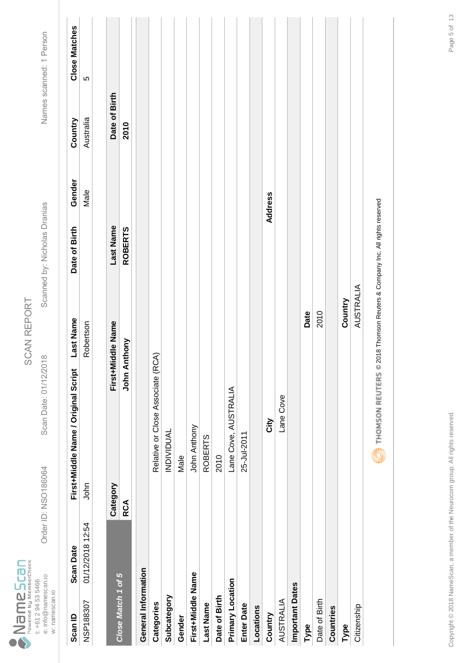|      |                        |                     | Drder ID: NSO186064 |                |
|------|------------------------|---------------------|---------------------|----------------|
| Scar | Powered by MemberCheck | t: +61 2 94 53 5466 | e: info@namescan.io | w: namescan.io |

Scan Date: 01/12/2018

Order ID: NSO186064 Scan Date: 01/12/2018 Scanned by: Nicholas Dranias Names scanned: 1 Person Scanned by: Nicholas Dranias

Names scanned: 1 Person

**Close Matches** 

Country

Gender

Date of Birth

**Last Name** 

First+Middle Name / Original Script

**Scan Date** 

Scan ID

| Scan ID             | <b>Scan Date</b> |            | First+Middle Name/orginal Script                                          | Last Name | Date of Birth  | Gender         | Country       | <b>Close Matches</b> |
|---------------------|------------------|------------|---------------------------------------------------------------------------|-----------|----------------|----------------|---------------|----------------------|
| NSP188307           | 01/12/2018 12:54 | John       |                                                                           | Robertson |                | Male           | Australia     | ပ                    |
|                     |                  |            |                                                                           |           |                |                |               |                      |
|                     |                  | Category   | First+Middle Name                                                         |           | Last Name      |                | Date of Birth |                      |
| Close Match 1 of 5  |                  | <b>RCA</b> | Anthony<br>John /                                                         |           | <b>ROBERTS</b> |                | 2010          |                      |
| General Information |                  |            |                                                                           |           |                |                |               |                      |
| Categories          |                  |            | Relative or Close Associate (RCA)                                         |           |                |                |               |                      |
| Subcategory         |                  |            | <b>INDIVIDUAL</b>                                                         |           |                |                |               |                      |
| Gender              |                  |            | Male                                                                      |           |                |                |               |                      |
| First+Middle Name   |                  |            | John Anthony                                                              |           |                |                |               |                      |
| Last Name           |                  |            | <b>ROBERTS</b>                                                            |           |                |                |               |                      |
| Date of Birth       |                  |            | 2010                                                                      |           |                |                |               |                      |
| Primary Location    |                  |            | Lane Cove, AUSTRALIA                                                      |           |                |                |               |                      |
| <b>Enter Date</b>   |                  |            | 25-Jul-2011                                                               |           |                |                |               |                      |
| Locations           |                  |            |                                                                           |           |                |                |               |                      |
| Country             |                  |            | لا<br>آن                                                                  |           |                | <b>Address</b> |               |                      |
| <b>AUSTRALIA</b>    |                  |            | Lane Cove                                                                 |           |                |                |               |                      |
| Important Dates     |                  |            |                                                                           |           |                |                |               |                      |
| Type                |                  |            |                                                                           | Date      |                |                |               |                      |
| Date of Birth       |                  |            |                                                                           | 2010      |                |                |               |                      |
| Countries           |                  |            |                                                                           |           |                |                |               |                      |
| Type                |                  |            |                                                                           | Country   |                |                |               |                      |
| Citizenship         |                  |            |                                                                           | AUSTRALIA |                |                |               |                      |
|                     |                  |            | THOMSON REUTERS © 2018 Thomson Reuters & Company Inc. All rights reserved |           |                |                |               |                      |
|                     |                  |            |                                                                           |           |                |                |               |                      |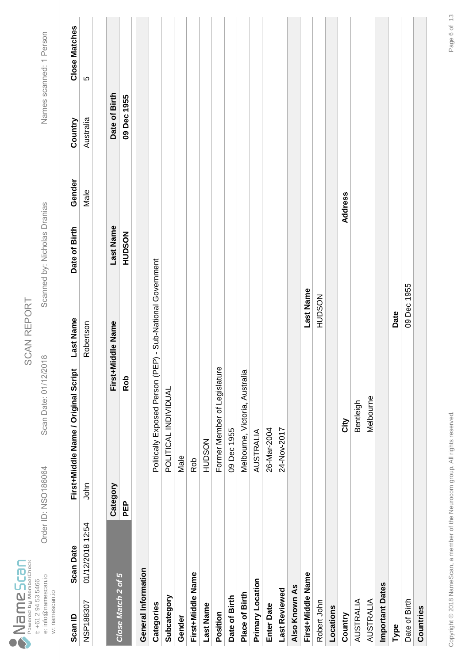|                                   |                     | <b>Drder ID: NSO186064</b> |                |
|-----------------------------------|---------------------|----------------------------|----------------|
| Powered by MemberCheck<br>ameScar | t: +61 2 94 53 5466 | e: info@namescan.io        | w: namescan.io |

Scan Date: 01/12/2018

Order ID: NSO186064 Scan Date: 01/12/2018 Scanned by: Nicholas Dranias Names scanned: 1 Person Scanned by: Nicholas Dranias

| Scan ID             | <b>Scan Date</b> |            | <b>Last Name</b><br>First+Middle Name / Original Script    |             | Date of Birth | Gender  | Country       | <b>Close Matches</b> |
|---------------------|------------------|------------|------------------------------------------------------------|-------------|---------------|---------|---------------|----------------------|
| NSP188307           | 01/12/2018 12:54 | John       | Robertson                                                  |             |               | Male    | Australia     | 5                    |
|                     |                  |            |                                                            |             |               |         |               |                      |
| Close Match 2 of 5  |                  | Category   | <b>Middle Name</b><br>First+N                              |             | Last Name     |         | Date of Birth |                      |
|                     |                  | <b>PEP</b> | Rob                                                        |             | <b>HUDSON</b> |         | 09 Dec 1955   |                      |
| General Information |                  |            |                                                            |             |               |         |               |                      |
| Categories          |                  |            | Politically Exposed Person (PEP) - Sub-National Government |             |               |         |               |                      |
| Subcategory         |                  |            | POLITICAL INDIVIDUAL                                       |             |               |         |               |                      |
| Gender              |                  |            | Male                                                       |             |               |         |               |                      |
| First+Middle Name   |                  |            | Rob                                                        |             |               |         |               |                      |
| <b>Last Name</b>    |                  |            | <b>HUDSON</b>                                              |             |               |         |               |                      |
| Position            |                  |            | Former Member of Legislature                               |             |               |         |               |                      |
| Date of Birth       |                  |            | 09 Dec 1955                                                |             |               |         |               |                      |
| Place of Birth      |                  |            | Melbourne, Victoria, Australia                             |             |               |         |               |                      |
| Primary Location    |                  |            | AUSTRALIA                                                  |             |               |         |               |                      |
| <b>Enter Date</b>   |                  |            | 26-Mar-2004                                                |             |               |         |               |                      |
| Last Reviewed       |                  |            | 24-Nov-2017                                                |             |               |         |               |                      |
| Also Known As       |                  |            |                                                            |             |               |         |               |                      |
| First+Middle Name   |                  |            |                                                            | Last Name   |               |         |               |                      |
| Robert John         |                  |            |                                                            | HUDSON      |               |         |               |                      |
| Locations           |                  |            |                                                            |             |               |         |               |                      |
| Country             |                  |            | <b>Nity</b>                                                |             |               | Address |               |                      |
| <b>AUSTRALIA</b>    |                  |            | Bentleigh                                                  |             |               |         |               |                      |
| <b>AUSTRALIA</b>    |                  |            | Melbourne                                                  |             |               |         |               |                      |
| Important Dates     |                  |            |                                                            |             |               |         |               |                      |
| Type                |                  |            |                                                            | Date        |               |         |               |                      |
| Date of Birth       |                  |            |                                                            | 09 Dec 1955 |               |         |               |                      |
| Countries           |                  |            |                                                            |             |               |         |               |                      |
|                     |                  |            |                                                            |             |               |         |               |                      |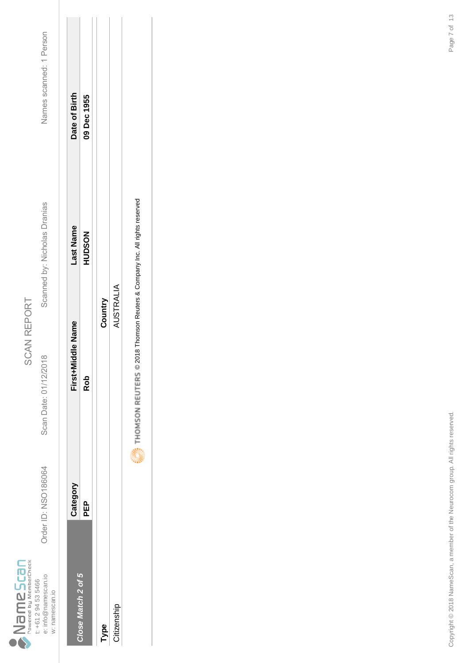|                                        |                     | Drder ID: NSO186064 |                |
|----------------------------------------|---------------------|---------------------|----------------|
| Powered by MemberCheck<br><b>PSCBN</b> | t: +61 2 94 53 5466 | e: info@namescan.io | w: namescan.io |

Scan Date: 01/12/2018

Scanned by: Nicholas Dranias

Names scanned: 1 Person Order ID: NSO186064 Scan Date: 01/12/2018 Scanned by: Nicholas Dranias Names scanned: 1 Person

|                    | Category | First+Middle Name | Last Name     | Date of Birth |
|--------------------|----------|-------------------|---------------|---------------|
| Close Match 2 of 5 | 요<br>PED | <b>Rob</b>        | <b>HUDSON</b> | 09 Dec 1955   |
|                    |          |                   |               |               |
| Type               |          | Country           |               |               |
| Citizenship        |          | <b>AUSTRALIA</b>  |               |               |
|                    | ĺ        |                   |               |               |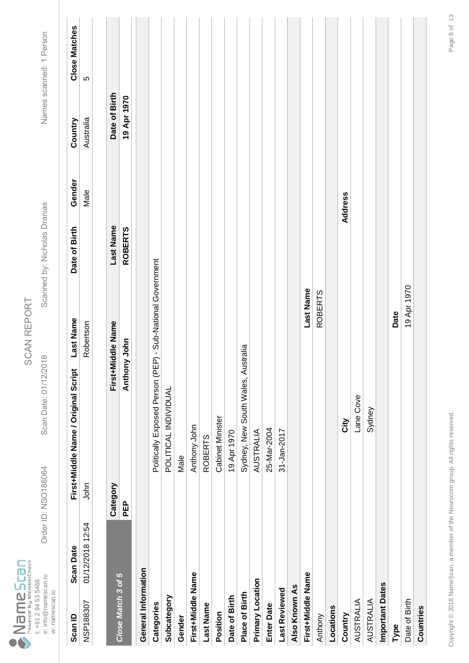|                                   |                     | Drder ID: NSO186064 |                |
|-----------------------------------|---------------------|---------------------|----------------|
| Powered by MemberCheck<br>ameScan | t: +61 2 94 53 5466 | e: info@namescan.io | w: namescan.io |

Scan Date: 01/12/2018

Order ID: NSO186064 Scan Date: 01/12/2018 Scanned by: Nicholas Dranias Names scanned: 1 Person Scanned by: Nicholas Dranias

| Scan ID                | <b>Scan Date</b> |            | Last Name<br>First+Middle Name / Original Script           | Date of Birth  | Gender  | Country       | <b>Close Matches</b> |
|------------------------|------------------|------------|------------------------------------------------------------|----------------|---------|---------------|----------------------|
| NSP188307              | 01/12/2018 12:54 | John       | Robertson                                                  |                | Male    | Australia     | 5                    |
|                        |                  |            |                                                            |                |         |               |                      |
|                        |                  | Category   | First+Middle Name                                          | Last Name      |         | Date of Birth |                      |
| Close Match 3 of 5     |                  | <b>PEP</b> | Anthony John                                               | <b>ROBERTS</b> |         | 19 Apr 1970   |                      |
| General Information    |                  |            |                                                            |                |         |               |                      |
| Categories             |                  |            | Politically Exposed Person (PEP) - Sub-National Government |                |         |               |                      |
| Subcategory            |                  |            | POLITICAL INDIVIDUAL                                       |                |         |               |                      |
| Gender                 |                  |            | Male                                                       |                |         |               |                      |
| First+Middle Name      |                  |            | Anthony John                                               |                |         |               |                      |
| <b>Last Name</b>       |                  |            | <b>ROBERTS</b>                                             |                |         |               |                      |
| Position               |                  |            | <b>Cabinet Minister</b>                                    |                |         |               |                      |
| Date of Birth          |                  |            | 19 Apr 1970                                                |                |         |               |                      |
| Place of Birth         |                  |            | Sydney, New South Wales, Australia                         |                |         |               |                      |
| Primary Location       |                  |            | <b>AUSTRALIA</b>                                           |                |         |               |                      |
| <b>Enter Date</b>      |                  |            | 25-Mar-2004                                                |                |         |               |                      |
| Last Reviewed          |                  |            | 31-Jan-2017                                                |                |         |               |                      |
| Also Known As          |                  |            |                                                            |                |         |               |                      |
| First+Middle Name      |                  |            |                                                            | Last Name      |         |               |                      |
| Anthony                |                  |            |                                                            | <b>ROBERTS</b> |         |               |                      |
| Locations              |                  |            |                                                            |                |         |               |                      |
| Country                |                  |            | لا<br>ئا                                                   |                | Address |               |                      |
| <b>AUSTRALIA</b>       |                  |            | Lane Cove                                                  |                |         |               |                      |
| <b>AUSTRALIA</b>       |                  |            | Sydney                                                     |                |         |               |                      |
| <b>Important Dates</b> |                  |            |                                                            |                |         |               |                      |
| Type                   |                  |            | Date                                                       |                |         |               |                      |
| Date of Birth          |                  |            |                                                            | 19 Apr 1970    |         |               |                      |
| Countries              |                  |            |                                                            |                |         |               |                      |
|                        |                  |            |                                                            |                |         |               |                      |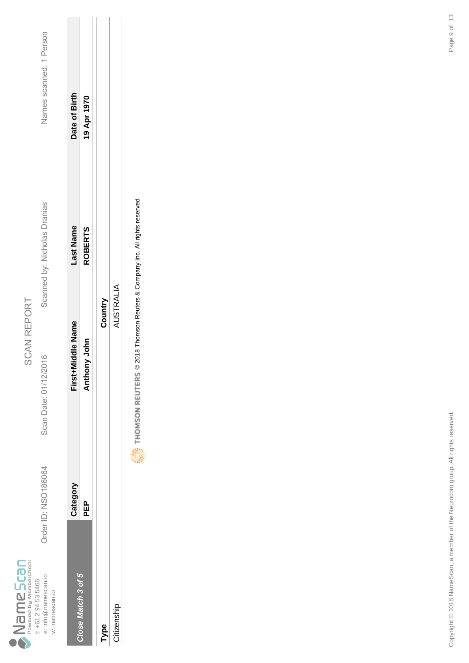|                                   |                     | Drder ID: NSO186064 |                |  |
|-----------------------------------|---------------------|---------------------|----------------|--|
| Powered by MemberCheck<br>ameScan | t: +61 2 94 53 5466 | e: info@namescan.io | w: namescan.io |  |

Scan Date: 01/12/2018

Scanned by: Nicholas Dranias

Names scanned: 1 Person Order ID: NSO186064 Scan Date: 01/12/2018 Scanned by: Nicholas Dranias Names scanned: 1 Person

|                    | Category | First+Middle Name | -ast Name      | Date of Birth |
|--------------------|----------|-------------------|----------------|---------------|
| Close Match 3 of 5 | 요<br>PEP | Anthony John      | <b>ROBERTS</b> | 19 Apr 1970   |
|                    |          |                   |                |               |
| Type               |          | Country           |                |               |
| Citizenship        |          | AUSTRALIA         |                |               |
|                    | i        |                   |                |               |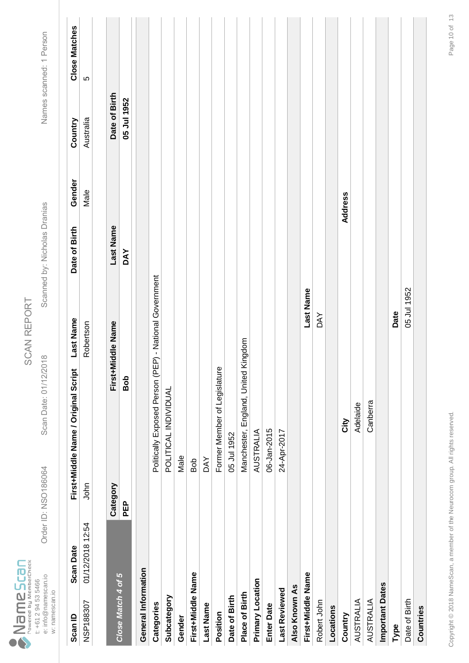|                                          |                     | <b>Drder ID: NSO186064</b> |                |
|------------------------------------------|---------------------|----------------------------|----------------|
| Powered by MemberCheck<br>Scan<br>드<br>D | t: +61 2 94 53 5466 | e: info@namescan.io        | w: namescan.io |

SCAN REPORT SCAN REPORT

Scan Date: 01/12/2018

Order ID: NSO186064 Scan Date: 01/12/2018 Scanned by: Nicholas Dranias Names scanned: 1 Person Scanned by: Nicholas Dranias

| Scan ID                    | <b>Scan Date</b> |          | Last Name<br>First+Middle Name / Original Script       | Date of Birth | Gender  | Country       | <b>Close Matches</b> |
|----------------------------|------------------|----------|--------------------------------------------------------|---------------|---------|---------------|----------------------|
| NSP188307                  | 01/12/2018 12:54 | John     | Robertson                                              |               | Male    | Australia     | 5                    |
|                            |                  |          |                                                        |               |         |               |                      |
|                            |                  | Category | First+Middle Name                                      | Last Name     |         | Date of Birth |                      |
| Close Match 4 of 5         |                  | PEP      | dog                                                    | <b>DAY</b>    |         | 05 Jul 1952   |                      |
| <b>General Information</b> |                  |          |                                                        |               |         |               |                      |
| Categories                 |                  |          | Politically Exposed Person (PEP) - National Government |               |         |               |                      |
| Subcategory                |                  |          | POLITICAL INDIVIDUAL                                   |               |         |               |                      |
| Gender                     |                  |          | Male                                                   |               |         |               |                      |
| First+Middle Name          |                  |          | dog                                                    |               |         |               |                      |
| <b>Last Name</b>           |                  |          | <b>DAY</b>                                             |               |         |               |                      |
| Position                   |                  |          | Former Member of Legislature                           |               |         |               |                      |
| Date of Birth              |                  |          | 05 Jul 1952                                            |               |         |               |                      |
| Place of Birth             |                  |          | Manchester, England, United Kingdom                    |               |         |               |                      |
| Primary Location           |                  |          | AUSTRALIA                                              |               |         |               |                      |
| <b>Enter Date</b>          |                  |          | 06-Jan-2015                                            |               |         |               |                      |
| Last Reviewed              |                  |          | 24-Apr-2017                                            |               |         |               |                      |
| Also Known As              |                  |          |                                                        |               |         |               |                      |
| First+Middle Name          |                  |          | Last Name                                              |               |         |               |                      |
| Robert John                |                  |          | <b>DAY</b>                                             |               |         |               |                      |
| Locations                  |                  |          |                                                        |               |         |               |                      |
| Country                    |                  |          | <b>Nity</b>                                            |               | Address |               |                      |
| <b>AUSTRALIA</b>           |                  |          | Adelaide                                               |               |         |               |                      |
| <b>AUSTRALIA</b>           |                  |          | Canberra                                               |               |         |               |                      |
| <b>Important Dates</b>     |                  |          |                                                        |               |         |               |                      |
| Type                       |                  |          | Date                                                   |               |         |               |                      |
| Date of Birth              |                  |          | 05 Jul 1952                                            |               |         |               |                      |
| Countries                  |                  |          |                                                        |               |         |               |                      |
|                            |                  |          |                                                        |               |         |               |                      |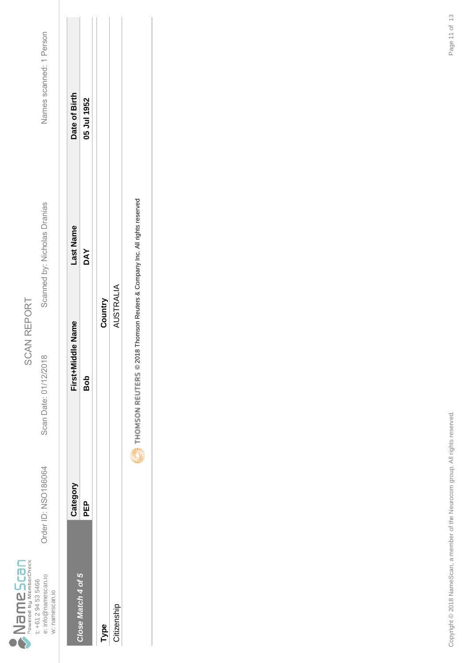|                                        |                     | Drder ID: NSO186064 |                |
|----------------------------------------|---------------------|---------------------|----------------|
| Powered by MemberCheck<br><b>PSCBN</b> | t: +61 2 94 53 5466 | e: info@namescan.io | w: namescan.io |

Scan Date: 01/12/2018

Scanned by: Nicholas Dranias

Names scanned: 1 Person Order ID: NSO186064 Scan Date: 01/12/2018 Scanned by: Nicholas Dranias Names scanned: 1 Person

| Close Match 4 of 5 | Category   | First+Middle Name | -ast Name  | Date of Birth |
|--------------------|------------|-------------------|------------|---------------|
|                    | <b>PEP</b> | Bob               | <b>DAY</b> | 05 Jul 1952   |
|                    |            |                   |            |               |
| Type               |            | Country           |            |               |
| Citizenship        |            | AUSTRALIA         |            |               |
|                    | į          |                   |            |               |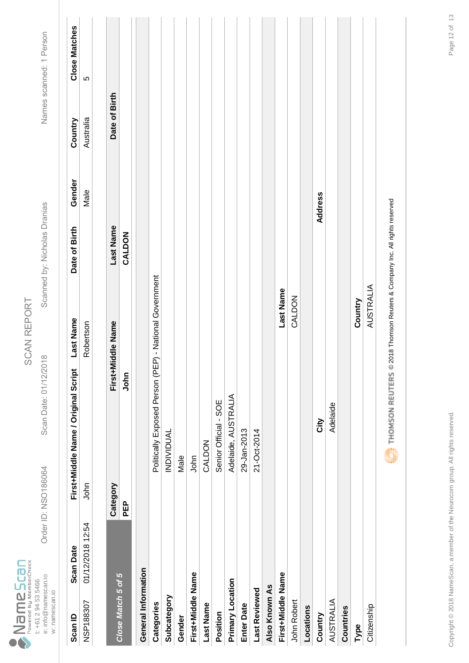|                                   |                     | <b>Drder ID: NSO186064</b> |                |
|-----------------------------------|---------------------|----------------------------|----------------|
| Powered by MemberCheck<br>ameScan | t: +61 2 94 53 5466 | e: info@namescan.io        | w: namescan.io |

Scan Date: 01/12/2018

Order ID: NSO186064 Scan Date: 01/12/2018 Scanned by: Nicholas Dranias Names scanned: 1 Person Scanned by: Nicholas Dranias

| Scan ID             | <b>Scan Date</b> |            | First+Middle Name / Original Script                                       | <b>Last Name</b>  | Date of Birth | Gender  | Country       | <b>Close Matches</b> |
|---------------------|------------------|------------|---------------------------------------------------------------------------|-------------------|---------------|---------|---------------|----------------------|
| NSP188307           | 01/12/2018 12:54 | John       |                                                                           | Robertson         |               | Male    | Australia     | ပ                    |
|                     |                  |            |                                                                           |                   |               |         |               |                      |
|                     |                  | Category   |                                                                           | First+Middle Name | Last Name     |         | Date of Birth |                      |
| Close Match 5 of 5  |                  | <b>PEP</b> | John                                                                      |                   | CALDON        |         |               |                      |
| General Information |                  |            |                                                                           |                   |               |         |               |                      |
| Categories          |                  |            | Politically Exposed Person (PEP) - National Government                    |                   |               |         |               |                      |
| Subcategory         |                  |            | <b>INDIVIDUAL</b>                                                         |                   |               |         |               |                      |
| Gender              |                  |            | Male                                                                      |                   |               |         |               |                      |
| First+Middle Name   |                  |            | John                                                                      |                   |               |         |               |                      |
| <b>Last Name</b>    |                  |            | CALDON                                                                    |                   |               |         |               |                      |
| Position            |                  |            | Senior Official - SOE                                                     |                   |               |         |               |                      |
| Primary Location    |                  |            | Adelaide, AUSTRALIA                                                       |                   |               |         |               |                      |
| <b>Enter Date</b>   |                  |            | 29-Jan-2013                                                               |                   |               |         |               |                      |
| Last Reviewed       |                  |            | 21-Oct-2014                                                               |                   |               |         |               |                      |
| Also Known As       |                  |            |                                                                           |                   |               |         |               |                      |
| First+Middle Name   |                  |            |                                                                           | Last Name         |               |         |               |                      |
| John Robert         |                  |            |                                                                           | CALDON            |               |         |               |                      |
| Locations           |                  |            |                                                                           |                   |               |         |               |                      |
| Country             |                  |            | City                                                                      |                   |               | Address |               |                      |
| AUSTRALIA           |                  |            | Adelaide                                                                  |                   |               |         |               |                      |
| Countries           |                  |            |                                                                           |                   |               |         |               |                      |
| Type                |                  |            |                                                                           | Country           |               |         |               |                      |
| Citizenship         |                  |            |                                                                           | <b>AUSTRALIA</b>  |               |         |               |                      |
|                     |                  |            | THOMSON REUTERS © 2018 Thomson Reuters & Company Inc. All rights reserved |                   |               |         |               |                      |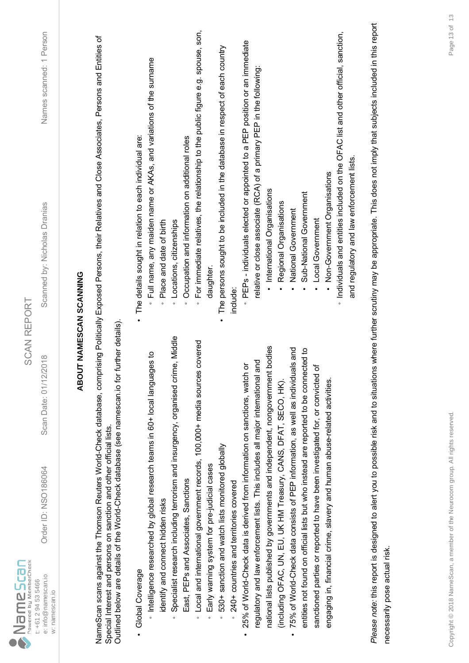| $\sum_{\text{Power by MemberCheck}}$                         |                                                                                                                                                   | <b>SCAN REPORT</b>                                                                   |                                                                                                                                                                                           |                         |
|--------------------------------------------------------------|---------------------------------------------------------------------------------------------------------------------------------------------------|--------------------------------------------------------------------------------------|-------------------------------------------------------------------------------------------------------------------------------------------------------------------------------------------|-------------------------|
| e: info@namescan.io<br>t: +61 2 94 53 5466<br>w: namescan.io | Order ID: NSO186064                                                                                                                               | 2018<br>Scan Date: 01/12/                                                            | Scanned by: Nicholas Dranias                                                                                                                                                              | Names scanned: 1 Person |
|                                                              |                                                                                                                                                   | <b>ABOUT NAMESCAN SCANNING</b>                                                       |                                                                                                                                                                                           |                         |
|                                                              | Outlined below are details of the World-Check database (see namescan.io for<br>Special Interest and persons on sanction and other official lists. | further details)                                                                     | NameScan scans against the Thomson Reuters World-Check database, comprising Politically Exposed Persons, their Relatives and Close Associates, Persons and Entities of                    |                         |
| Global Coverage                                              | Intelligence researched by global research teams in 60+ local langua                                                                              | ges to                                                                               | Full name, any maiden name or AKAs, and variations of the surname<br>The details sought in relation to each individual are:                                                               |                         |
| identify and connect hidden risks                            |                                                                                                                                                   | Specialist research including terrorism and insurgency, organised crime, Middle      | Locations, citizenships<br>Place and date of birth<br>$\circ$<br>$\circ$                                                                                                                  |                         |
|                                                              | East, PEPs and Associates, Sanctions                                                                                                              |                                                                                      | Occupation and information on additional roles<br>$\circ$                                                                                                                                 |                         |
| $\circ$                                                      |                                                                                                                                                   | Local and international government records, 100,000+ media sources covered           | For immediate relatives, the relationship to the public figure e.g. spouse, son,<br>$\circ$                                                                                               |                         |
| $\circ$                                                      | Early warning system for pre-judicial cases                                                                                                       |                                                                                      | daughter                                                                                                                                                                                  |                         |
| $\circ$                                                      | 530+ sanction and watch lists monitored globally                                                                                                  |                                                                                      | The persons sought to be included in the database in respect of each country                                                                                                              |                         |
|                                                              | 240+ countries and territories covered                                                                                                            |                                                                                      | include:                                                                                                                                                                                  |                         |
|                                                              | 25% of World-Check data is derived from information on sanctions, watch                                                                           | ŏ                                                                                    | PEPs - individuals elected or appointed to a PEP position or an immediate                                                                                                                 |                         |
|                                                              | regulatory and law enforcement lists. This includes all major international                                                                       | and                                                                                  | relative or close associate (RCA) of a primary PEP in the following:                                                                                                                      |                         |
|                                                              |                                                                                                                                                   | national lists published by governments and independent, nongovernment bodies        | International Organisations                                                                                                                                                               |                         |
|                                                              | (including OFAC, UN, EU, UK HM Treasury, CANS, DFAT, SECO, HK).                                                                                   |                                                                                      | Regional Organisations                                                                                                                                                                    |                         |
| $\bullet$                                                    | 75% of World-Check data consists of PEP information, as well as individu                                                                          | als and                                                                              | National Government                                                                                                                                                                       |                         |
|                                                              |                                                                                                                                                   | entities not found on official lists but who instead are reported to be connected to | Sub-National Government                                                                                                                                                                   |                         |
|                                                              | sanctioned parties or reported to have been investigated for, or convicted                                                                        | ৳                                                                                    | Local Government                                                                                                                                                                          |                         |
|                                                              | engaging in, financial crime, slavery and human abuse-related activities.                                                                         |                                                                                      | Non-Government Organisations                                                                                                                                                              |                         |
|                                                              |                                                                                                                                                   |                                                                                      | Individuals and entities included on the OFAC list and other official, sanction,                                                                                                          |                         |
|                                                              |                                                                                                                                                   |                                                                                      | and regulatory and law enforcement lists                                                                                                                                                  |                         |
|                                                              |                                                                                                                                                   |                                                                                      | Please note: this report is designed to alert you to possible risk and to situations where further scrutiny may be appropriate. This does not imply that subjects included in this report |                         |
| necessarily pose actual risk.                                |                                                                                                                                                   |                                                                                      |                                                                                                                                                                                           |                         |
|                                                              |                                                                                                                                                   |                                                                                      |                                                                                                                                                                                           |                         |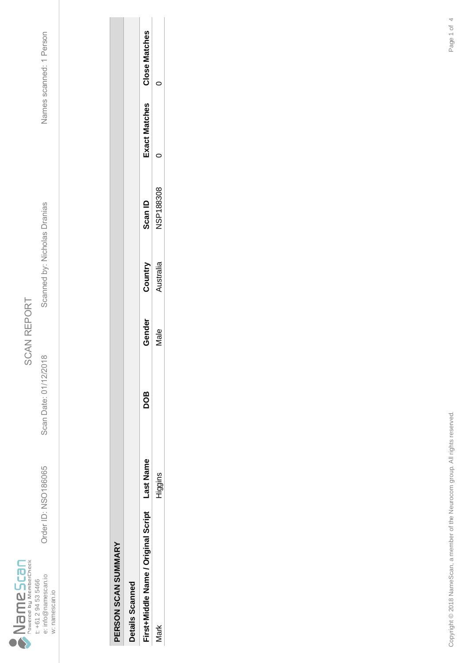

Scan Date: 01/12/2018

Order ID: NSO186065

Order ID: NSO186065 Scan Date: 01/12/2018 Scanned by: Nicholas Dranias Names scanned: 1 Person Scanned by: Nicholas Dranias

| Details Scanned                    |         |            |        |           |                  |               |               |
|------------------------------------|---------|------------|--------|-----------|------------------|---------------|---------------|
| irst+Middle Name / Original Script | ast Nam | <b>BOC</b> | Gender | Country   | Scan ID          | Exact Matches | Close Matches |
| σ                                  | Higgins |            | vlale  | kustralia | <b>NSP188308</b> |               |               |
|                                    |         |            |        |           |                  |               |               |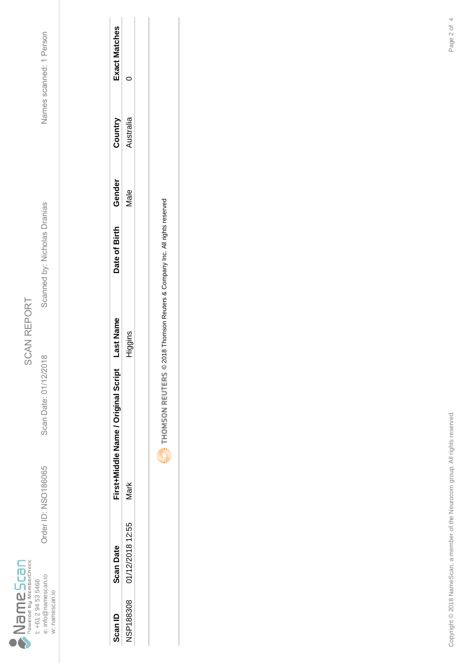

Scan Date: 01/12/2018

Order ID: NSO186065

Order ID: NSO186065 Scan Date: 01/12/2018 Scanned by: Nicholas Dranias Names scanned: 1 Person Scanned by: Nicholas Dranias

Names scanned: 1 Person

| Scan ID   | <b>Scan Date</b> | First+Middle Name / Original Script | ast Name | Date of Birth | Gende       | Country  | <b>Exact Matches</b> |
|-----------|------------------|-------------------------------------|----------|---------------|-------------|----------|----------------------|
| NSP188308 | 01/12/2018 12:55 | vlark                               | iggins   |               | <b>Jale</b> | ustralia |                      |
|           |                  |                                     |          |               |             |          |                      |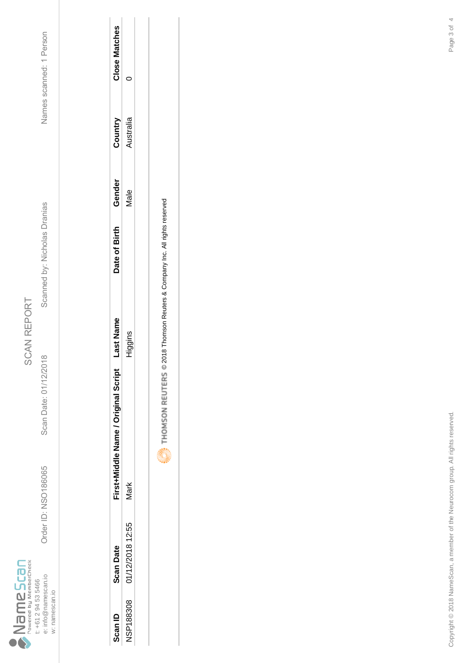

Scan Date: 01/12/2018

Order ID: NSO186065

Order ID: NSO186065 Scan Date: 01/12/2018 Scanned by: Nicholas Dranias Names scanned: 1 Person Scanned by: Nicholas Dranias

Names scanned: 1 Person

| Scan ID          | <b>Scan Date</b> | First+Middle Name / Original Script | ast Name | Date of Birth | Gender | Conunc   | Close Matches |
|------------------|------------------|-------------------------------------|----------|---------------|--------|----------|---------------|
| <b>NSP188308</b> | 01/12/2018 12:55 | Vlark                               | liggins  |               | lale   | ustralia |               |
|                  |                  |                                     |          |               |        |          |               |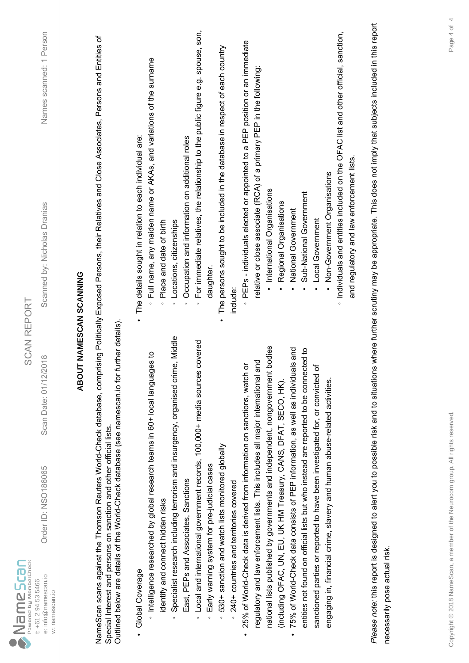| $\sum_{\text{Power by MemberCheck}}$                         |                                                                             | <b>SCAN REPORT</b>                                                                           |                                                                                                                                                                                           |                         |
|--------------------------------------------------------------|-----------------------------------------------------------------------------|----------------------------------------------------------------------------------------------|-------------------------------------------------------------------------------------------------------------------------------------------------------------------------------------------|-------------------------|
| e: info@namescan.io<br>t: +61 2 94 53 5466<br>w: namescan.io | Order ID: NSO186065                                                         | 2018<br>Scan Date: 01/12/                                                                    | Scanned by: Nicholas Dranias                                                                                                                                                              | Names scanned: 1 Person |
|                                                              |                                                                             |                                                                                              | <b>ABOUT NAMESCAN SCANNING</b>                                                                                                                                                            |                         |
|                                                              | Special Interest and persons on sanction and other official lists.          | Outlined below are details of the World-Check database (see namescan.io for further details) | NameScan scans against the Thomson Reuters World-Check database, comprising Politically Exposed Persons, their Relatives and Close Associates, Persons and Entities of                    |                         |
| Global Coverage                                              |                                                                             |                                                                                              | The details sought in relation to each individual are:                                                                                                                                    |                         |
| identify and connect hidden risks                            | Intelligence researched by global research teams in 60+ local langua        | ges to                                                                                       | Full name, any maiden name or AKAs, and variations of the surname<br>Place and date of birth<br>$\circ$                                                                                   |                         |
|                                                              |                                                                             | Specialist research including terrorism and insurgency, organised crime, Middle              | Locations, citizenships<br>$\circ$                                                                                                                                                        |                         |
|                                                              | East, PEPs and Associates, Sanctions                                        |                                                                                              | Occupation and information on additional roles<br>$\circ$                                                                                                                                 |                         |
| $\circ$                                                      |                                                                             | Local and international government records, 100,000+ media sources covered                   | For immediate relatives, the relationship to the public figure e.g. spouse, son,<br>$\circ$                                                                                               |                         |
| $\circ$                                                      | Early warning system for pre-judicial cases                                 |                                                                                              | daughter                                                                                                                                                                                  |                         |
| $\circ$                                                      | 530+ sanction and watch lists monitored globally                            |                                                                                              | The persons sought to be included in the database in respect of each country                                                                                                              |                         |
|                                                              | 240+ countries and territories covered                                      |                                                                                              | include:                                                                                                                                                                                  |                         |
|                                                              | 25% of World-Check data is derived from information on sanctions, watch     | ŏ                                                                                            | PEPs - individuals elected or appointed to a PEP position or an immediate                                                                                                                 |                         |
|                                                              | regulatory and law enforcement lists. This includes all major international | and                                                                                          | relative or close associate (RCA) of a primary PEP in the following:                                                                                                                      |                         |
|                                                              |                                                                             | national lists published by governments and independent, nongovernment bodies                | · International Organisations                                                                                                                                                             |                         |
|                                                              | (including OFAC, UN, EU, UK HM Treasury, CANS, DFAT, SECO, HK).             |                                                                                              | Regional Organisations                                                                                                                                                                    |                         |
| $\bullet$                                                    | 75% of World-Check data consists of PEP information, as well as individu    | als and                                                                                      | National Government                                                                                                                                                                       |                         |
|                                                              |                                                                             | entities not found on official lists but who instead are reported to be connected to         | Sub-National Government                                                                                                                                                                   |                         |
|                                                              | sanctioned parties or reported to have been investigated for, or convicted  | ৳                                                                                            | Local Government                                                                                                                                                                          |                         |
|                                                              | engaging in, financial crime, slavery and human abuse-related activities.   |                                                                                              | Non-Government Organisations                                                                                                                                                              |                         |
|                                                              |                                                                             |                                                                                              | · Individuals and entities included on the OFAC list and other official, sanction,                                                                                                        |                         |
|                                                              |                                                                             |                                                                                              | and regulatory and law enforcement lists.                                                                                                                                                 |                         |
|                                                              |                                                                             |                                                                                              | Please note: this report is designed to alert you to possible risk and to situations where further scrutiny may be appropriate. This does not imply that subjects included in this report |                         |
| necessarily pose actual risk.                                |                                                                             |                                                                                              |                                                                                                                                                                                           |                         |
|                                                              |                                                                             |                                                                                              |                                                                                                                                                                                           |                         |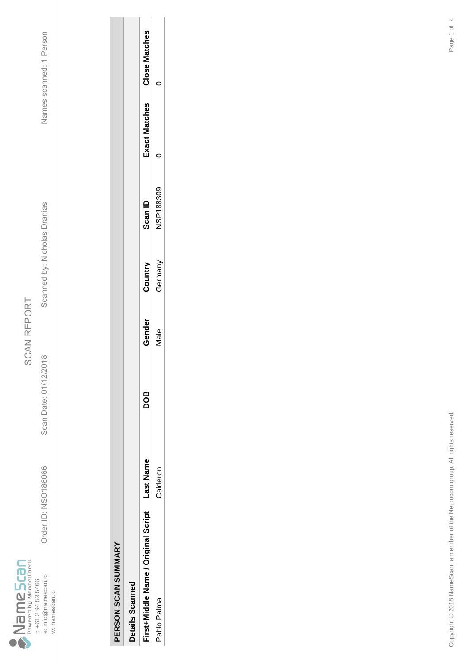

Scan Date: 01/12/2018

Order ID: NSO186066

Order ID: NSO186066 Scan Date: 01/12/2018 Scanned by: Nicholas Dranias Names scanned: 1 Person Scanned by: Nicholas Dranias

| ľ |
|---|
| ٦ |
|   |
|   |
| C |
| ı |
|   |
|   |
|   |
|   |
|   |
|   |
|   |
|   |
|   |
|   |
|   |

| l<br>ì<br>ļ<br>ι<br>I |  |
|-----------------------|--|
|                       |  |
|                       |  |
|                       |  |
|                       |  |
|                       |  |
|                       |  |
|                       |  |
|                       |  |
|                       |  |
|                       |  |
|                       |  |
|                       |  |
|                       |  |

| Details Scannec                     |          |     |        |         |                |              |                      |
|-------------------------------------|----------|-----|--------|---------|----------------|--------------|----------------------|
| First+Middle Name / Original Script | ast Name | 8OC | Gender | Country | <b>Scan ID</b> | xact Matches | <b>Close Matches</b> |
| Pablo Palma                         | Calderon |     | Vlale  | German  | JSP188309      |              |                      |
|                                     |          |     |        |         |                |              |                      |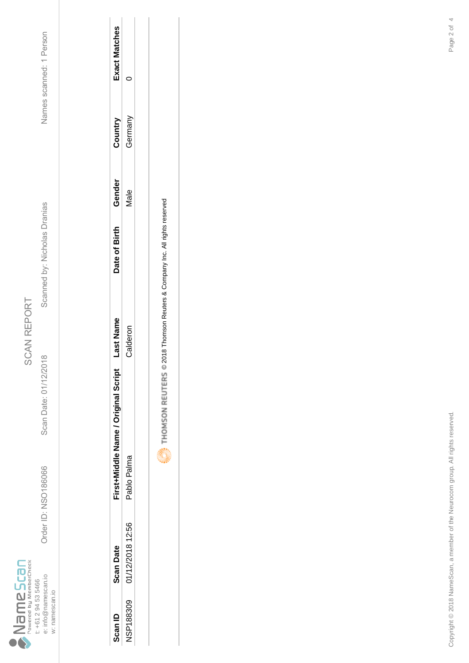

Scan Date: 01/12/2018

Order ID: NSO186066

Order ID: NSO186066 Scan Date: 01/12/2018 Scanned by: Nicholas Dranias Names scanned: 1 Person Scanned by: Nicholas Dranias

Names scanned: 1 Person

| Scan ID          | <b>Scan Date</b> | First+Middle Name / Original Script | ast Nam | Date of Birth | Gender | Country | Exact Matches |
|------------------|------------------|-------------------------------------|---------|---------------|--------|---------|---------------|
| <b>NSP188309</b> | 01/12/2018 12:56 | Pablo Palma                         | alderor |               | vlale  | German  |               |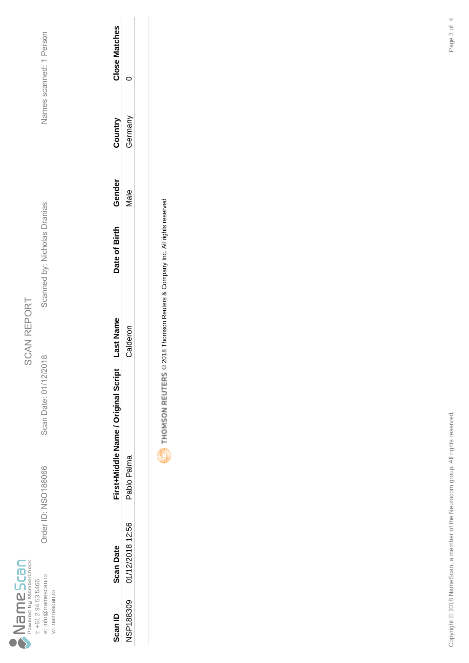

Scan Date: 01/12/2018

Order ID: NSO186066

Order ID: NSO186066 Scan Date: 01/12/2018 Scanned by: Nicholas Dranias Names scanned: 1 Person Scanned by: Nicholas Dranias

Names scanned: 1 Person

| Scan ID          | <b>Scan Date</b> | First+Middle Name / Original Script | ast Name | Date of Birth | Gender      | Countr <sub>)</sub> | Close Matcher |
|------------------|------------------|-------------------------------------|----------|---------------|-------------|---------------------|---------------|
| <b>NSP188309</b> | 01/12/2018 12:56 | Pablo Palma                         | Calderor |               | <b>Jale</b> | erman               |               |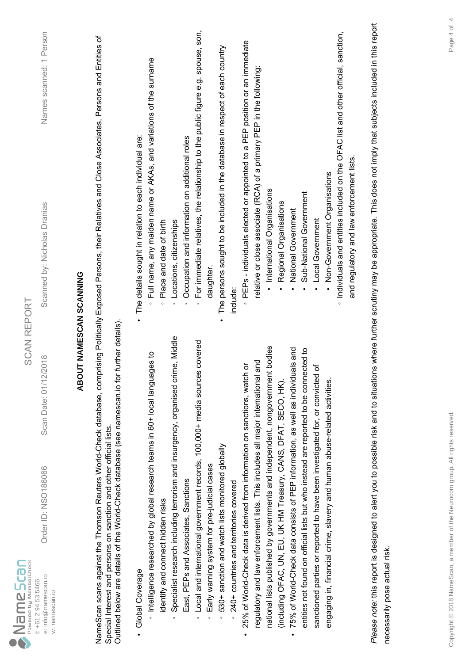| $\sum_{p_{\text{overed by MenberCheck}}}$<br>e: info@namescan.io<br>t: +61 2 94 53 5466<br>w: namescan.io | Order ID: NSO186066                                                         | <b>SCAN REPORT</b><br>2018<br>Scan Date: 01/12/                                              | Names scanned: 1 Person<br>Scanned by: Nicholas Dranias                                                                                                                                   |
|-----------------------------------------------------------------------------------------------------------|-----------------------------------------------------------------------------|----------------------------------------------------------------------------------------------|-------------------------------------------------------------------------------------------------------------------------------------------------------------------------------------------|
|                                                                                                           |                                                                             |                                                                                              | <b>ABOUT NAMESCAN SCANNING</b>                                                                                                                                                            |
|                                                                                                           | Special Interest and persons on sanction and other official lists.          | Outlined below are details of the World-Check database (see namescan.io for further details) | NameScan scans against the Thomson Reuters World-Check database, comprising Politically Exposed Persons, their Relatives and Close Associates, Persons and Entities of                    |
| Global Coverage                                                                                           |                                                                             |                                                                                              | The details sought in relation to each individual are:                                                                                                                                    |
|                                                                                                           | htelligence researched by global research teams in 60+ local langua         | ges to                                                                                       | Full name, any maiden name or AKAs, and variations of the surname                                                                                                                         |
| identify and connect hidden risks                                                                         |                                                                             | Specialist research including terrorism and insurgency, organised crime, Middle              | Place and date of birth<br>Locations, citizenships<br>$\circ$<br>$\circ$                                                                                                                  |
|                                                                                                           | East, PEPs and Associates, Sanctions                                        |                                                                                              | Occupation and information on additional roles<br>$\circ$                                                                                                                                 |
| $\circ$                                                                                                   |                                                                             | Local and international government records, 100,000+ media sources covered                   | For immediate relatives, the relationship to the public figure e.g. spouse, son,<br>$\circ$                                                                                               |
| $\circ$                                                                                                   | Early warning system for pre-judicial cases                                 |                                                                                              | daughter                                                                                                                                                                                  |
| $\circ$                                                                                                   | 530+ sanction and watch lists monitored globally                            |                                                                                              | The persons sought to be included in the database in respect of each country                                                                                                              |
|                                                                                                           | 240+ countries and territories covered                                      |                                                                                              | include:                                                                                                                                                                                  |
|                                                                                                           | 25% of World-Check data is derived from information on sanctions, watch     | ŏ                                                                                            | PEPs - individuals elected or appointed to a PEP position or an immediate                                                                                                                 |
|                                                                                                           | regulatory and law enforcement lists. This includes all major international | and                                                                                          | relative or close associate (RCA) of a primary PEP in the following:                                                                                                                      |
|                                                                                                           |                                                                             | national lists published by governments and independent, nongovernment bodies                | · International Organisations                                                                                                                                                             |
|                                                                                                           | (including OFAC, UN, EU, UK HM Treasury, CANS, DFAT, SECO, HK).             |                                                                                              | Regional Organisations                                                                                                                                                                    |
| $\bullet$                                                                                                 | 75% of World-Check data consists of PEP information, as well as individu    | als and                                                                                      | National Government                                                                                                                                                                       |
|                                                                                                           |                                                                             | entities not found on official lists but who instead are reported to be connected to         | Sub-National Government                                                                                                                                                                   |
|                                                                                                           | sanctioned parties or reported to have been investigated for, or convicted  | ৳                                                                                            | Local Government                                                                                                                                                                          |
|                                                                                                           | engaging in, financial crime, slavery and human abuse-related activities.   |                                                                                              | Non-Government Organisations                                                                                                                                                              |
|                                                                                                           |                                                                             |                                                                                              | · Individuals and entities included on the OFAC list and other official, sanction,                                                                                                        |
|                                                                                                           |                                                                             |                                                                                              | and regulatory and law enforcement lists.                                                                                                                                                 |
|                                                                                                           |                                                                             |                                                                                              | Please note: this report is designed to alert you to possible risk and to situations where further scrutiny may be appropriate. This does not imply that subjects included in this report |
| necessarily pose actual risk.                                                                             |                                                                             |                                                                                              |                                                                                                                                                                                           |
|                                                                                                           |                                                                             |                                                                                              |                                                                                                                                                                                           |
|                                                                                                           |                                                                             |                                                                                              |                                                                                                                                                                                           |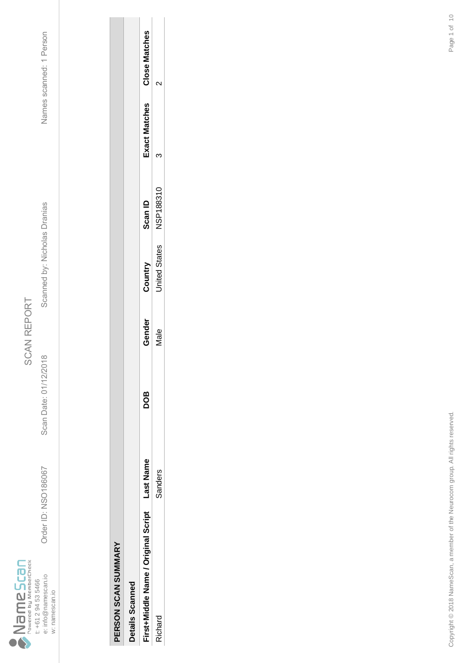

Scan Date: 01/12/2018

Order ID: NSO186067

Order ID: NSO186067 Scan Date: 01/12/2018 Scanned by: Nicholas Dranias Names scanned: 1 Person Scanned by: Nicholas Dranias

Names scanned: 1 Person

| i |  |
|---|--|
|   |  |
|   |  |
|   |  |
|   |  |
|   |  |
|   |  |
|   |  |
|   |  |
|   |  |

l,

| í |  |
|---|--|
| : |  |
| I |  |
| í |  |
|   |  |
| ì |  |
|   |  |
|   |  |
|   |  |
|   |  |
|   |  |
|   |  |
|   |  |
|   |  |

| Details Scannec                     |          |     |        |                      |                |              |                      |
|-------------------------------------|----------|-----|--------|----------------------|----------------|--------------|----------------------|
| First+Middle Name / Original Script | ast Name | 8OQ | Gender | Country              | <b>Scan ID</b> | xact Matches | <b>Close Matches</b> |
| ichard                              | sanders  |     | Vale   | <b>Inited States</b> | NSP188310      |              |                      |
|                                     |          |     |        |                      |                |              |                      |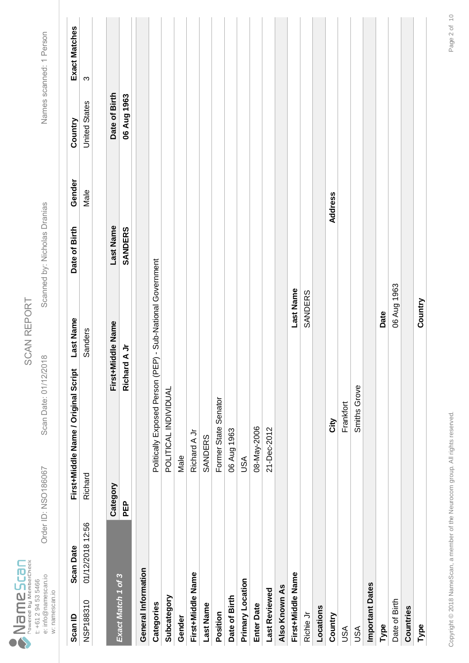|                                   |                     | Order ID: NSO186067 |                |
|-----------------------------------|---------------------|---------------------|----------------|
| Powered by MemberCheck<br>ameScan | t: +61 2 94 53 5466 | e: info@namescan.io | w: namescan.io |

Scan Date: 01/12/2018

Scanned by: Nicholas Dranias

Names scanned: 1 Person Order ID: NSO186067 Scan Date: 01/12/2018 Scanned by: Nicholas Dranias Names scanned: 1 Person

| Scan ID             | <b>Scan Date</b> |            | First+Middle Name / Original Script | Last Name                    | Date of Birth  | Gender  | Country              | Exact Matches |
|---------------------|------------------|------------|-------------------------------------|------------------------------|----------------|---------|----------------------|---------------|
| NSP188310           | 01/12/2018 12:56 | Richard    |                                     | Sanders                      |                | Male    | <b>United States</b> | S             |
|                     |                  |            |                                     |                              |                |         |                      |               |
|                     |                  | Category   | First+Middle Name                   |                              | Last Name      |         | Date of Birth        |               |
| Exact Match 1 of 3  |                  | <b>PEP</b> | ちくっ<br>Richar                       |                              | <b>SANDERS</b> |         | 06 Aug 1963          |               |
| General Information |                  |            |                                     |                              |                |         |                      |               |
| Categories          |                  |            | Politically Exposed Person (PE      | P) - Sub-National Government |                |         |                      |               |
| Subcategory         |                  |            | POLITICAL INDIVIDUAL                |                              |                |         |                      |               |
| Gender              |                  |            | Male                                |                              |                |         |                      |               |
| First+Middle Name   |                  |            | Richard A Jr                        |                              |                |         |                      |               |
| Last Name           |                  |            | SANDERS                             |                              |                |         |                      |               |
| Position            |                  |            | Former State Senator                |                              |                |         |                      |               |
| Date of Birth       |                  |            | 06 Aug 1963                         |                              |                |         |                      |               |
| Primary Location    |                  |            | USA                                 |                              |                |         |                      |               |
| <b>Enter Date</b>   |                  |            | 08-May-2006                         |                              |                |         |                      |               |
| Last Reviewed       |                  |            | 21-Dec-2012                         |                              |                |         |                      |               |
| Also Known As       |                  |            |                                     |                              |                |         |                      |               |
| First+Middle Name   |                  |            |                                     | Last Name                    |                |         |                      |               |
| Richie Jr           |                  |            |                                     | SANDERS                      |                |         |                      |               |
| Locations           |                  |            |                                     |                              |                |         |                      |               |
| Country             |                  |            | Δi                                  |                              |                | Address |                      |               |
| USA                 |                  |            | Frankfort                           |                              |                |         |                      |               |
| <b>ASU</b>          |                  |            | Smiths Grove                        |                              |                |         |                      |               |
| Important Dates     |                  |            |                                     |                              |                |         |                      |               |
| Type                |                  |            |                                     | Date                         |                |         |                      |               |
| Date of Birth       |                  |            |                                     | 06 Aug 1963                  |                |         |                      |               |
| Countries           |                  |            |                                     |                              |                |         |                      |               |
| Type                |                  |            |                                     | Country                      |                |         |                      |               |
|                     |                  |            |                                     |                              |                |         |                      |               |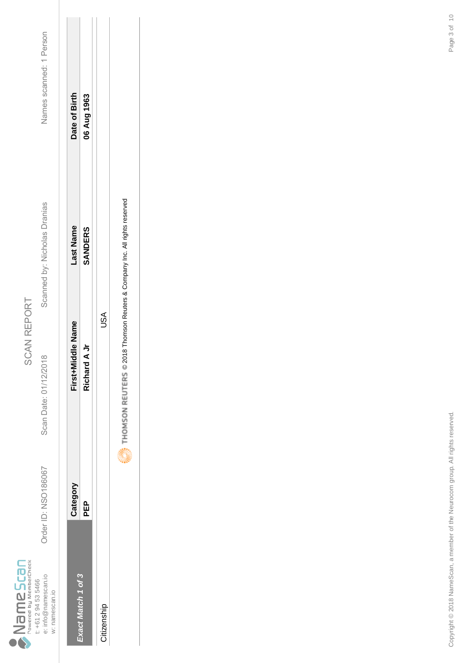|                                  |                     | Drder ID: NSO186067 |                |
|----------------------------------|---------------------|---------------------|----------------|
| Powered by MemberCheck<br>meScar | t: +61 2 94 53 5466 | e: info@namescan.io | w: namescan.io |

Scan Date: 01/12/2018

Scanned by: Nicholas Dranias

Names scanned: 1 Person Order ID: NSO186067 Scan Date: 01/12/2018 Scanned by: Nicholas Dranias Names scanned: 1 Person

| xact Match 1 of 3 | Category | First+Middle Name | ast Name | Date of Birth |
|-------------------|----------|-------------------|----------|---------------|
|                   | 요<br>모   | Richard A Jr      | SANDERS  | 06 Aug 1963   |
| Citizenship       |          | JSA               |          |               |

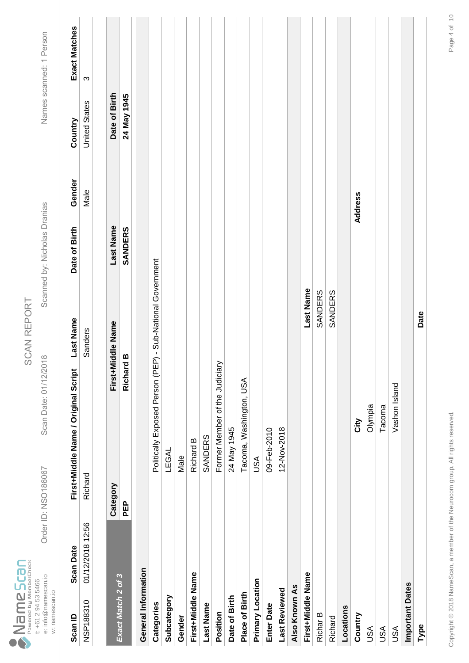|                                   |                     | Drder ID: NSO186067 |                |  |
|-----------------------------------|---------------------|---------------------|----------------|--|
| Powered by MemberCheck<br>ameScar | t: +61 2 94 53 5466 | e: info@namescan.io | w: namescan.io |  |

SCAN REPORT SCAN REPORT

Scan Date: 01/12/2018

Order ID: NSO186067 Scan Date: 01/12/2018 Scanned by: Nicholas Dranias Names scanned: 1 Person Scanned by: Nicholas Dranias

| Scan ID                | <b>Scan Date</b> |          | First+Middle Name / Original Script                        | Last Name         | Date of Birth | Gender  | Country              | Exact Matches |
|------------------------|------------------|----------|------------------------------------------------------------|-------------------|---------------|---------|----------------------|---------------|
| NSP188310              | 01/12/2018 12:56 | Richard  |                                                            | Sanders           |               | Male    | <b>United States</b> | ო             |
|                        |                  |          |                                                            |                   |               |         |                      |               |
|                        |                  | Category |                                                            | First+Middle Name | Last Name     |         | Date of Birth        |               |
| Exact Match 2 of 3     |                  | PEP      | a<br>p<br>Richar                                           |                   | SANDERS       |         | 24 May 1945          |               |
| General Information    |                  |          |                                                            |                   |               |         |                      |               |
| Categories             |                  |          | Politically Exposed Person (PEP) - Sub-National Government |                   |               |         |                      |               |
| Subcategory            |                  |          | LEGAL                                                      |                   |               |         |                      |               |
| Gender                 |                  |          | Male                                                       |                   |               |         |                      |               |
| First+Middle Name      |                  |          | Richard B                                                  |                   |               |         |                      |               |
| <b>Last Name</b>       |                  |          | SANDERS                                                    |                   |               |         |                      |               |
| Position               |                  |          | Former Member of the Judiciary                             |                   |               |         |                      |               |
| Date of Birth          |                  |          | 24 May 1945                                                |                   |               |         |                      |               |
| Place of Birth         |                  |          | Tacoma, Washington, USA                                    |                   |               |         |                      |               |
| Primary Location       |                  |          | USA                                                        |                   |               |         |                      |               |
| <b>Enter Date</b>      |                  |          | 09-Feb-2010                                                |                   |               |         |                      |               |
| Last Reviewed          |                  |          | 12-Nov-2018                                                |                   |               |         |                      |               |
| Also Known As          |                  |          |                                                            |                   |               |         |                      |               |
| First+Middle Name      |                  |          |                                                            | Last Name         |               |         |                      |               |
| Richar B               |                  |          |                                                            | SANDERS           |               |         |                      |               |
| Richard                |                  |          |                                                            | SANDERS           |               |         |                      |               |
| Locations              |                  |          |                                                            |                   |               |         |                      |               |
| Country                |                  |          | لا<br>تا                                                   |                   |               | Address |                      |               |
| USA                    |                  |          | Olympia                                                    |                   |               |         |                      |               |
| <b>ASU</b>             |                  |          | Tacoma                                                     |                   |               |         |                      |               |
| USA                    |                  |          | Vashon Island                                              |                   |               |         |                      |               |
| <b>Important Dates</b> |                  |          |                                                            |                   |               |         |                      |               |
| Type                   |                  |          |                                                            | Date              |               |         |                      |               |
|                        |                  |          |                                                            |                   |               |         |                      |               |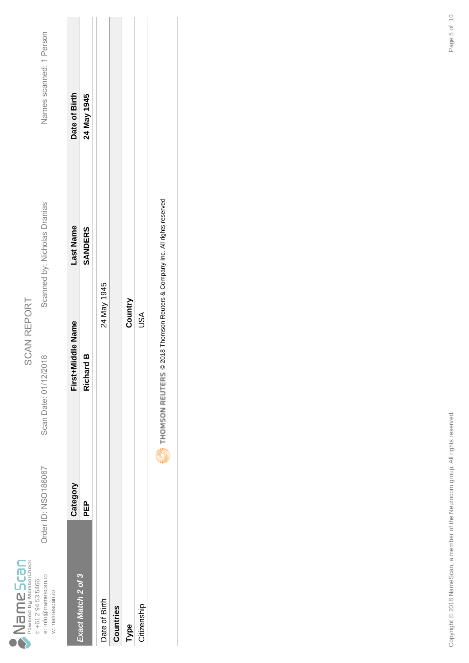|                                |                     | Order ID: NSO186067 |                |
|--------------------------------|---------------------|---------------------|----------------|
| Powered by MemberCheck<br>Scan | t: +61 2 94 53 5466 | e: info@namescan.io | w: namescan.io |

Scan Date: 01/12/2018

Scanned by: Nicholas Dranias

Names scanned: 1 Person Order ID: NSO186067 Scan Date: 01/12/2018 Scanned by: Nicholas Dranias Names scanned: 1 Person

|                    | Category | First+Middle Name | -ast Name      | Date of Birth |
|--------------------|----------|-------------------|----------------|---------------|
| Exact Match 2 of 3 | 요<br>PED | <b>Richard B</b>  | <b>SANDERS</b> | 24 May 1945   |
| Date of Birth      |          | 24 May 1945       |                |               |
| Countries          |          |                   |                |               |
| Type               |          | Country           |                |               |
| Citizenship        |          | USA               |                |               |
|                    |          |                   |                |               |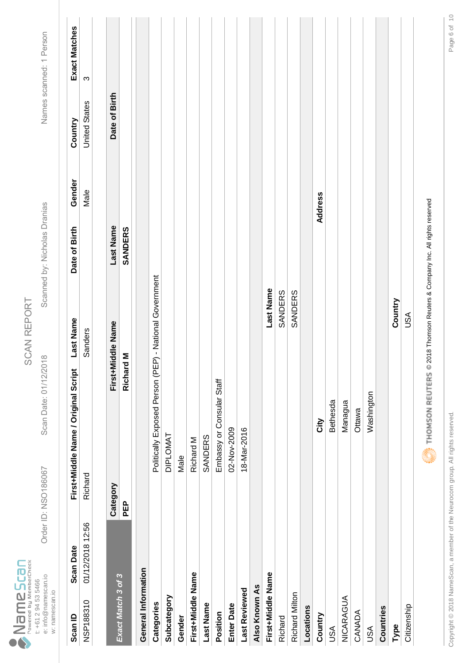|                                  |                     | Drder ID: NSO186067 |                |
|----------------------------------|---------------------|---------------------|----------------|
| owered by MemberCheck<br>ameScar | t: +61 2 94 53 5466 | e: info@namescan.io | w: namescan.io |

Scan Date: 01/12/2018

Scanned by: Nicholas Dranias

Names scanned: 1 Person Order ID: NSO186067 Scan Date: 01/12/2018 Scanned by: Nicholas Dranias Names scanned: 1 Person

| Scan ID             | <b>Scan Date</b> |            | First+Middle Name / Original Script                                       | Last Name  | Date of Birth  | Gender  | Country              | Exact Matches |
|---------------------|------------------|------------|---------------------------------------------------------------------------|------------|----------------|---------|----------------------|---------------|
| NSP188310           | 01/12/2018 12:56 | Richard    |                                                                           | Sanders    |                | Male    | <b>United States</b> | ω             |
|                     |                  |            |                                                                           |            |                |         |                      |               |
| Exact Match 3 of 3  |                  | Category   | First+Middle Name                                                         |            | Last Name      |         | Date of Birth        |               |
|                     |                  | <b>PEP</b> | Mp<br>Richar                                                              |            | <b>SANDERS</b> |         |                      |               |
| General Information |                  |            |                                                                           |            |                |         |                      |               |
| Categories          |                  |            | Politically Exposed Person (PEP) - National Government                    |            |                |         |                      |               |
| Subcategory         |                  |            | <b>DIPLOMAT</b>                                                           |            |                |         |                      |               |
| Gender              |                  |            | Male                                                                      |            |                |         |                      |               |
| First+Middle Name   |                  |            | Richard M                                                                 |            |                |         |                      |               |
| <b>Last Name</b>    |                  |            | SANDERS                                                                   |            |                |         |                      |               |
| Position            |                  |            | Embassy or Consular Staff                                                 |            |                |         |                      |               |
| <b>Enter Date</b>   |                  |            | 02-Nov-2009                                                               |            |                |         |                      |               |
| Last Reviewed       |                  |            | 18-Mar-2016                                                               |            |                |         |                      |               |
| Also Known As       |                  |            |                                                                           |            |                |         |                      |               |
| First+Middle Name   |                  |            |                                                                           | Last Name  |                |         |                      |               |
| Richard             |                  |            |                                                                           | SANDERS    |                |         |                      |               |
| Richard Milton      |                  |            |                                                                           | SANDERS    |                |         |                      |               |
| Locations           |                  |            |                                                                           |            |                |         |                      |               |
| Country             |                  |            | City                                                                      |            |                | Address |                      |               |
| <b>USA</b>          |                  |            | Bethesda                                                                  |            |                |         |                      |               |
| NICARAGUA           |                  |            | Managua                                                                   |            |                |         |                      |               |
| CANADA              |                  |            | Ottawa                                                                    |            |                |         |                      |               |
| <b>ASU</b>          |                  |            | Washington                                                                |            |                |         |                      |               |
| Countries           |                  |            |                                                                           |            |                |         |                      |               |
| Type                |                  |            |                                                                           | Country    |                |         |                      |               |
| Citizenship         |                  |            |                                                                           | <b>ASU</b> |                |         |                      |               |
|                     |                  |            | THOMSON REUTERS © 2018 Thomson Reuters & Company Inc. All rights reserved |            |                |         |                      |               |



Copyright © 2018 NameScan, a member of the Neurocom group. All rights reserved. Page 6 of Copyright © 2018 NameScan, a member of the Neurocom group. All rights reserved.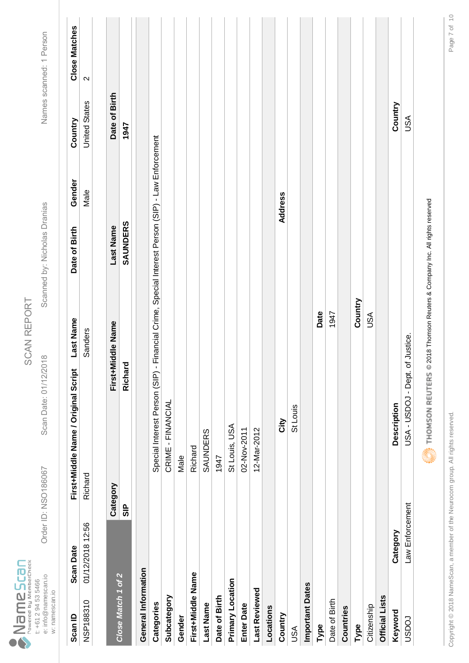|                                  |                     | Drder ID: NSO186067 |                |
|----------------------------------|---------------------|---------------------|----------------|
| owered by MemberCheck<br>ameScar | t: +61 2 94 53 5466 | e: info@namescan.io | w: namescan.io |

Scan Date: 01/12/2018

Scanned by: Nicholas Dranias

Names scanned: 1 Person Order ID: NSO186067 Scan Date: 01/12/2018 Scanned by: Nicholas Dranias Names scanned: 1 Person

| Scan ID                | <b>Scan Date</b> |                | First+Middle Name / Original Script | <b>Last Name</b>                                                   | Date of Birth | Gender  | Country              | <b>Close Matches</b> |
|------------------------|------------------|----------------|-------------------------------------|--------------------------------------------------------------------|---------------|---------|----------------------|----------------------|
| NSP188310              | 01/12/2018 12:56 | Richard        |                                     | Sanders                                                            |               | Male    | <b>United States</b> | $\sim$               |
|                        |                  |                |                                     |                                                                    |               |         |                      |                      |
|                        |                  | Category       |                                     | First+Middle Name                                                  | Last Name     |         | Date of Birth        |                      |
| Close Match 1 of 2     |                  | $\frac{P}{3P}$ | Richard                             |                                                                    | SAUNDERS      |         | 1947                 |                      |
| General Information    |                  |                |                                     |                                                                    |               |         |                      |                      |
| Categories             |                  |                | Special Interest Person (SIP)       | - Financial Crime, Special Interest Person (SIP) - Law Enforcement |               |         |                      |                      |
| Subcategory            |                  |                | CRIME - FINANCIAL                   |                                                                    |               |         |                      |                      |
| Gender                 |                  |                | Male                                |                                                                    |               |         |                      |                      |
| First+Middle Name      |                  |                | Richard                             |                                                                    |               |         |                      |                      |
| <b>Last Name</b>       |                  |                | <b>SAUNDERS</b>                     |                                                                    |               |         |                      |                      |
| Date of Birth          |                  |                | 1947                                |                                                                    |               |         |                      |                      |
| Primary Location       |                  |                | St Louis, USA                       |                                                                    |               |         |                      |                      |
| <b>Enter Date</b>      |                  |                | 02-Nov-2011                         |                                                                    |               |         |                      |                      |
| Last Reviewed          |                  |                | 12-Mar-2012                         |                                                                    |               |         |                      |                      |
| Locations              |                  |                |                                     |                                                                    |               |         |                      |                      |
| Country                |                  |                | <b>Nity</b>                         |                                                                    |               | Address |                      |                      |
| USA                    |                  |                | St Louis                            |                                                                    |               |         |                      |                      |
| <b>Important Dates</b> |                  |                |                                     |                                                                    |               |         |                      |                      |
| Type                   |                  |                |                                     | Date                                                               |               |         |                      |                      |
| Date of Birth          |                  |                |                                     | 1947                                                               |               |         |                      |                      |
| Countries              |                  |                |                                     |                                                                    |               |         |                      |                      |
| Type                   |                  |                |                                     | Country                                                            |               |         |                      |                      |
| Citizenship            |                  |                |                                     | USA                                                                |               |         |                      |                      |
| <b>Official Lists</b>  |                  |                |                                     |                                                                    |               |         |                      |                      |
| Keyword                | Category         |                | <b>Description</b>                  |                                                                    |               |         | Country              |                      |
| roasn                  | Law Enforcement  |                | USA - USDOJ - Dept.                 | of Justice.                                                        |               |         | <b>ASU</b>           |                      |
|                        |                  |                | <b>Altra Control</b>                |                                                                    |               |         |                      |                      |

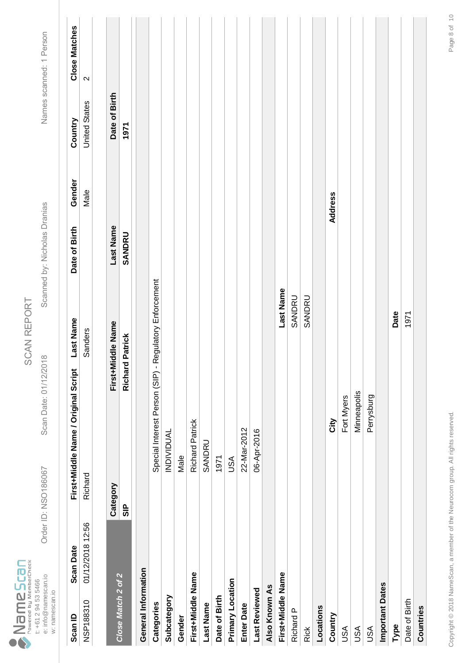|                                  |                     | Drder ID: NSO186067 |                |  |
|----------------------------------|---------------------|---------------------|----------------|--|
| Powered by MemberCheck<br>mescar | t: +61 2 94 53 5466 | e: info@namescan.io | w: namescan.io |  |

Scan Date: 01/12/2018

Order ID: NSO186067 Scan Date: 01/12/2018 Scanned by: Nicholas Dranias Names scanned: 1 Person Scanned by: Nicholas Dranias

| Scan ID                | <b>Scan Date</b> |               | Last Name<br>First+Middle Name / Original Script |                        | Date of Birth | Gender  | Country              | <b>Close Matches</b> |
|------------------------|------------------|---------------|--------------------------------------------------|------------------------|---------------|---------|----------------------|----------------------|
| NSP188310              | 01/12/2018 12:56 | Richard       | Sanders                                          |                        |               | Male    | <b>United States</b> | $\sim$               |
|                        |                  |               |                                                  |                        |               |         |                      |                      |
|                        |                  | Category      | First+Middle Name                                |                        | Last Name     |         | Date of Birth        |                      |
| Close Match 2 of 2     |                  | $\frac{P}{3}$ | d Patrick<br>Richar                              |                        | SANDRU        |         | 1971                 |                      |
| General Information    |                  |               |                                                  |                        |               |         |                      |                      |
| Categories             |                  |               | Special Interest Person (SIP) -                  | Regulatory Enforcement |               |         |                      |                      |
| Subcategory            |                  |               | <b>INDIVIDUAL</b>                                |                        |               |         |                      |                      |
| Gender                 |                  |               | Male                                             |                        |               |         |                      |                      |
| First+Middle Name      |                  |               | <b>Richard Patrick</b>                           |                        |               |         |                      |                      |
| <b>Last Name</b>       |                  |               | SANDRU                                           |                        |               |         |                      |                      |
| Date of Birth          |                  |               | 1971                                             |                        |               |         |                      |                      |
| Primary Location       |                  |               | USA                                              |                        |               |         |                      |                      |
| <b>Enter Date</b>      |                  |               | 22-Mar-2012                                      |                        |               |         |                      |                      |
| Last Reviewed          |                  |               | 06-Apr-2016                                      |                        |               |         |                      |                      |
| Also Known As          |                  |               |                                                  |                        |               |         |                      |                      |
| First+Middle Name      |                  |               |                                                  | Last Name              |               |         |                      |                      |
| Richard P              |                  |               |                                                  | SANDRU                 |               |         |                      |                      |
| <b>Rick</b>            |                  |               |                                                  | SANDRU                 |               |         |                      |                      |
| Locations              |                  |               |                                                  |                        |               |         |                      |                      |
| Country                |                  |               | <b>Nity</b>                                      |                        |               | Address |                      |                      |
| USA                    |                  |               | Fort Myers                                       |                        |               |         |                      |                      |
| USA                    |                  |               | Minneapolis                                      |                        |               |         |                      |                      |
| USA                    |                  |               | Perrysburg                                       |                        |               |         |                      |                      |
| <b>Important Dates</b> |                  |               |                                                  |                        |               |         |                      |                      |
| Type                   |                  |               |                                                  | Date                   |               |         |                      |                      |
| Date of Birth          |                  |               |                                                  | 1971                   |               |         |                      |                      |
| Countries              |                  |               |                                                  |                        |               |         |                      |                      |
|                        |                  |               |                                                  |                        |               |         |                      |                      |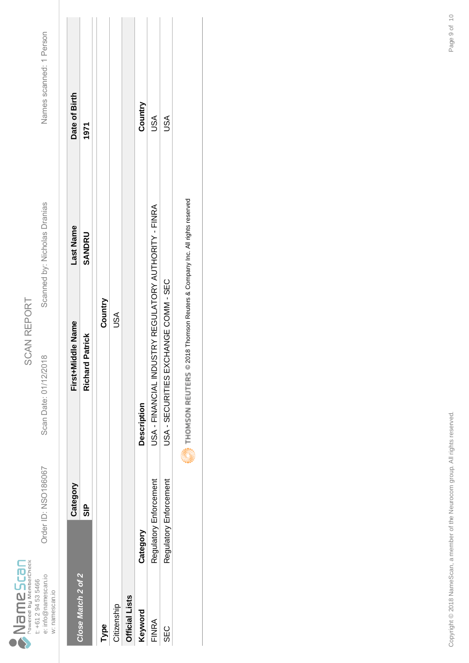|        |                        |                     | Drder ID: NSO186067 |                |
|--------|------------------------|---------------------|---------------------|----------------|
| mescar | Powered by MemberCheck | t: +61 2 94 53 5466 | e: info@namescan.io | w: namescan.io |

Scan Date: 01/12/2018

Scanned by: Nicholas Dranias

Names scanned: 1 Person Order ID: NSO186067 Scan Date: 01/12/2018 Scanned by: Nicholas Dranias Names scanned: 1 Person

|                    | Category               | First+Middle Name                                     | Last Name | Date of Birth |
|--------------------|------------------------|-------------------------------------------------------|-----------|---------------|
| Close Match 2 of 2 | $\frac{a}{\omega}$     | <b>Richard Patrick</b>                                | SANDRU    | 1971          |
| Type               |                        | Country                                               |           |               |
| Citizenship        |                        | USA                                                   |           |               |
| Official Lists     |                        |                                                       |           |               |
| Keyword            | Category               | Description                                           |           | Country       |
| FINRA              | Regulatory Enforcement | USA - FINANCIAL INDUSTRY REGULATORY AUTHORITY - FINRA |           | USA           |
| C<br>თმვ           | Regulatory Enforcement | USA - SECURITIES EXCHANGE COMM - SEC                  |           | USA           |
|                    |                        | <b>Allia</b>                                          |           |               |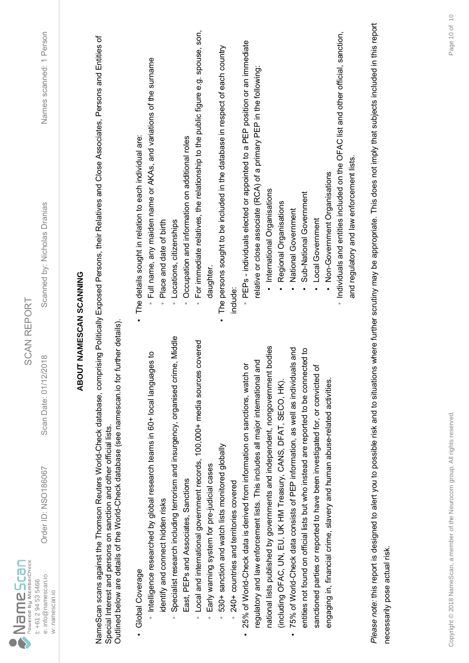| $\sum_{\text{Powered by MemberCheck}}$                       |                                                                                                                                                   | <b>SCAN REPORT</b>                                                                   |                                                                                                                                                                                           |                         |
|--------------------------------------------------------------|---------------------------------------------------------------------------------------------------------------------------------------------------|--------------------------------------------------------------------------------------|-------------------------------------------------------------------------------------------------------------------------------------------------------------------------------------------|-------------------------|
| e: info@namescan.io<br>t: +61 2 94 53 5466<br>w: namescan.io | Order ID: NSO186067                                                                                                                               | 2018<br>Scan Date: 01/12/                                                            | Scanned by: Nicholas Dranias                                                                                                                                                              | Names scanned: 1 Person |
|                                                              |                                                                                                                                                   |                                                                                      | <b>ABOUT NAMESCAN SCANNING</b>                                                                                                                                                            |                         |
|                                                              | Outlined below are details of the World-Check database (see namescan.io for<br>Special Interest and persons on sanction and other official lists. | further details)                                                                     | NameScan scans against the Thomson Reuters World-Check database, comprising Politically Exposed Persons, their Relatives and Close Associates, Persons and Entities of                    |                         |
| Global Coverage                                              |                                                                                                                                                   |                                                                                      | The details sought in relation to each individual are:                                                                                                                                    |                         |
|                                                              | htelligence researched by global research teams in 60+ local langua                                                                               | ges to                                                                               | Full name, any maiden name or AKAs, and variations of the surname                                                                                                                         |                         |
| identify and connect hidden risks                            |                                                                                                                                                   |                                                                                      | Place and date of birth<br>$\circ$                                                                                                                                                        |                         |
|                                                              |                                                                                                                                                   | Specialist research including terrorism and insurgency, organised crime, Middle      | Locations, citizenships<br>$\circ$                                                                                                                                                        |                         |
|                                                              | East, PEPs and Associates, Sanctions                                                                                                              |                                                                                      | Occupation and information on additional roles<br>$\circ$                                                                                                                                 |                         |
| $\circ$                                                      |                                                                                                                                                   | Local and international government records, 100,000+ media sources covered           | For immediate relatives, the relationship to the public figure e.g. spouse, son,<br>$\circ$                                                                                               |                         |
| $\circ$                                                      | Early warning system for pre-judicial cases                                                                                                       |                                                                                      | daughter                                                                                                                                                                                  |                         |
| $\circ$                                                      | 530+ sanction and watch lists monitored globally                                                                                                  |                                                                                      | The persons sought to be included in the database in respect of each country                                                                                                              |                         |
|                                                              | 240+ countries and territories covered                                                                                                            |                                                                                      | include:                                                                                                                                                                                  |                         |
|                                                              | 25% of World-Check data is derived from information on sanctions, watch                                                                           | ŏ                                                                                    | PEPs - individuals elected or appointed to a PEP position or an immediate                                                                                                                 |                         |
|                                                              | regulatory and law enforcement lists. This includes all major international                                                                       | and                                                                                  | relative or close associate (RCA) of a primary PEP in the following:                                                                                                                      |                         |
|                                                              |                                                                                                                                                   | national lists published by governments and independent, nongovernment bodies        | International Organisations                                                                                                                                                               |                         |
|                                                              | (induding OFAC, UN, EU, UK HM Treasury, CANS, DFAT, SECO, HK).                                                                                    |                                                                                      | Regional Organisations                                                                                                                                                                    |                         |
| $\bullet$                                                    | 75% of World-Check data consists of PEP information, as well as individu                                                                          | als and                                                                              | National Government                                                                                                                                                                       |                         |
|                                                              |                                                                                                                                                   | entities not found on official lists but who instead are reported to be connected to | Sub-National Government                                                                                                                                                                   |                         |
|                                                              | sanctioned parties or reported to have been investigated for, or convicted                                                                        | ৳                                                                                    | Local Government                                                                                                                                                                          |                         |
|                                                              | engaging in, financial crime, slavery and human abuse-related activities.                                                                         |                                                                                      | Non-Government Organisations                                                                                                                                                              |                         |
|                                                              |                                                                                                                                                   |                                                                                      | Individuals and entities included on the OFAC list and other official, sanction,                                                                                                          |                         |
|                                                              |                                                                                                                                                   |                                                                                      | and regulatory and law enforcement lists                                                                                                                                                  |                         |
|                                                              |                                                                                                                                                   |                                                                                      | Please note: this report is designed to alert you to possible risk and to situations where further scrutiny may be appropriate. This does not imply that subjects included in this report |                         |
| necessarily pose actual risk.                                |                                                                                                                                                   |                                                                                      |                                                                                                                                                                                           |                         |
|                                                              |                                                                                                                                                   |                                                                                      |                                                                                                                                                                                           |                         |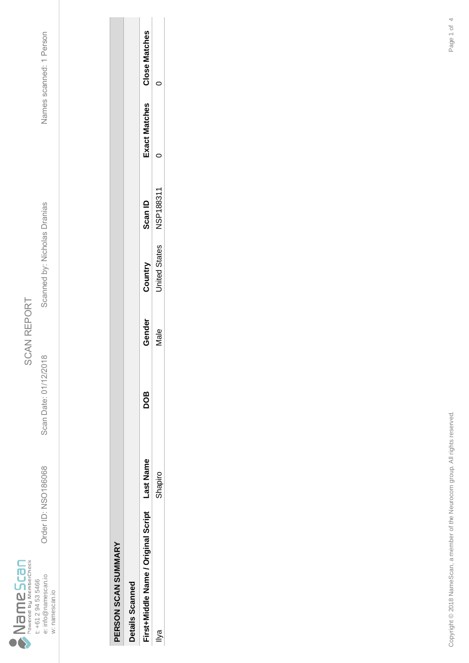

Scan Date: 01/12/2018

Order ID: NSO186068

Order ID: NSO186068 Scan Date: 01/12/2018 Scanned by: Nicholas Dranias Names scanned: 1 Person Scanned by: Nicholas Dranias

Names scanned: 1 Person

| Details Scanne                      |          |            |        |                      |                |                      |                      |
|-------------------------------------|----------|------------|--------|----------------------|----------------|----------------------|----------------------|
| First+Middle Name / Original Script | ast Name | <b>BOD</b> | Gender | Country              | <b>Scan ID</b> | <b>Exact Matches</b> | <b>Close Matches</b> |
|                                     | Shapiro  |            | Vale   | <b>Jnited States</b> | NSP18831       |                      |                      |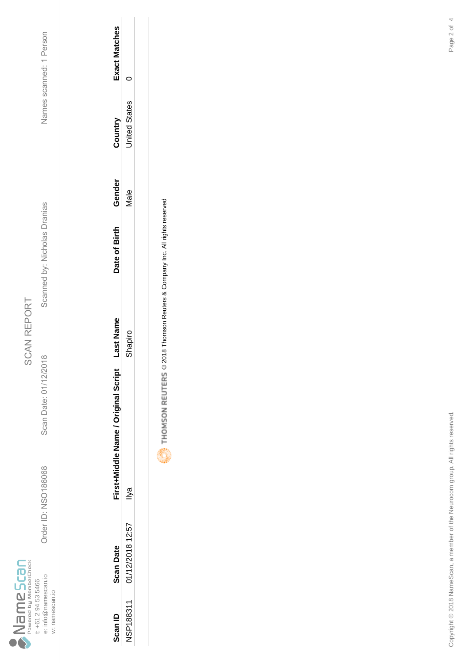

Scan Date: 01/12/2018

Order ID: NSO186068

Scanned by: Nicholas Dranias

Names scanned: 1 Person Order ID: NSO186068 Scan Date: 01/12/2018 Scanned by: Nicholas Dranias Names scanned: 1 Person

| Scan ID          | <b>Scan Date</b> | First+Middle Name / Original Script | ast Nam | Date of Birth | Gender      | Country       | <b>xact Matches</b> |
|------------------|------------------|-------------------------------------|---------|---------------|-------------|---------------|---------------------|
| <b>ISP188311</b> | 01/12/2018 12:57 | $\mathbb{\bar{P}}$                  | hapiro  |               | <b>Aale</b> | Inited States |                     |
|                  |                  |                                     |         |               |             |               |                     |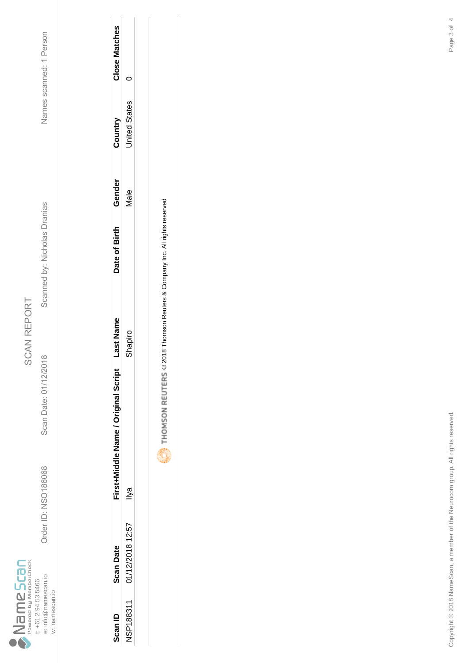

Scan Date: 01/12/2018

Order ID: NSO186068

Order ID: NSO186068 Scan Date: 01/12/2018 Scanned by: Nicholas Dranias Names scanned: 1 Person Scanned by: Nicholas Dranias

Names scanned: 1 Person

| Scan ID          | <b>Scan Date</b> | First+Middle Name / Original Script | ast Name | Date of Birth | Gender | Country       | Close Matches |
|------------------|------------------|-------------------------------------|----------|---------------|--------|---------------|---------------|
| <b>NSP188311</b> | 01/12/2018 12:57 | $\overline{\mathsf{S}}$             | hapiro   |               | Vale   | Inited States |               |
|                  |                  |                                     |          |               |        |               |               |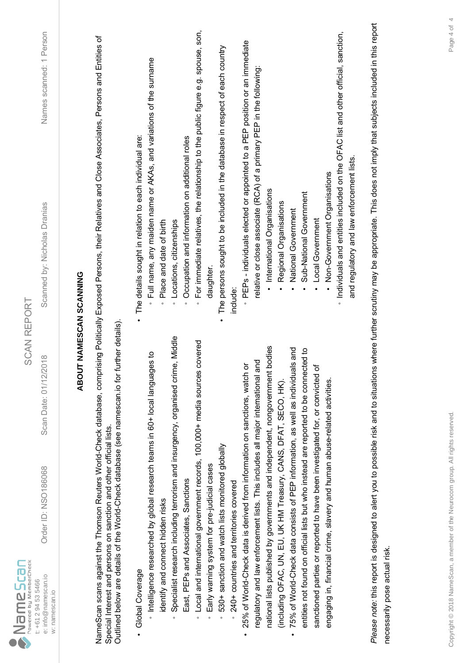| $\sum_{p_{\text{overed by MenberCheck}}}$<br>e: info@namescan.io<br>t: +61 2 94 53 5466<br>w: namescan.io | Order ID: NSO186068                                                         | 2018<br>Scan Date: 01/12/                                                                    | Names scanned: 1 Person<br>Scanned by: Nicholas Dranias<br><b>SCAN REPORT</b>                                                                                                             |  |
|-----------------------------------------------------------------------------------------------------------|-----------------------------------------------------------------------------|----------------------------------------------------------------------------------------------|-------------------------------------------------------------------------------------------------------------------------------------------------------------------------------------------|--|
|                                                                                                           |                                                                             |                                                                                              | <b>ABOUT NAMESCAN SCANNING</b>                                                                                                                                                            |  |
|                                                                                                           | Special Interest and persons on sanction and other official lists.          | Outlined below are details of the World-Check database (see namescan.io for further details) | NameScan scans against the Thomson Reuters World-Check database, comprising Politically Exposed Persons, their Relatives and Close Associates, Persons and Entities of                    |  |
| Global Coverage                                                                                           |                                                                             |                                                                                              | The details sought in relation to each individual are:                                                                                                                                    |  |
|                                                                                                           | htelligence researched by global research teams in 60+ local langua         | ges to                                                                                       | Full name, any maiden name or AKAs, and variations of the surname                                                                                                                         |  |
| identify and connect hidden risks                                                                         |                                                                             | Specialist research including terrorism and insurgency, organised crime, Middle              | Place and date of birth<br>Locations, citizenships<br>$\circ$<br>$\circ$                                                                                                                  |  |
|                                                                                                           | East, PEPs and Associates, Sanctions                                        |                                                                                              | Occupation and information on additional roles<br>$\circ$                                                                                                                                 |  |
| $\circ$                                                                                                   |                                                                             | Local and international government records, 100,000+ media sources covered                   | For immediate relatives, the relationship to the public figure e.g. spouse, son,<br>$\circ$                                                                                               |  |
| $\circ$                                                                                                   | Early warning system for pre-judicial cases                                 |                                                                                              | daughter                                                                                                                                                                                  |  |
| $\circ$                                                                                                   | 530+ sanction and watch lists monitored globally                            |                                                                                              | The persons sought to be included in the database in respect of each country                                                                                                              |  |
|                                                                                                           | 240+ countries and territories covered                                      |                                                                                              | include:                                                                                                                                                                                  |  |
|                                                                                                           | 25% of World-Check data is derived from information on sanctions, watch     | ŏ                                                                                            | PEPs - individuals elected or appointed to a PEP position or an immediate                                                                                                                 |  |
|                                                                                                           | regulatory and law enforcement lists. This includes all major international | and                                                                                          | relative or close associate (RCA) of a primary PEP in the following:                                                                                                                      |  |
|                                                                                                           |                                                                             | national lists published by governments and independent, nongovernment bodies                | · International Organisations                                                                                                                                                             |  |
|                                                                                                           | (including OFAC, UN, EU, UK HM Treasury, CANS, DFAT, SECO, HK).             |                                                                                              | Regional Organisations                                                                                                                                                                    |  |
| $\bullet$                                                                                                 | 75% of World-Check data consists of PEP information, as well as individu    | als and                                                                                      | National Government                                                                                                                                                                       |  |
|                                                                                                           |                                                                             | entities not found on official lists but who instead are reported to be connected to         | Sub-National Government                                                                                                                                                                   |  |
|                                                                                                           | sanctioned parties or reported to have been investigated for, or convicted  | ৳                                                                                            | Local Government                                                                                                                                                                          |  |
|                                                                                                           | engaging in, financial crime, slavery and human abuse-related activities.   |                                                                                              | Non-Government Organisations                                                                                                                                                              |  |
|                                                                                                           |                                                                             |                                                                                              | · Individuals and entities included on the OFAC list and other official, sanction,                                                                                                        |  |
|                                                                                                           |                                                                             |                                                                                              | and regulatory and law enforcement lists.                                                                                                                                                 |  |
|                                                                                                           |                                                                             |                                                                                              | Please note: this report is designed to alert you to possible risk and to situations where further scrutiny may be appropriate. This does not imply that subjects included in this report |  |
| necessarily pose actual risk.                                                                             |                                                                             |                                                                                              |                                                                                                                                                                                           |  |
|                                                                                                           |                                                                             |                                                                                              |                                                                                                                                                                                           |  |
|                                                                                                           |                                                                             |                                                                                              |                                                                                                                                                                                           |  |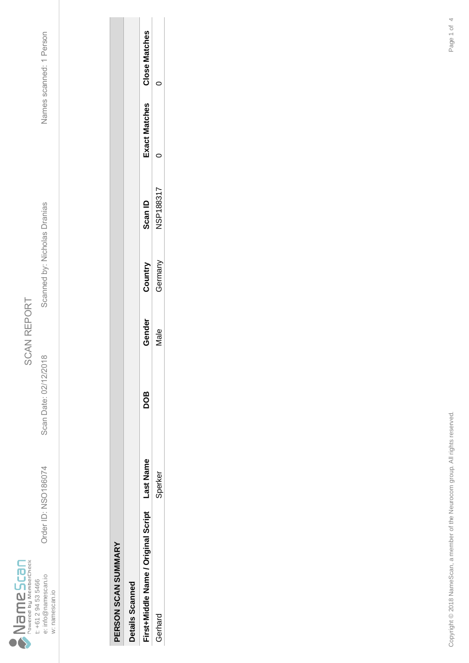

Scan Date: 02/12/2018

Order ID: NSO186074

Order ID: NSO186074 Scan Date: 02/12/2018 Scanned by: Nicholas Dranias Names scanned: 1 Person Scanned by: Nicholas Dranias

Names scanned: 1 Person

| <b>Details Scanned</b>              |          |            |        |         |                  |                      |                      |
|-------------------------------------|----------|------------|--------|---------|------------------|----------------------|----------------------|
| First+Middle Name / Original Script | ast Name | <b>BOD</b> | Gender | Country | Scan ID          | <b>Exact Matches</b> | <b>Close Matches</b> |
| Gerhard                             | Sperker  |            | Vlale  | Germany | <b>ISP188317</b> |                      |                      |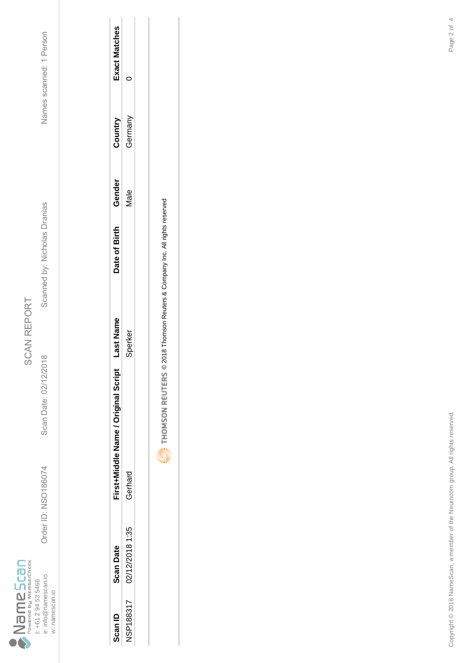

Scan Date: 02/12/2018

Order ID: NSO186074

Order ID: NSO186074 Scan Date: 02/12/2018 Scanned by: Nicholas Dranias Names scanned: 1 Person Scanned by: Nicholas Dranias

Names scanned: 1 Person

| Scan ID          | Scan Date       | First+Middle Name / Original Script | ast Name | Date of Birth | Gender | Country | <b>Exact Matches</b> |
|------------------|-----------------|-------------------------------------|----------|---------------|--------|---------|----------------------|
| <b>NSP188317</b> | 02/12/2018 1:35 | Gerhard                             | perker   |               | Vale   | German  |                      |
|                  |                 |                                     |          |               |        |         |                      |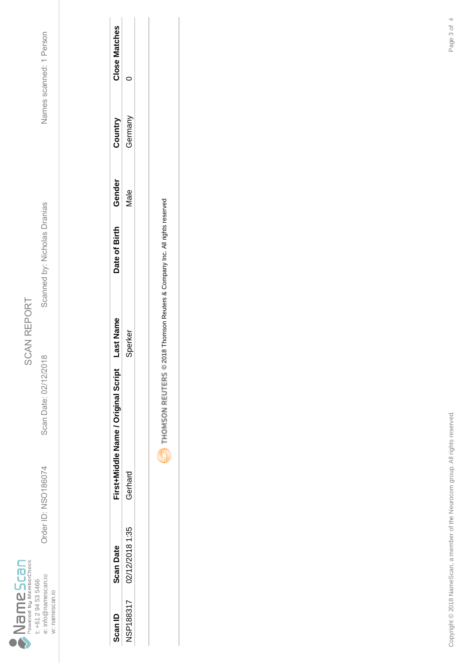

Scan Date: 02/12/2018

Order ID: NSO186074

Order ID: NSO186074 Scan Date: 02/12/2018 Scanned by: Nicholas Dranias Names scanned: 1 Person Scanned by: Nicholas Dranias

Names scanned: 1 Person

| <b>Scan ID</b>  | <b>Scan Date</b> | First+Middle Name / Original Script | ast Name       | Date of Birth | Gender      | Country | <b>Close Matches</b> |
|-----------------|------------------|-------------------------------------|----------------|---------------|-------------|---------|----------------------|
| <b>JSP18831</b> | 02/12/2018 1:35  | Gerhard                             | <b>Sperker</b> |               | <b>Vale</b> | Grman   |                      |
|                 |                  |                                     |                |               |             |         |                      |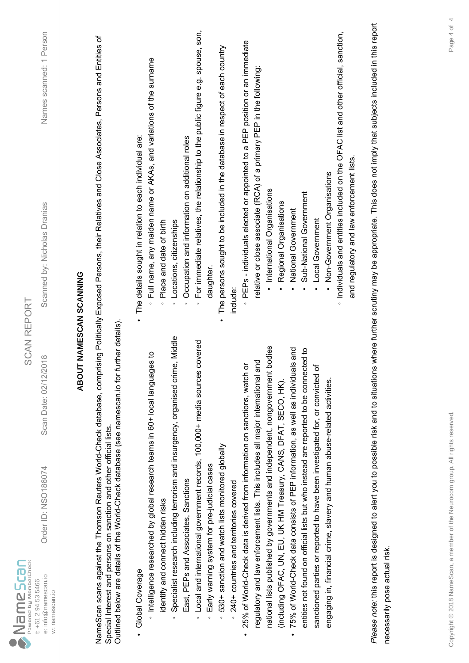| $\sum_{\text{Power by MemberCheck}}$<br>e: info@namescan.io<br>t: +61 2 94 53 5466 | Order ID: NSO186074                                                                                                                               | 2018<br>Scan Date: 02/12/                                                            | Names scanned: 1 Person<br>Scanned by: Nicholas Dranias<br><b>SCAN REPORT</b>                                                                                                             |  |
|------------------------------------------------------------------------------------|---------------------------------------------------------------------------------------------------------------------------------------------------|--------------------------------------------------------------------------------------|-------------------------------------------------------------------------------------------------------------------------------------------------------------------------------------------|--|
| w: namescan.io                                                                     |                                                                                                                                                   |                                                                                      |                                                                                                                                                                                           |  |
|                                                                                    |                                                                                                                                                   |                                                                                      | ABOUT NAMESCAN SCANNING                                                                                                                                                                   |  |
|                                                                                    | Outlined below are details of the World-Check database (see namescan.io for<br>Special Interest and persons on sanction and other official lists. | further details)                                                                     | NameScan scans against the Thomson Reuters World-Check database, comprising Politically Exposed Persons, their Relatives and Close Associates, Persons and Entities of                    |  |
| Global Coverage                                                                    |                                                                                                                                                   |                                                                                      | The details sought in relation to each individual are:                                                                                                                                    |  |
| identify and connect hidden risks                                                  | htelligence researched by global research teams in 60+ local langua                                                                               | ges to                                                                               | Full name, any maiden name or AKAs, and variations of the surname<br>Place and date of birth<br>$\circ$                                                                                   |  |
|                                                                                    |                                                                                                                                                   | Specialist research including terrorism and insurgency, organised crime, Middle      | Locations, citizenships<br>$\circ$                                                                                                                                                        |  |
|                                                                                    | East, PEPs and Associates, Sanctions                                                                                                              |                                                                                      | Occupation and information on additional roles<br>$\circ$                                                                                                                                 |  |
| $\circ$                                                                            |                                                                                                                                                   | Local and international government records, 100,000+ media sources covered           | For immediate relatives, the relationship to the public figure e.g. spouse, son,<br>$\circ$                                                                                               |  |
| $\circ$                                                                            | Early warning system for pre-judicial cases                                                                                                       |                                                                                      | daughter                                                                                                                                                                                  |  |
| $\circ$                                                                            | 530+ sanction and watch lists monitored globally                                                                                                  |                                                                                      | The persons sought to be included in the database in respect of each country                                                                                                              |  |
|                                                                                    | 240+ countries and territories covered                                                                                                            |                                                                                      | include:                                                                                                                                                                                  |  |
|                                                                                    | 25% of World-Check data is derived from information on sanctions, watch                                                                           | ŏ                                                                                    | PEPs - individuals elected or appointed to a PEP position or an immediate                                                                                                                 |  |
|                                                                                    | regulatory and law enforcement lists. This includes all major international                                                                       | and                                                                                  | relative or close associate (RCA) of a primary PEP in the following:                                                                                                                      |  |
|                                                                                    |                                                                                                                                                   | national lists published by governments and independent, nongovernment bodies        | International Organisations                                                                                                                                                               |  |
|                                                                                    | (including OFAC, UN, EU, UK HM Treasury, CANS, DFAT, SECO, HK).                                                                                   |                                                                                      | Regional Organisations                                                                                                                                                                    |  |
| $\bullet$                                                                          | 75% of World-Check data consists of PEP information, as well as individu                                                                          | als and                                                                              | National Government                                                                                                                                                                       |  |
|                                                                                    |                                                                                                                                                   | entities not found on official lists but who instead are reported to be connected to | Sub-National Government                                                                                                                                                                   |  |
|                                                                                    | sanctioned parties or reported to have been investigated for, or convicted                                                                        | ৳                                                                                    | Local Government                                                                                                                                                                          |  |
|                                                                                    | engaging in, financial crime, slavery and human abuse-related activities.                                                                         |                                                                                      | Non-Government Organisations                                                                                                                                                              |  |
|                                                                                    |                                                                                                                                                   |                                                                                      | · Individuals and entities included on the OFAC list and other official, sanction,                                                                                                        |  |
|                                                                                    |                                                                                                                                                   |                                                                                      | and regulatory and law enforcement lists.                                                                                                                                                 |  |
|                                                                                    |                                                                                                                                                   |                                                                                      | Please note: this report is designed to alert you to possible risk and to situations where further scrutiny may be appropriate. This does not imply that subjects included in this report |  |
| necessarily pose actual risk.                                                      |                                                                                                                                                   |                                                                                      |                                                                                                                                                                                           |  |
|                                                                                    |                                                                                                                                                   |                                                                                      |                                                                                                                                                                                           |  |
|                                                                                    |                                                                                                                                                   |                                                                                      |                                                                                                                                                                                           |  |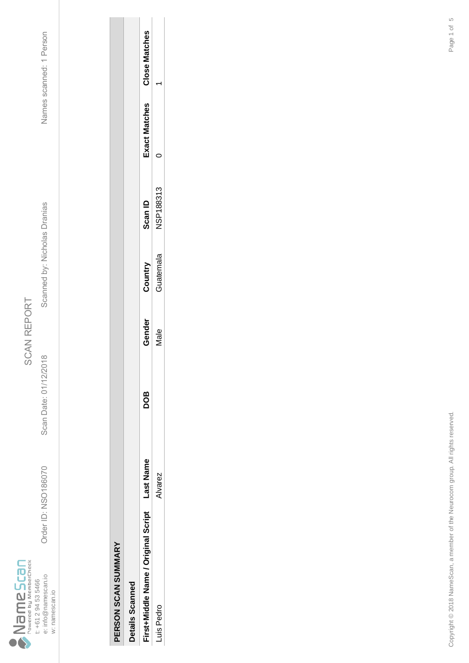

Scan Date: 01/12/2018

Order ID: NSO186070

Order ID: NSO186070 Scan Date: 01/12/2018 Scanned by: Nicholas Dranias Names scanned: 1 Person Scanned by: Nicholas Dranias

Names scanned: 1 Person

| í<br>į |
|--------|
|        |
|        |
|        |
| ì      |
|        |
|        |
|        |
|        |
|        |
|        |
|        |

| etails Scanned                     |         |            |        |           |                  |               |               |
|------------------------------------|---------|------------|--------|-----------|------------------|---------------|---------------|
| irst+Middle Name / Original Script | ast Nam | <b>aoc</b> | Gender | Country   | Scan ID          | Exact Matches | Close Matches |
| Pedro<br>$\frac{1}{2}$             | varez   |            | vlale  | suatemala | <b>VSP188313</b> |               |               |
|                                    |         |            |        |           |                  |               |               |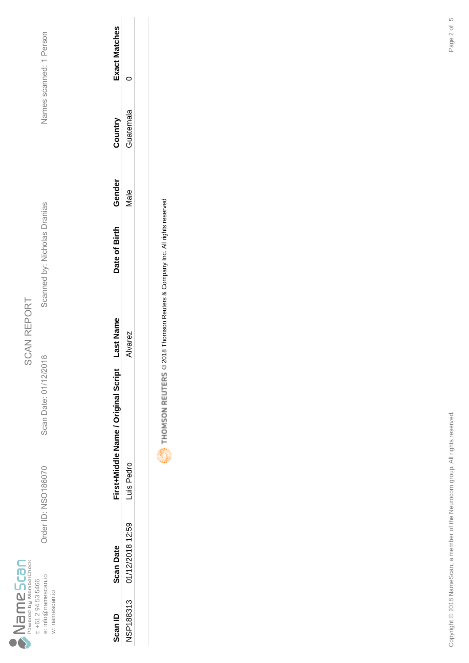

Scan Date: 01/12/2018

Order ID: NSO186070

Order ID: NSO186070 Scan Date: 01/12/2018 Scanned by: Nicholas Dranias Names scanned: 1 Person Scanned by: Nicholas Dranias

Names scanned: 1 Person

| Scan ID   | <b>Scan Date</b> | First+Middle Name / Original Script | ast Name     | Date of Birth | Gender      | Country   | xact Matches |
|-----------|------------------|-------------------------------------|--------------|---------------|-------------|-----------|--------------|
| NSP188313 | 01/12/2018 12:59 | Luis Pedro                          | <b>Varez</b> |               | <b>Jale</b> | Guatemala |              |
|           |                  |                                     |              |               |             |           |              |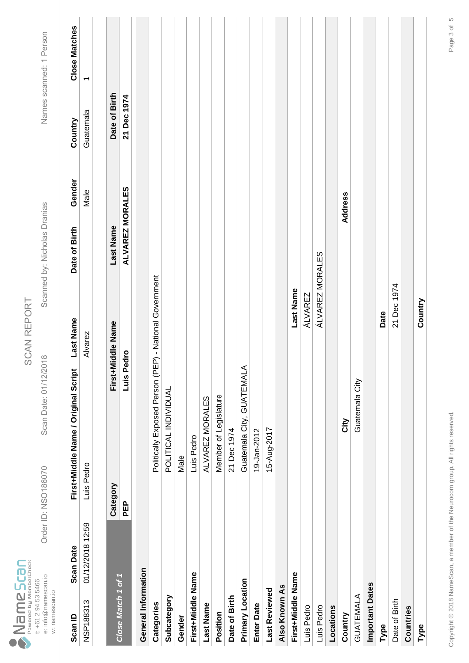|                                   |                     | Order ID: NSO186070 |                |  |
|-----------------------------------|---------------------|---------------------|----------------|--|
| Powered by MemberCheck<br>ameScan | t: +61 2 94 53 5466 | e: info@namescan.io | w: namescan.io |  |

Scan Date: 01/12/2018

Scanned by: Nicholas Dranias

Names scanned: 1 Person Order ID: NSO186070 Scan Date: 01/12/2018 Scanned by: Nicholas Dranias Names scanned: 1 Person

| Scan ID             | <b>Scan Date</b> |            | First+Middle Name / Original Script                    | <b>Last Name</b>  | Date of Birth   | Gender  | Country       | <b>Close Matches</b> |
|---------------------|------------------|------------|--------------------------------------------------------|-------------------|-----------------|---------|---------------|----------------------|
| NSP188313           | 01/12/2018 12:59 | Luis Pedro |                                                        | Alvarez           |                 | Male    | Guatemala     | ᠇                    |
|                     |                  |            |                                                        |                   |                 |         |               |                      |
| Close Match 1 of 1  |                  | Category   |                                                        | First+Middle Name | Last Name       |         | Date of Birth |                      |
|                     |                  | <b>PEP</b> | Luis Pedro                                             |                   | ALVAREZ MORALES |         | 21 Dec 1974   |                      |
| General Information |                  |            |                                                        |                   |                 |         |               |                      |
| Categories          |                  |            | Politically Exposed Person (PEP) - National Government |                   |                 |         |               |                      |
| Subcategory         |                  |            | POLITICAL INDIVIDUAL                                   |                   |                 |         |               |                      |
| Gender              |                  |            | Male                                                   |                   |                 |         |               |                      |
| First+Middle Name   |                  |            | Luis Pedro                                             |                   |                 |         |               |                      |
| <b>Last Name</b>    |                  |            | ALVAREZ MORALES                                        |                   |                 |         |               |                      |
| Position            |                  |            | Member of Legislature                                  |                   |                 |         |               |                      |
| Date of Birth       |                  |            | 21 Dec 1974                                            |                   |                 |         |               |                      |
| Primary Location    |                  |            | Guatemala City, GUATEMALA                              |                   |                 |         |               |                      |
| <b>Enter Date</b>   |                  |            | 19-Jan-2012                                            |                   |                 |         |               |                      |
| Last Reviewed       |                  |            | 15-Aug-2017                                            |                   |                 |         |               |                      |
| Also Known As       |                  |            |                                                        |                   |                 |         |               |                      |
| First+Middle Name   |                  |            |                                                        | Last Name         |                 |         |               |                      |
| Luis Pedro          |                  |            |                                                        | ÁLVAREZ           |                 |         |               |                      |
| Luis Pedro          |                  |            |                                                        | ÁLVAREZ MORALES   |                 |         |               |                      |
| Locations           |                  |            |                                                        |                   |                 |         |               |                      |
| Country             |                  |            | Δit)                                                   |                   |                 | Address |               |                      |
| GUATEMALA           |                  |            | Guatemala City                                         |                   |                 |         |               |                      |
| Important Dates     |                  |            |                                                        |                   |                 |         |               |                      |
| Type                |                  |            |                                                        | Date              |                 |         |               |                      |
| Date of Birth       |                  |            |                                                        | 21 Dec 1974       |                 |         |               |                      |
| Countries           |                  |            |                                                        |                   |                 |         |               |                      |
| Type                |                  |            |                                                        | Country           |                 |         |               |                      |
|                     |                  |            |                                                        |                   |                 |         |               |                      |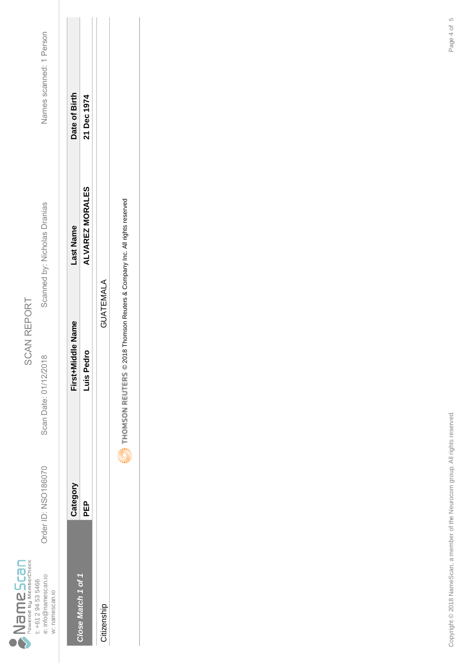|                                          |                     | Order ID: NSO186070 |                |
|------------------------------------------|---------------------|---------------------|----------------|
| Powered by MemberCheck<br>Scan<br>i<br>E | t: +61 2 94 53 5466 | e: info@namescan.io | w: namescan.io |

Scan Date: 01/12/2018

Scanned by: Nicholas Dranias

Names scanned: 1 Person Order ID: NSO186070 Scan Date: 01/12/2018 Scanned by: Nicholas Dranias Names scanned: 1 Person

| 21 Dec 1974<br><b>ALVAREZ MORALES</b><br>GUATEMALA<br>Pedro<br>-uis F<br>요<br>교<br>ose Match 1 of 1<br>Citizenship | Category | First+Middle Name | Last Name | Date of Birth |
|--------------------------------------------------------------------------------------------------------------------|----------|-------------------|-----------|---------------|
|                                                                                                                    |          |                   |           |               |
|                                                                                                                    |          |                   |           |               |
|                                                                                                                    |          |                   |           |               |

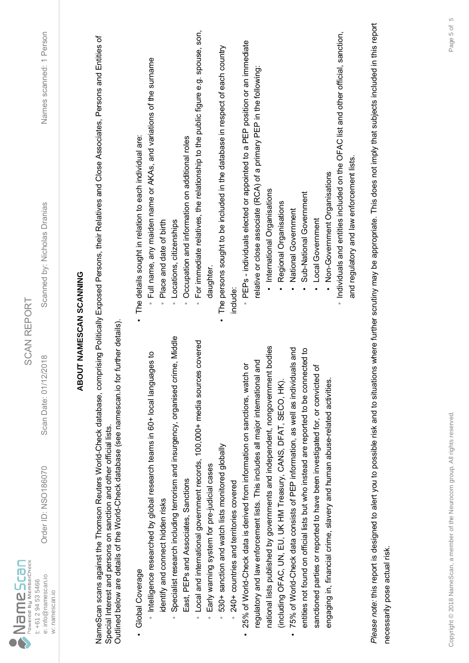| $\sum_{\text{Powered by MemberCheck}}$<br>e: info@namescan.io<br>t: +61 2 94 53 5466<br>w: namescan.io | Order ID: NSO186070                                                                                                                               | 2018<br>Scan Date: 01/12/                                                            | Names scanned: 1 Person<br>Scanned by: Nicholas Dranias<br><b>SCAN REPORT</b>                                                                                                             |
|--------------------------------------------------------------------------------------------------------|---------------------------------------------------------------------------------------------------------------------------------------------------|--------------------------------------------------------------------------------------|-------------------------------------------------------------------------------------------------------------------------------------------------------------------------------------------|
|                                                                                                        |                                                                                                                                                   |                                                                                      | ABOUT NAMESCAN SCANNING                                                                                                                                                                   |
|                                                                                                        | Outlined below are details of the World-Check database (see namescan.io for<br>Special Interest and persons on sanction and other official lists. | further details)                                                                     | NameScan scans against the Thomson Reuters World-Check database, comprising Politically Exposed Persons, their Relatives and Close Associates, Persons and Entities of                    |
| Global Coverage                                                                                        |                                                                                                                                                   |                                                                                      | The details sought in relation to each individual are:                                                                                                                                    |
| identify and connect hidden risks                                                                      | htelligence researched by global research teams in 60+ local langua                                                                               | ges to                                                                               | Full name, any maiden name or AKAs, and variations of the surname<br>Place and date of birth<br>$\circ$<br>$\circ$                                                                        |
|                                                                                                        |                                                                                                                                                   | Specialist research including terrorism and insurgency, organised crime, Middle      | Locations, citizenships<br>$\circ$                                                                                                                                                        |
|                                                                                                        | East, PEPs and Associates, Sanctions                                                                                                              |                                                                                      | Occupation and information on additional roles<br>$\circ$                                                                                                                                 |
|                                                                                                        |                                                                                                                                                   | Local and international government records, 100,000+ media sources covered           | For immediate relatives, the relationship to the public figure e.g. spouse, son,<br>$\circ$                                                                                               |
| $\circ$                                                                                                | Early warning system for pre-judicial cases                                                                                                       |                                                                                      | daughter                                                                                                                                                                                  |
| $\circ$                                                                                                | 530+ sanction and watch lists monitored globally                                                                                                  |                                                                                      | The persons sought to be included in the database in respect of each country                                                                                                              |
|                                                                                                        | 240+ countries and territories covered                                                                                                            |                                                                                      | include:                                                                                                                                                                                  |
|                                                                                                        | 25% of World-Check data is derived from information on sanctions, watch                                                                           | ŏ                                                                                    | PEPs - individuals elected or appointed to a PEP position or an immediate                                                                                                                 |
|                                                                                                        | regulatory and law enforcement lists. This includes all major international                                                                       | and                                                                                  | relative or close associate (RCA) of a primary PEP in the following:                                                                                                                      |
|                                                                                                        |                                                                                                                                                   | national lists published by governments and independent, nongovernment bodies        | International Organisations                                                                                                                                                               |
|                                                                                                        | (induding OFAC, UN, EU, UK HM Treasury, CANS, DFAT, SECO, HK).                                                                                    |                                                                                      | Regional Organisations                                                                                                                                                                    |
|                                                                                                        | 75% of World-Check data consists of PEP information, as well as individu                                                                          | lals and                                                                             | National Government                                                                                                                                                                       |
|                                                                                                        |                                                                                                                                                   | entities not found on official lists but who instead are reported to be connected to | Sub-National Government                                                                                                                                                                   |
|                                                                                                        | sanctioned parties or reported to have been investigated for, or convicted                                                                        | 'ত                                                                                   | Local Government                                                                                                                                                                          |
|                                                                                                        | engaging in, financial crime, slavery and human abuse-related activities.                                                                         |                                                                                      | Non-Government Organisations                                                                                                                                                              |
|                                                                                                        |                                                                                                                                                   |                                                                                      | · Individuals and entities included on the OFAC list and other official, sanction,                                                                                                        |
|                                                                                                        |                                                                                                                                                   |                                                                                      | and regulatory and law enforcement lists.                                                                                                                                                 |
|                                                                                                        |                                                                                                                                                   |                                                                                      | Please note: this report is designed to alert you to possible risk and to situations where further scrutiny may be appropriate. This does not imply that subjects included in this report |
| necessarily pose actual risk.                                                                          |                                                                                                                                                   |                                                                                      |                                                                                                                                                                                           |
|                                                                                                        |                                                                                                                                                   |                                                                                      |                                                                                                                                                                                           |
|                                                                                                        |                                                                                                                                                   |                                                                                      |                                                                                                                                                                                           |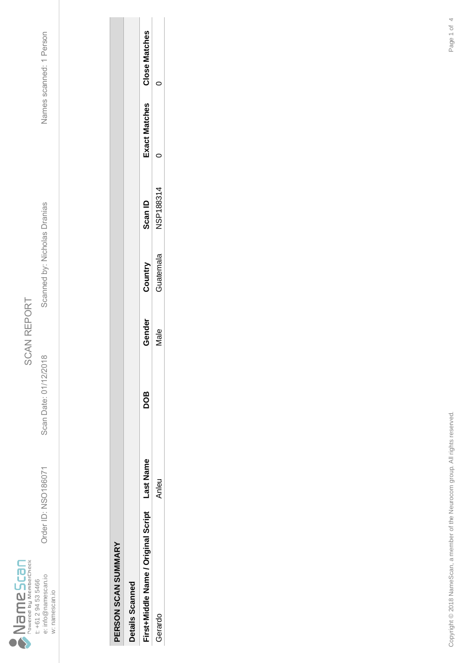

Order ID: NSO186071 Scan Date: 01/12/2018 Scanned by: Nicholas Dranias Names scanned: 1 Person Scanned by: Nicholas Dranias

Scan Date: 01/12/2018

Order ID: NSO186071

Names scanned: 1 Person

| <b>Netails Scanned</b>             |          |     |        |          |           |                      |                      |
|------------------------------------|----------|-----|--------|----------|-----------|----------------------|----------------------|
| irst+Middle Name / Original Script | ast Name | 8OQ | Gender | Country  | Scan ID   | <b>Exact Matches</b> | <b>Close Matches</b> |
| Gerardo                            | nleu     |     | /ale   | uatemala | NSP188314 |                      |                      |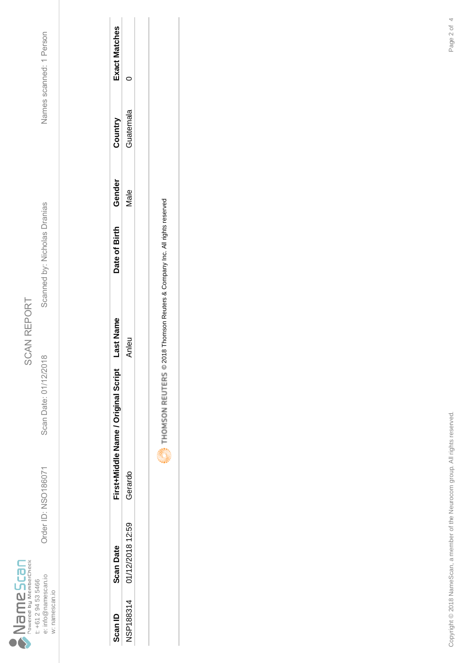

Scan Date: 01/12/2018

Order ID: NSO186071

Order ID: NSO186071 Scan Date: 01/12/2018 Scanned by: Nicholas Dranias Names scanned: 1 Person Scanned by: Nicholas Dranias

Names scanned: 1 Person

| Scan ID          | <b>Scan Date</b> | First+Middle Name / Original Script | ù | Date of Birth | Gende. | ountry   | <b>Vact Matches</b> |
|------------------|------------------|-------------------------------------|---|---------------|--------|----------|---------------------|
| <b>NSP188314</b> | 01/12/2018 12:59 | Gerardo                             |   |               | į      | juatemal |                     |
|                  |                  |                                     |   |               |        |          |                     |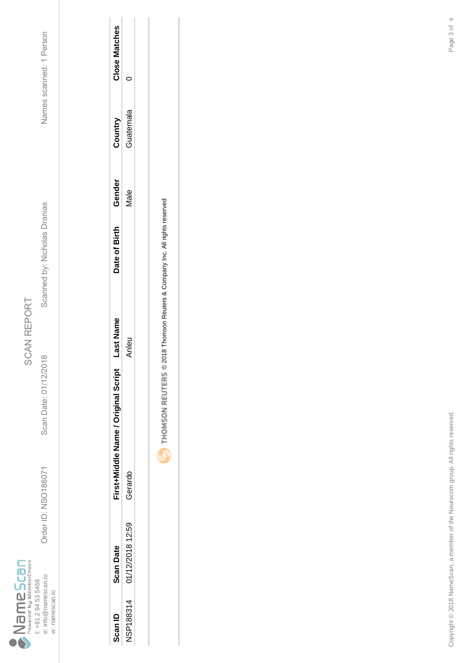

Scan Date: 01/12/2018

Order ID: NSO186071

Order ID: NSO186071 Scan Date: 01/12/2018 Scanned by: Nicholas Dranias Names scanned: 1 Person Scanned by: Nicholas Dranias

Names scanned: 1 Person

| Gan ID           | <b>Scan Date</b> | First+Middle Name / Original Script | <b>nst Nam</b> | Date of Birth | Gender | Country  | <b>lose Matches</b> |
|------------------|------------------|-------------------------------------|----------------|---------------|--------|----------|---------------------|
| <b>NSP188314</b> | 01/12/2018 12:59 | Gerardo                             |                |               | lale   | iuatemal |                     |
|                  |                  |                                     |                |               |        |          |                     |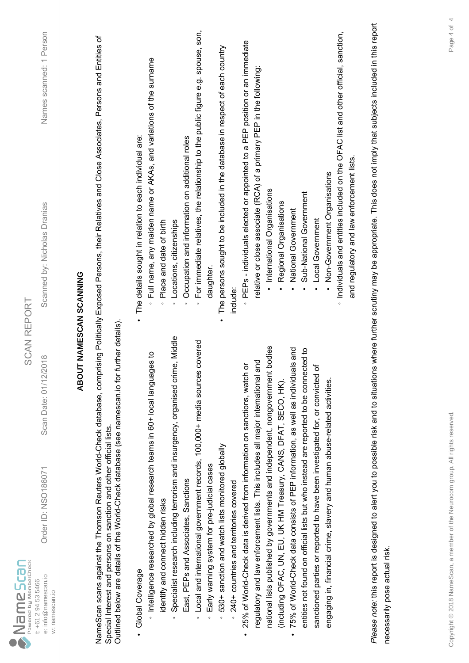| e: info@namescan.io<br>t: +61 2 94 53 5466<br>w: namescan.io | Order ID: NSO186071                                                                             | <b>SCAN REPORT</b><br>2018<br>Scan Date: 01/12/                                              | Scanned by: Nicholas Dranias                                                                                                                                                              | Names scanned: 1 Person |
|--------------------------------------------------------------|-------------------------------------------------------------------------------------------------|----------------------------------------------------------------------------------------------|-------------------------------------------------------------------------------------------------------------------------------------------------------------------------------------------|-------------------------|
|                                                              |                                                                                                 | <b>ABOUT NAMESCAN SCANNING</b>                                                               |                                                                                                                                                                                           |                         |
|                                                              | Special Interest and persons on sanction and other official lists.                              | Outlined below are details of the World-Check database (see namescan.io for further details) | NameScan scans against the Thomson Reuters World-Check database, comprising Politically Exposed Persons, their Relatives and Close Associates, Persons and Entities of                    |                         |
| Global Coverage                                              | htelligence researched by global research teams in 60+ local langua                             | ges to                                                                                       | Full name, any maiden name or AKAs, and variations of the surname<br>The details sought in relation to each individual are:                                                               |                         |
| identify and connect hidden risks                            |                                                                                                 | Specialist research including terrorism and insurgency, organised crime, Middle              | Place and date of birth<br>Locations, citizenships<br>$\circ$<br>$\circ$                                                                                                                  |                         |
|                                                              | East, PEPs and Associates, Sanctions                                                            |                                                                                              | Occupation and information on additional roles<br>$\circ$                                                                                                                                 |                         |
| $\circ$<br>$\circ$                                           |                                                                                                 | Local and international government records, 100,000+ media sources covered                   | For immediate relatives, the relationship to the public figure e.g. spouse, son,<br>daughter<br>$\circ$                                                                                   |                         |
| $\circ$                                                      | 530+ sanction and watch lists monitored globally<br>Early warning system for pre-judicial cases |                                                                                              | The persons sought to be included in the database in respect of each country                                                                                                              |                         |
|                                                              | 240+ countries and territories covered                                                          |                                                                                              | include:                                                                                                                                                                                  |                         |
|                                                              | 25% of World-Check data is derived from information on sanctions, watch                         | ŏ                                                                                            | PEPs - individuals elected or appointed to a PEP position or an immediate                                                                                                                 |                         |
|                                                              | regulatory and law enforcement lists. This includes all major international                     | and                                                                                          | relative or close associate (RCA) of a primary PEP in the following:                                                                                                                      |                         |
|                                                              |                                                                                                 | national lists published by governments and independent, nongovernment bodies                | · International Organisations                                                                                                                                                             |                         |
|                                                              | (including OFAC, UN, EU, UK HM Treasury, CANS, DFAT, SECO, HK).                                 |                                                                                              | Regional Organisations                                                                                                                                                                    |                         |
| $\bullet$                                                    | 75% of World-Check data consists of PEP information, as well as individu                        | als and                                                                                      | National Government                                                                                                                                                                       |                         |
|                                                              | sanctioned parties or reported to have been investigated for, or convicted                      | entities not found on official lists but who instead are reported to be connected to<br>৳    | Sub-National Government<br>Local Government                                                                                                                                               |                         |
|                                                              | engaging in, financial crime, slavery and human abuse-related activities.                       |                                                                                              | Non-Government Organisations                                                                                                                                                              |                         |
|                                                              |                                                                                                 |                                                                                              | · Individuals and entities included on the OFAC list and other official, sanction,<br>and regulatory and law enforcement lists.                                                           |                         |
|                                                              |                                                                                                 |                                                                                              | Please note: this report is designed to alert you to possible risk and to situations where further scrutiny may be appropriate. This does not imply that subjects included in this report |                         |
| necessarily pose actual risk.                                |                                                                                                 |                                                                                              |                                                                                                                                                                                           |                         |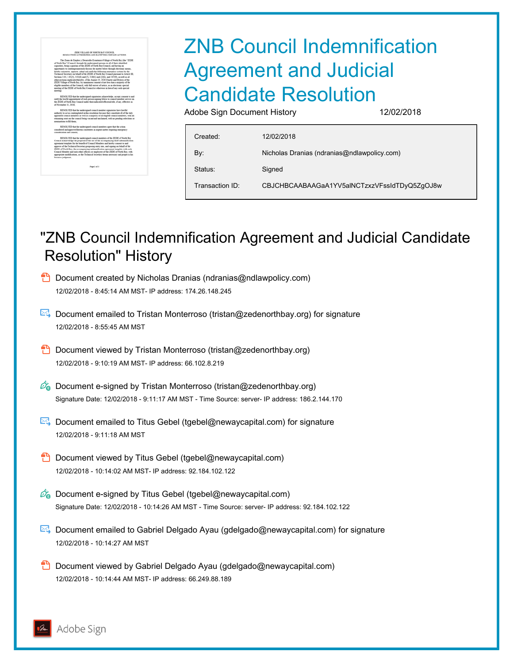## ZNB Council Indemnification Agreement and Judicial Candidate Resolution

Adobe Sign Document History 12/02/2018

| Created:        | 12/02/2018                                   |
|-----------------|----------------------------------------------|
| By:             | Nicholas Dranias (ndranias@ndlawpolicy.com)  |
| Status:         | Signed                                       |
| Transaction ID: | CBJCHBCAABAAGaA1YV5alNCTzxzVFssIdTDyQ5ZqOJ8w |

## "ZNB Council Indemnification Agreement and Judicial Candidate Resolution" History

- **D** Document created by Nicholas Dranias (ndranias@ndlawpolicy.com) 12/02/2018 - 8:45:14 AM MST- IP address: 174.26.148.245
- Document emailed to Tristan Monterroso (tristan@zedenorthbay.org) for signature 12/02/2018 - 8:55:45 AM MST
- **D** Document viewed by Tristan Monterroso (tristan@zedenorthbay.org) 12/02/2018 - 9:10:19 AM MST- IP address: 66.102.8.219
- $\mathscr{O}_\mathbf{G}$  Document e-signed by Tristan Monterroso (tristan@zedenorthbay.org) Signature Date: 12/02/2018 - 9:11:17 AM MST - Time Source: server- IP address: 186.2.144.170
- **E** Document emailed to Titus Gebel (tgebel@newaycapital.com) for signature 12/02/2018 - 9:11:18 AM MST
- **D** Document viewed by Titus Gebel (tgebel@newaycapital.com) 12/02/2018 - 10:14:02 AM MST- IP address: 92.184.102.122
- $\mathscr{O}_\bullet$  Document e-signed by Titus Gebel (tgebel@newaycapital.com) Signature Date: 12/02/2018 - 10:14:26 AM MST - Time Source: server- IP address: 92.184.102.122
- Document emailed to Gabriel Delgado Ayau (gdelgado@newaycapital.com) for signature 12/02/2018 - 10:14:27 AM MST
- **D** Document viewed by Gabriel Delgado Ayau (gdelgado@newaycapital.com) 12/02/2018 - 10:14:44 AM MST- IP address: 66.249.88.189